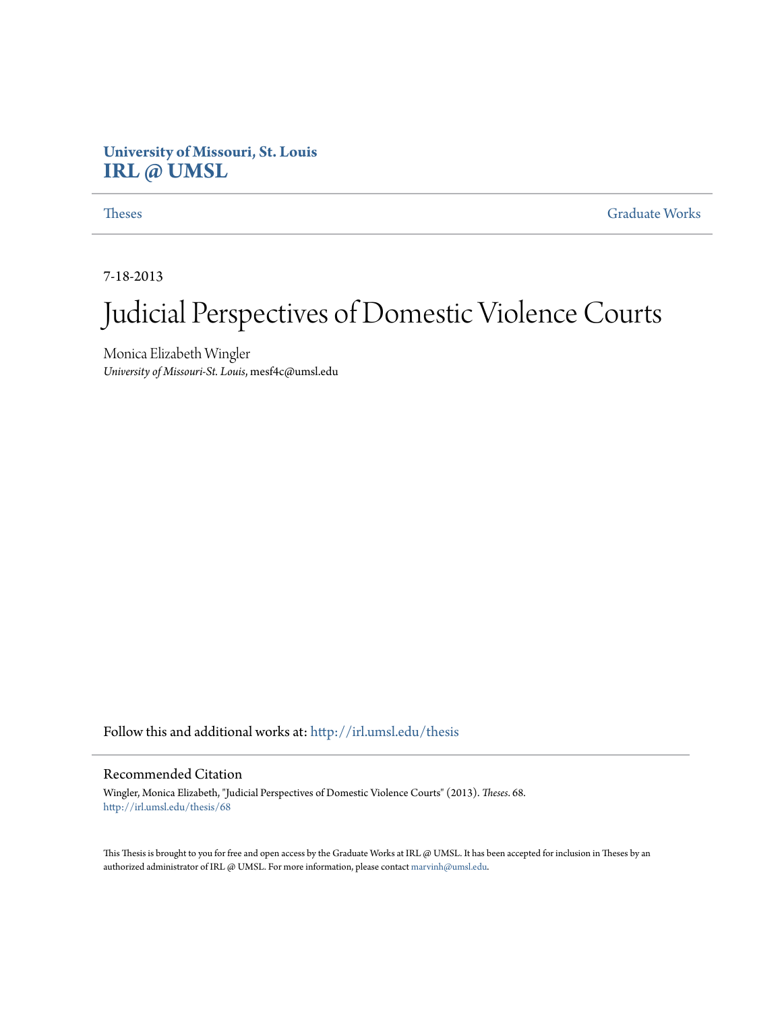# **University of Missouri, St. Louis [IRL @ UMSL](http://irl.umsl.edu?utm_source=irl.umsl.edu%2Fthesis%2F68&utm_medium=PDF&utm_campaign=PDFCoverPages)**

**[Theses](http://irl.umsl.edu/thesis?utm_source=irl.umsl.edu%2Fthesis%2F68&utm_medium=PDF&utm_campaign=PDFCoverPages)** [Graduate Works](http://irl.umsl.edu/grad?utm_source=irl.umsl.edu%2Fthesis%2F68&utm_medium=PDF&utm_campaign=PDFCoverPages) **Graduate Works** 

7-18-2013

# Judicial Perspectives of Domestic Violence Courts

Monica Elizabeth Wingler *University of Missouri-St. Louis*, mesf4c@umsl.edu

Follow this and additional works at: [http://irl.umsl.edu/thesis](http://irl.umsl.edu/thesis?utm_source=irl.umsl.edu%2Fthesis%2F68&utm_medium=PDF&utm_campaign=PDFCoverPages)

#### Recommended Citation

Wingler, Monica Elizabeth, "Judicial Perspectives of Domestic Violence Courts" (2013). *Theses*. 68. [http://irl.umsl.edu/thesis/68](http://irl.umsl.edu/thesis/68?utm_source=irl.umsl.edu%2Fthesis%2F68&utm_medium=PDF&utm_campaign=PDFCoverPages)

This Thesis is brought to you for free and open access by the Graduate Works at IRL @ UMSL. It has been accepted for inclusion in Theses by an authorized administrator of IRL @ UMSL. For more information, please contact [marvinh@umsl.edu](mailto:marvinh@umsl.edu).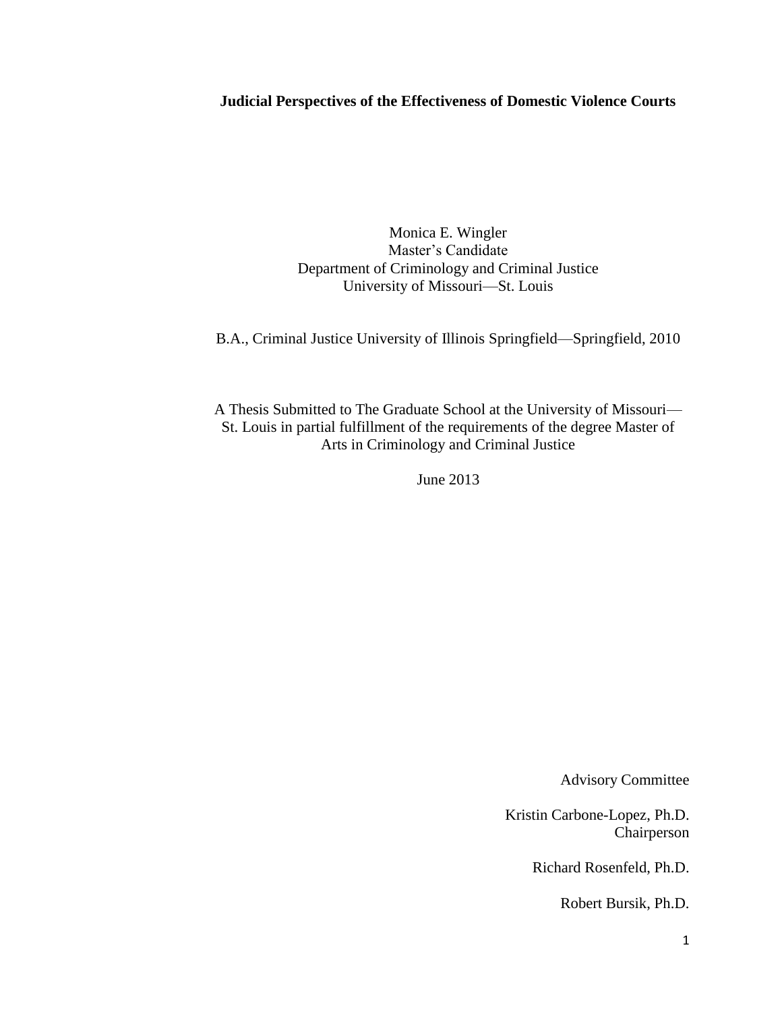## **Judicial Perspectives of the Effectiveness of Domestic Violence Courts**

Monica E. Wingler Master's Candidate Department of Criminology and Criminal Justice University of Missouri—St. Louis

B.A., Criminal Justice University of Illinois Springfield—Springfield, 2010

A Thesis Submitted to The Graduate School at the University of Missouri— St. Louis in partial fulfillment of the requirements of the degree Master of Arts in Criminology and Criminal Justice

June 2013

Advisory Committee

Kristin Carbone-Lopez, Ph.D. Chairperson

Richard Rosenfeld, Ph.D.

Robert Bursik, Ph.D.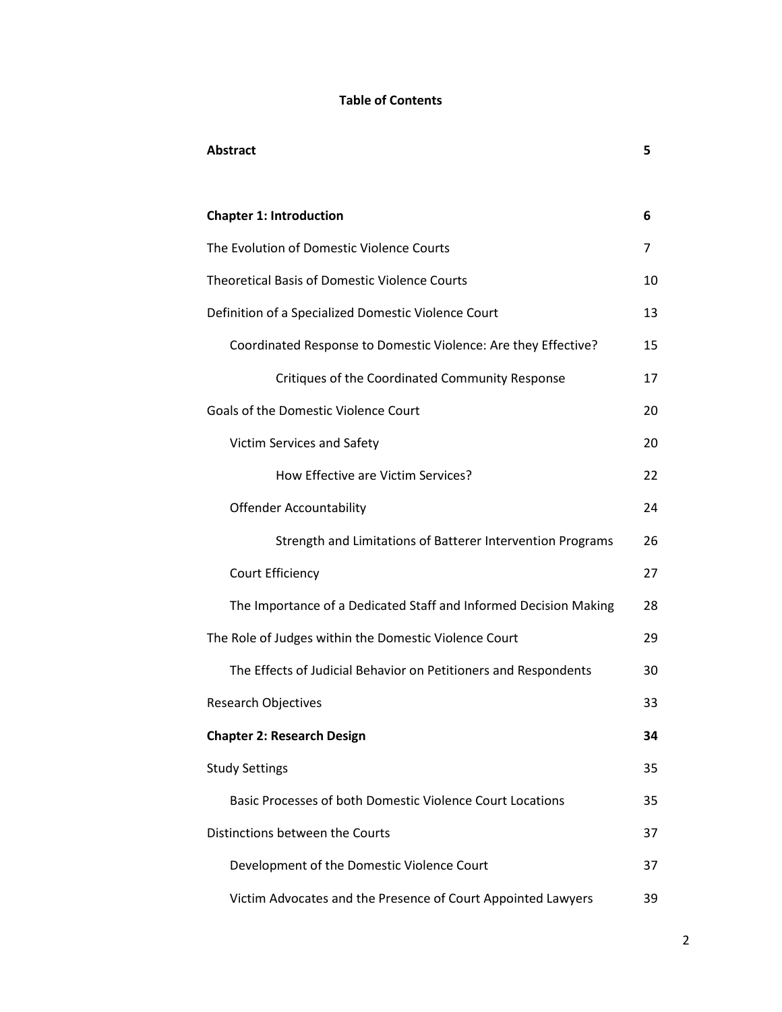# **Table of Contents**

| <b>Abstract</b>                                                  | 5  |
|------------------------------------------------------------------|----|
| <b>Chapter 1: Introduction</b>                                   | 6  |
| The Evolution of Domestic Violence Courts                        | 7  |
| <b>Theoretical Basis of Domestic Violence Courts</b>             | 10 |
| Definition of a Specialized Domestic Violence Court              | 13 |
| Coordinated Response to Domestic Violence: Are they Effective?   | 15 |
| Critiques of the Coordinated Community Response                  | 17 |
| Goals of the Domestic Violence Court                             | 20 |
| Victim Services and Safety                                       | 20 |
| How Effective are Victim Services?                               | 22 |
| <b>Offender Accountability</b>                                   | 24 |
| Strength and Limitations of Batterer Intervention Programs       | 26 |
| Court Efficiency                                                 | 27 |
| The Importance of a Dedicated Staff and Informed Decision Making | 28 |
| The Role of Judges within the Domestic Violence Court            | 29 |
| The Effects of Judicial Behavior on Petitioners and Respondents  | 30 |
| <b>Research Objectives</b>                                       | 33 |
| <b>Chapter 2: Research Design</b>                                | 34 |
| <b>Study Settings</b>                                            | 35 |
| Basic Processes of both Domestic Violence Court Locations        | 35 |
| Distinctions between the Courts                                  | 37 |
| Development of the Domestic Violence Court                       | 37 |
| Victim Advocates and the Presence of Court Appointed Lawyers     | 39 |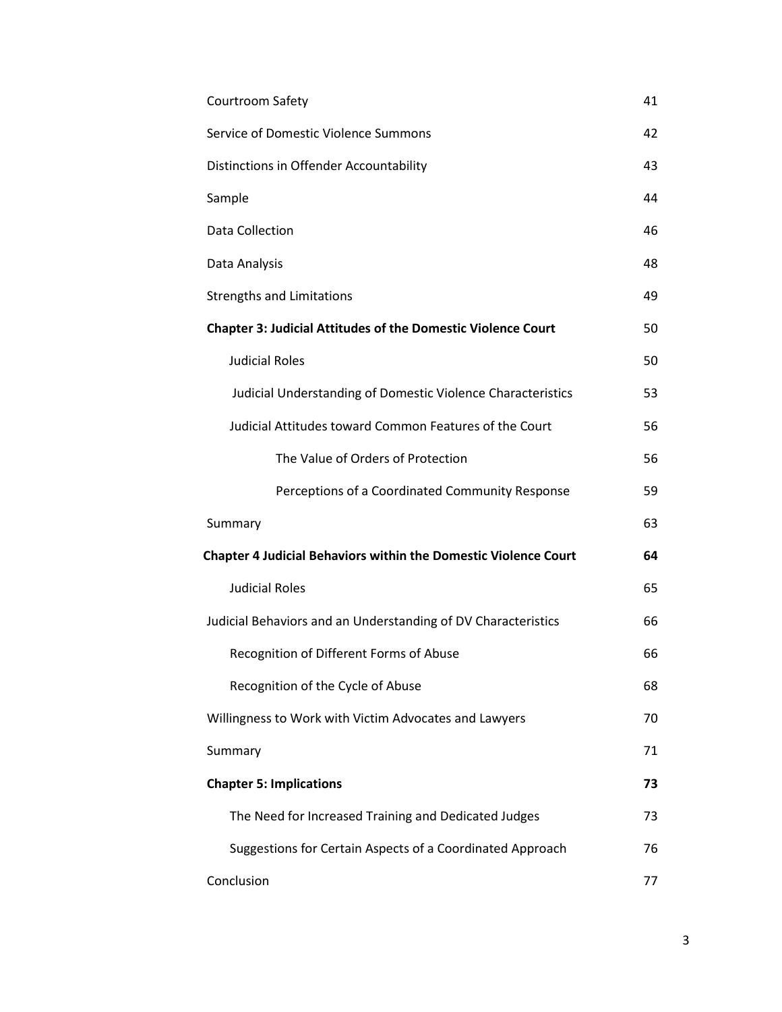| Courtroom Safety                                                       | 41 |
|------------------------------------------------------------------------|----|
| Service of Domestic Violence Summons                                   | 42 |
| Distinctions in Offender Accountability                                | 43 |
| Sample                                                                 | 44 |
| <b>Data Collection</b>                                                 | 46 |
| Data Analysis                                                          | 48 |
| <b>Strengths and Limitations</b>                                       | 49 |
| <b>Chapter 3: Judicial Attitudes of the Domestic Violence Court</b>    | 50 |
| <b>Judicial Roles</b>                                                  | 50 |
| Judicial Understanding of Domestic Violence Characteristics            | 53 |
| Judicial Attitudes toward Common Features of the Court                 | 56 |
| The Value of Orders of Protection                                      | 56 |
| Perceptions of a Coordinated Community Response                        | 59 |
| Summary                                                                | 63 |
| <b>Chapter 4 Judicial Behaviors within the Domestic Violence Court</b> | 64 |
| <b>Judicial Roles</b>                                                  | 65 |
| Judicial Behaviors and an Understanding of DV Characteristics          | 66 |
| Recognition of Different Forms of Abuse                                | 66 |
| Recognition of the Cycle of Abuse                                      | 68 |
| Willingness to Work with Victim Advocates and Lawyers                  | 70 |
| Summary                                                                | 71 |
| <b>Chapter 5: Implications</b>                                         | 73 |
| The Need for Increased Training and Dedicated Judges                   | 73 |
| Suggestions for Certain Aspects of a Coordinated Approach              | 76 |
| Conclusion                                                             | 77 |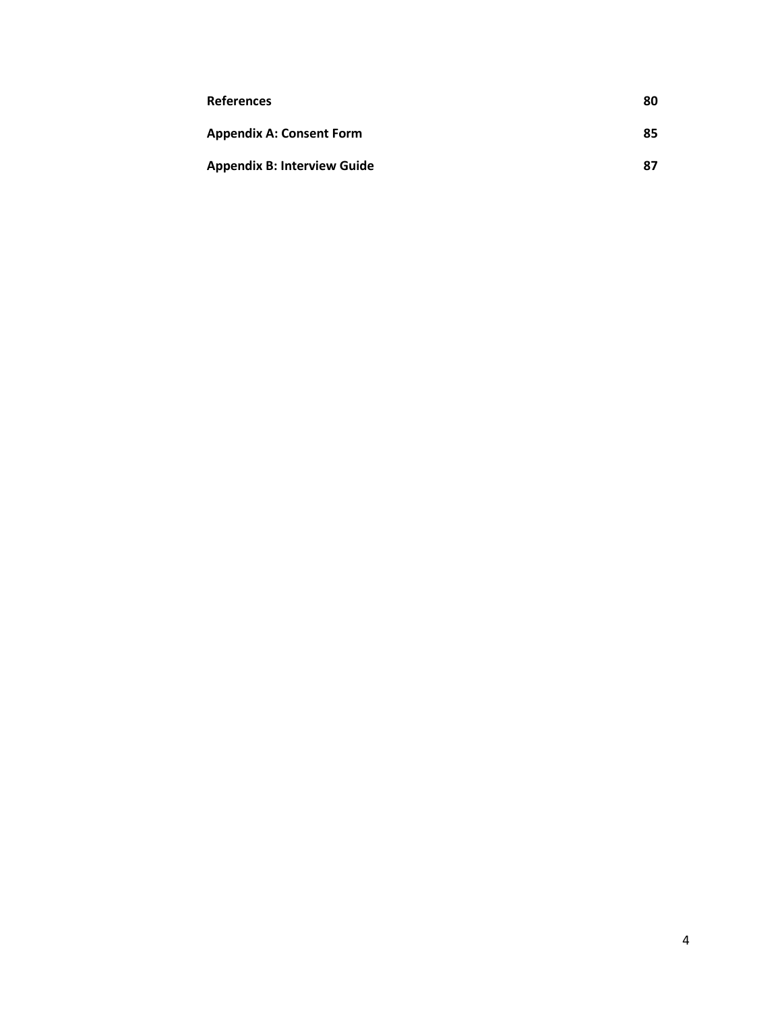| <b>References</b>                  | 80 |
|------------------------------------|----|
| <b>Appendix A: Consent Form</b>    | 85 |
| <b>Appendix B: Interview Guide</b> | 87 |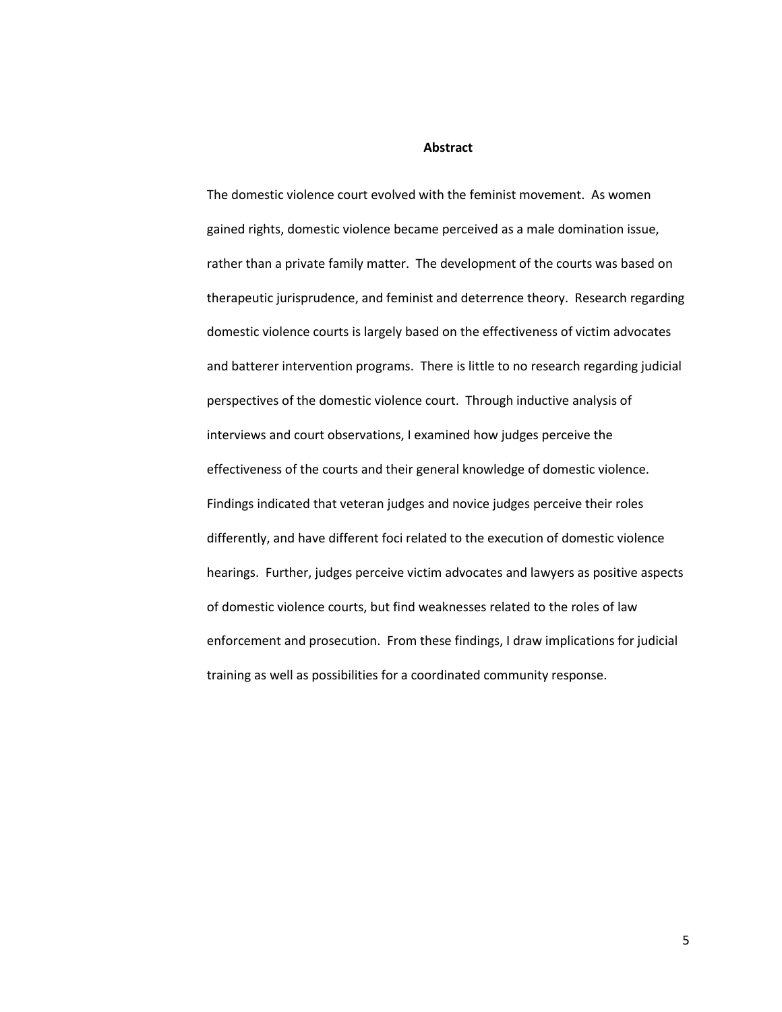#### **Abstract**

The domestic violence court evolved with the feminist movement. As women gained rights, domestic violence became perceived as a male domination issue, rather than a private family matter. The development of the courts was based on therapeutic jurisprudence, and feminist and deterrence theory. Research regarding domestic violence courts is largely based on the effectiveness of victim advocates and batterer intervention programs. There is little to no research regarding judicial perspectives of the domestic violence court. Through inductive analysis of interviews and court observations, I examined how judges perceive the effectiveness of the courts and their general knowledge of domestic violence. Findings indicated that veteran judges and novice judges perceive their roles differently, and have different foci related to the execution of domestic violence hearings. Further, judges perceive victim advocates and lawyers as positive aspects of domestic violence courts, but find weaknesses related to the roles of law enforcement and prosecution. From these findings, I draw implications for judicial training as well as possibilities for a coordinated community response.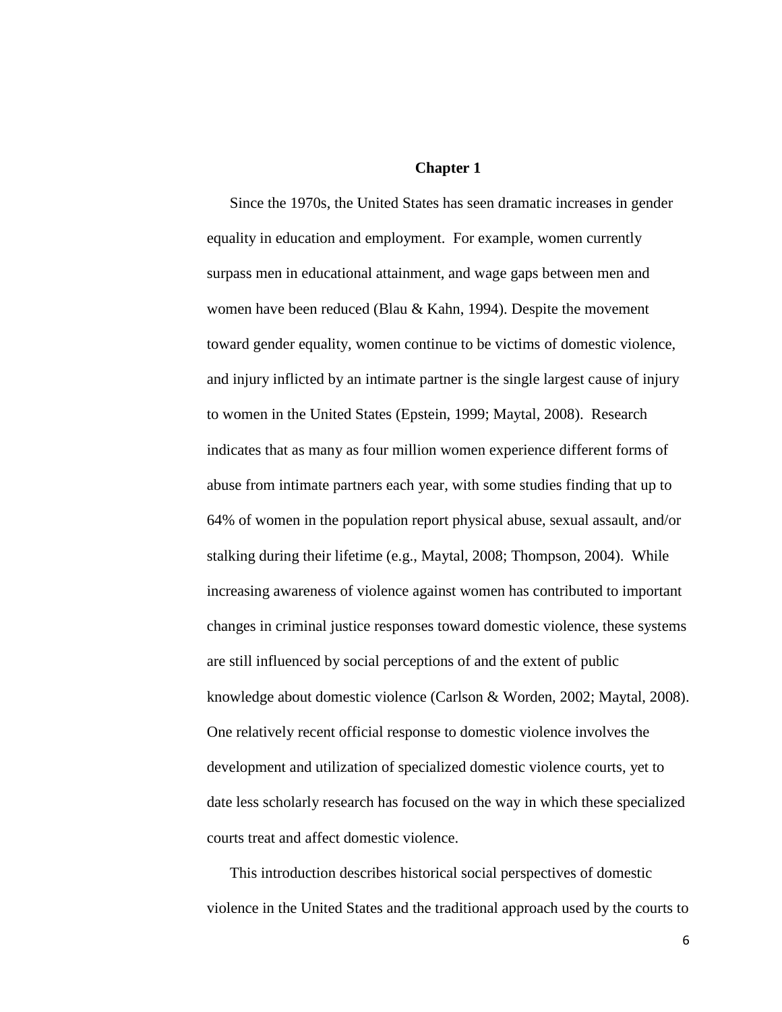### **Chapter 1**

Since the 1970s, the United States has seen dramatic increases in gender equality in education and employment. For example, women currently surpass men in educational attainment, and wage gaps between men and women have been reduced (Blau & Kahn, 1994). Despite the movement toward gender equality, women continue to be victims of domestic violence, and injury inflicted by an intimate partner is the single largest cause of injury to women in the United States (Epstein, 1999; Maytal, 2008). Research indicates that as many as four million women experience different forms of abuse from intimate partners each year, with some studies finding that up to 64% of women in the population report physical abuse, sexual assault, and/or stalking during their lifetime (e.g., Maytal, 2008; Thompson, 2004). While increasing awareness of violence against women has contributed to important changes in criminal justice responses toward domestic violence, these systems are still influenced by social perceptions of and the extent of public knowledge about domestic violence (Carlson & Worden, 2002; Maytal, 2008). One relatively recent official response to domestic violence involves the development and utilization of specialized domestic violence courts, yet to date less scholarly research has focused on the way in which these specialized courts treat and affect domestic violence.

This introduction describes historical social perspectives of domestic violence in the United States and the traditional approach used by the courts to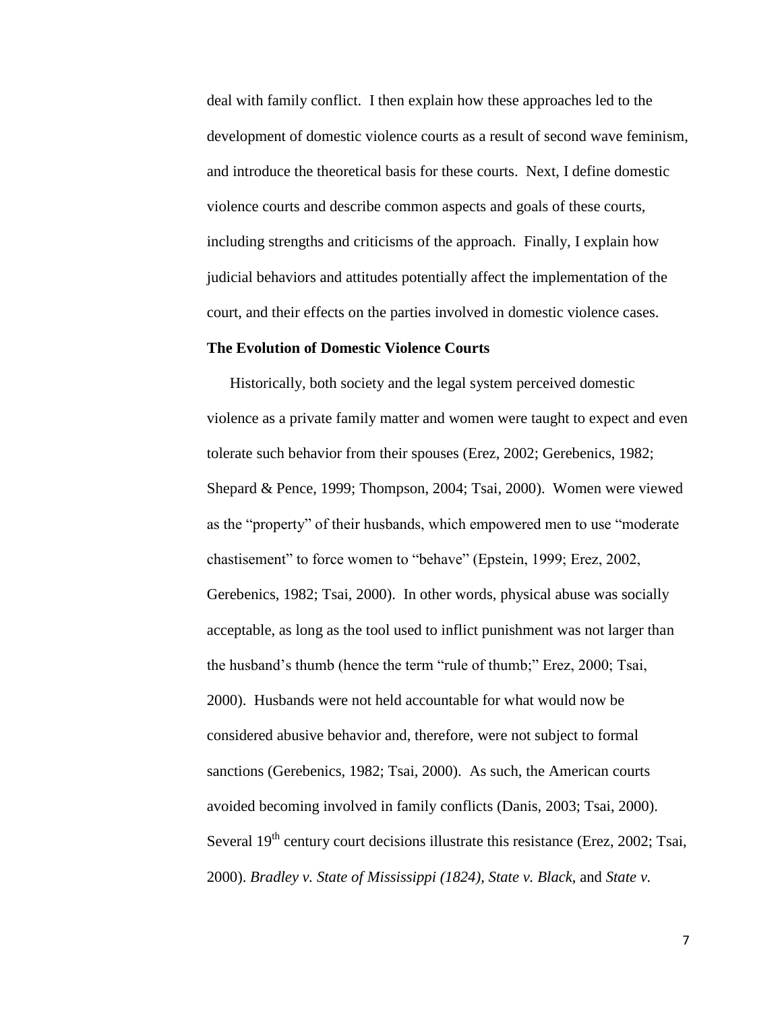deal with family conflict. I then explain how these approaches led to the development of domestic violence courts as a result of second wave feminism, and introduce the theoretical basis for these courts. Next, I define domestic violence courts and describe common aspects and goals of these courts, including strengths and criticisms of the approach. Finally, I explain how judicial behaviors and attitudes potentially affect the implementation of the court, and their effects on the parties involved in domestic violence cases.

#### **The Evolution of Domestic Violence Courts**

Historically, both society and the legal system perceived domestic violence as a private family matter and women were taught to expect and even tolerate such behavior from their spouses (Erez, 2002; Gerebenics, 1982; Shepard & Pence, 1999; Thompson, 2004; Tsai, 2000). Women were viewed as the "property" of their husbands, which empowered men to use "moderate chastisement" to force women to "behave" (Epstein, 1999; Erez, 2002, Gerebenics, 1982; Tsai, 2000). In other words, physical abuse was socially acceptable, as long as the tool used to inflict punishment was not larger than the husband's thumb (hence the term "rule of thumb;" Erez, 2000; Tsai, 2000). Husbands were not held accountable for what would now be considered abusive behavior and, therefore, were not subject to formal sanctions (Gerebenics, 1982; Tsai, 2000). As such, the American courts avoided becoming involved in family conflicts (Danis, 2003; Tsai, 2000). Several 19<sup>th</sup> century court decisions illustrate this resistance (Erez, 2002; Tsai, 2000). *Bradley v. State of Mississippi (1824)*, *State v. Black*, and *State v.*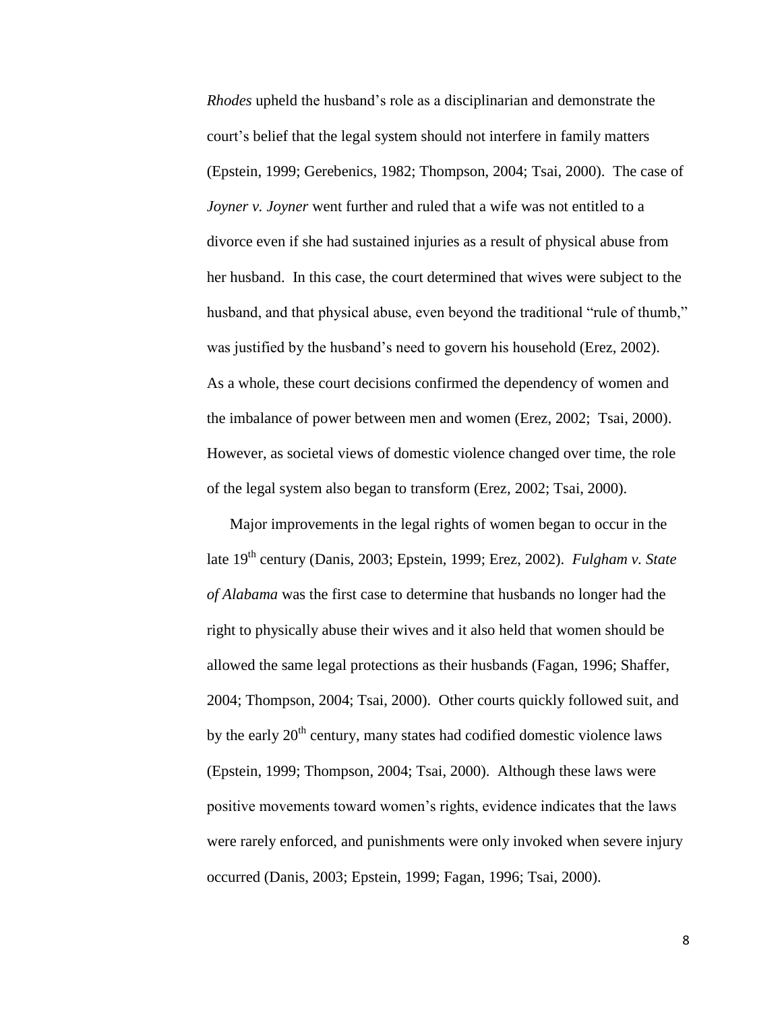*Rhodes* upheld the husband's role as a disciplinarian and demonstrate the court's belief that the legal system should not interfere in family matters (Epstein, 1999; Gerebenics, 1982; Thompson, 2004; Tsai, 2000). The case of *Joyner v. Joyner* went further and ruled that a wife was not entitled to a divorce even if she had sustained injuries as a result of physical abuse from her husband. In this case, the court determined that wives were subject to the husband, and that physical abuse, even beyond the traditional "rule of thumb," was justified by the husband's need to govern his household (Erez, 2002). As a whole, these court decisions confirmed the dependency of women and the imbalance of power between men and women (Erez, 2002; Tsai, 2000). However, as societal views of domestic violence changed over time, the role of the legal system also began to transform (Erez, 2002; Tsai, 2000).

Major improvements in the legal rights of women began to occur in the late 19<sup>th</sup> century (Danis, 2003; Epstein, 1999; Erez, 2002). *Fulgham v. State of Alabama* was the first case to determine that husbands no longer had the right to physically abuse their wives and it also held that women should be allowed the same legal protections as their husbands (Fagan, 1996; Shaffer, 2004; Thompson, 2004; Tsai, 2000). Other courts quickly followed suit, and by the early  $20<sup>th</sup>$  century, many states had codified domestic violence laws (Epstein, 1999; Thompson, 2004; Tsai, 2000). Although these laws were positive movements toward women's rights, evidence indicates that the laws were rarely enforced, and punishments were only invoked when severe injury occurred (Danis, 2003; Epstein, 1999; Fagan, 1996; Tsai, 2000).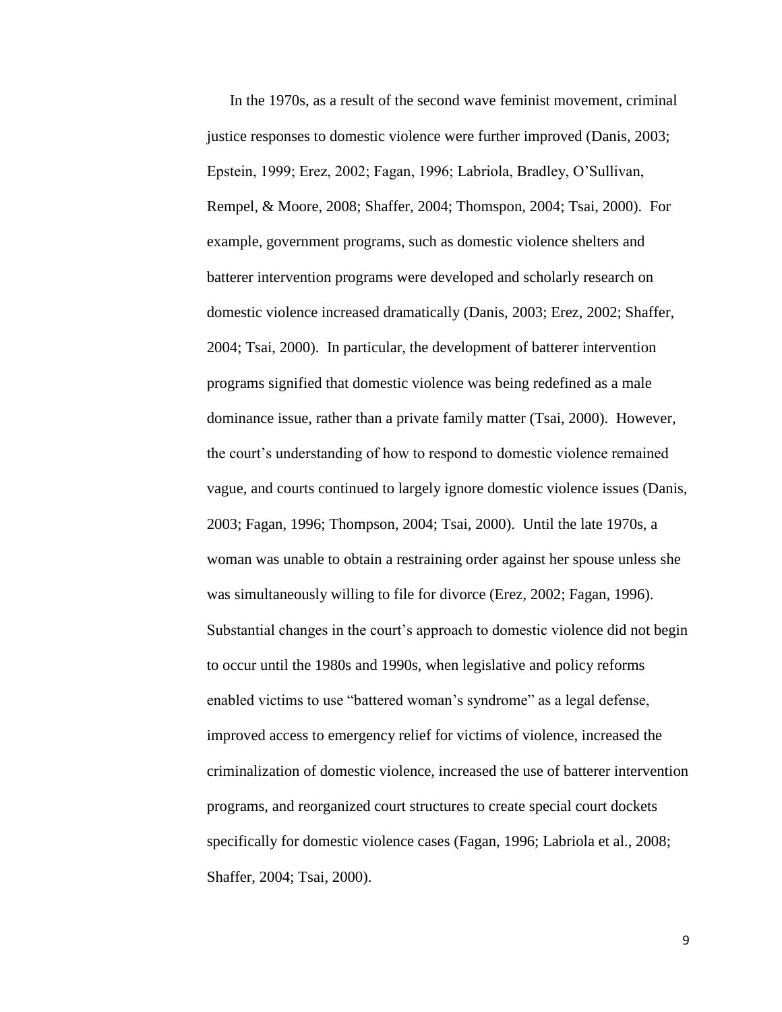In the 1970s, as a result of the second wave feminist movement, criminal justice responses to domestic violence were further improved (Danis, 2003; Epstein, 1999; Erez, 2002; Fagan, 1996; Labriola, Bradley, O'Sullivan, Rempel, & Moore, 2008; Shaffer, 2004; Thomspon, 2004; Tsai, 2000). For example, government programs, such as domestic violence shelters and batterer intervention programs were developed and scholarly research on domestic violence increased dramatically (Danis, 2003; Erez, 2002; Shaffer, 2004; Tsai, 2000). In particular, the development of batterer intervention programs signified that domestic violence was being redefined as a male dominance issue, rather than a private family matter (Tsai, 2000). However, the court's understanding of how to respond to domestic violence remained vague, and courts continued to largely ignore domestic violence issues (Danis, 2003; Fagan, 1996; Thompson, 2004; Tsai, 2000). Until the late 1970s, a woman was unable to obtain a restraining order against her spouse unless she was simultaneously willing to file for divorce (Erez, 2002; Fagan, 1996). Substantial changes in the court's approach to domestic violence did not begin to occur until the 1980s and 1990s, when legislative and policy reforms enabled victims to use "battered woman's syndrome" as a legal defense, improved access to emergency relief for victims of violence, increased the criminalization of domestic violence, increased the use of batterer intervention programs, and reorganized court structures to create special court dockets specifically for domestic violence cases (Fagan, 1996; Labriola et al., 2008; Shaffer, 2004; Tsai, 2000).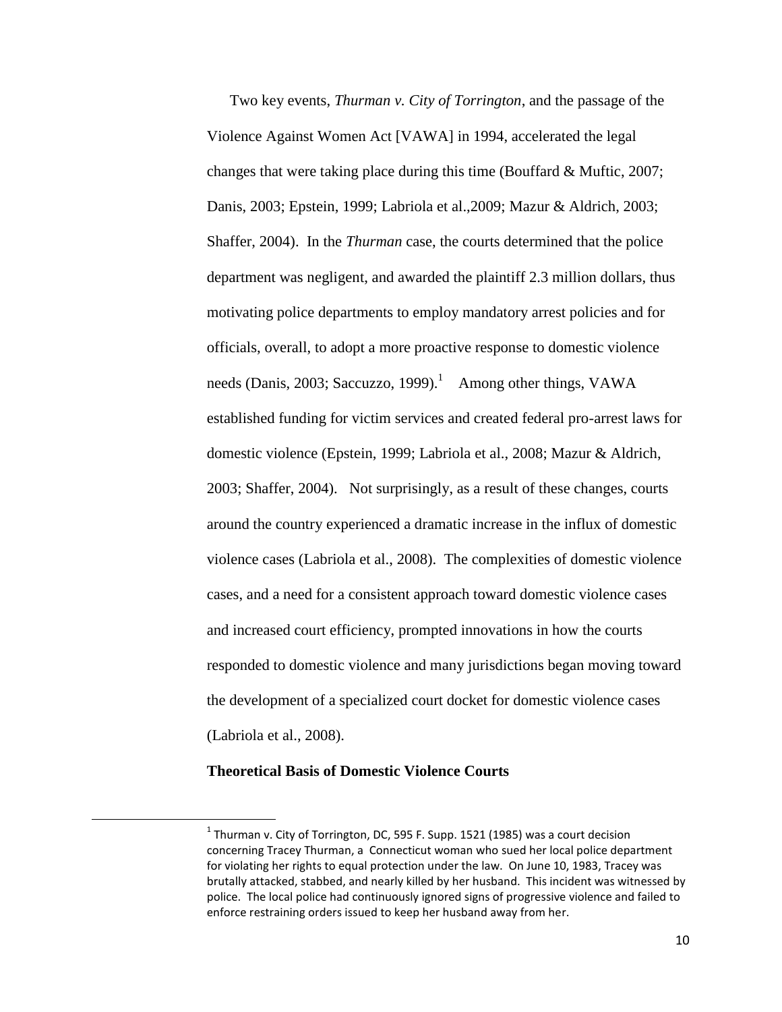Two key events, *Thurman v. City of Torrington*, and the passage of the Violence Against Women Act [VAWA] in 1994, accelerated the legal changes that were taking place during this time (Bouffard & Muftic, 2007; Danis, 2003; Epstein, 1999; Labriola et al.,2009; Mazur & Aldrich, 2003; Shaffer, 2004). In the *Thurman* case, the courts determined that the police department was negligent, and awarded the plaintiff 2.3 million dollars, thus motivating police departments to employ mandatory arrest policies and for officials, overall, to adopt a more proactive response to domestic violence needs (Danis, 2003; Saccuzzo, 1999).<sup>1</sup> Among other things, VAWA established funding for victim services and created federal pro-arrest laws for domestic violence (Epstein, 1999; Labriola et al., 2008; Mazur & Aldrich, 2003; Shaffer, 2004). Not surprisingly, as a result of these changes, courts around the country experienced a dramatic increase in the influx of domestic violence cases (Labriola et al., 2008). The complexities of domestic violence cases, and a need for a consistent approach toward domestic violence cases and increased court efficiency, prompted innovations in how the courts responded to domestic violence and many jurisdictions began moving toward the development of a specialized court docket for domestic violence cases (Labriola et al., 2008).

#### **Theoretical Basis of Domestic Violence Courts**

 $\overline{a}$ 

 $^1$  Thurman v. City of Torrington, DC, 595 F. Supp. 1521 (1985) was a court decision concerning Tracey Thurman, a Connecticut woman who sued her local police department for violating her rights to equal protection under the law. On June 10, 1983, Tracey was brutally attacked, stabbed, and nearly killed by her husband. This incident was witnessed by police. The local police had continuously ignored signs of progressive violence and failed to enforce restraining orders issued to keep her husband away from her.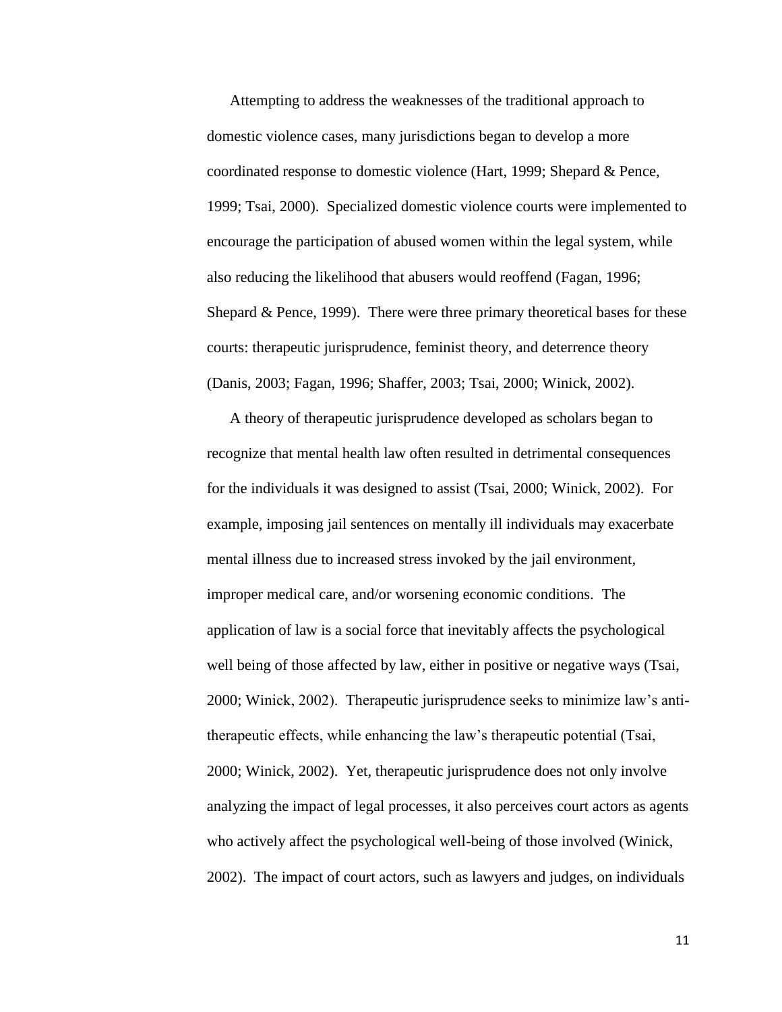Attempting to address the weaknesses of the traditional approach to domestic violence cases, many jurisdictions began to develop a more coordinated response to domestic violence (Hart, 1999; Shepard & Pence, 1999; Tsai, 2000). Specialized domestic violence courts were implemented to encourage the participation of abused women within the legal system, while also reducing the likelihood that abusers would reoffend (Fagan, 1996; Shepard  $&$  Pence, 1999). There were three primary theoretical bases for these courts: therapeutic jurisprudence, feminist theory, and deterrence theory (Danis, 2003; Fagan, 1996; Shaffer, 2003; Tsai, 2000; Winick, 2002).

A theory of therapeutic jurisprudence developed as scholars began to recognize that mental health law often resulted in detrimental consequences for the individuals it was designed to assist (Tsai, 2000; Winick, 2002). For example, imposing jail sentences on mentally ill individuals may exacerbate mental illness due to increased stress invoked by the jail environment, improper medical care, and/or worsening economic conditions. The application of law is a social force that inevitably affects the psychological well being of those affected by law, either in positive or negative ways (Tsai, 2000; Winick, 2002). Therapeutic jurisprudence seeks to minimize law's antitherapeutic effects, while enhancing the law's therapeutic potential (Tsai, 2000; Winick, 2002). Yet, therapeutic jurisprudence does not only involve analyzing the impact of legal processes, it also perceives court actors as agents who actively affect the psychological well-being of those involved (Winick, 2002). The impact of court actors, such as lawyers and judges, on individuals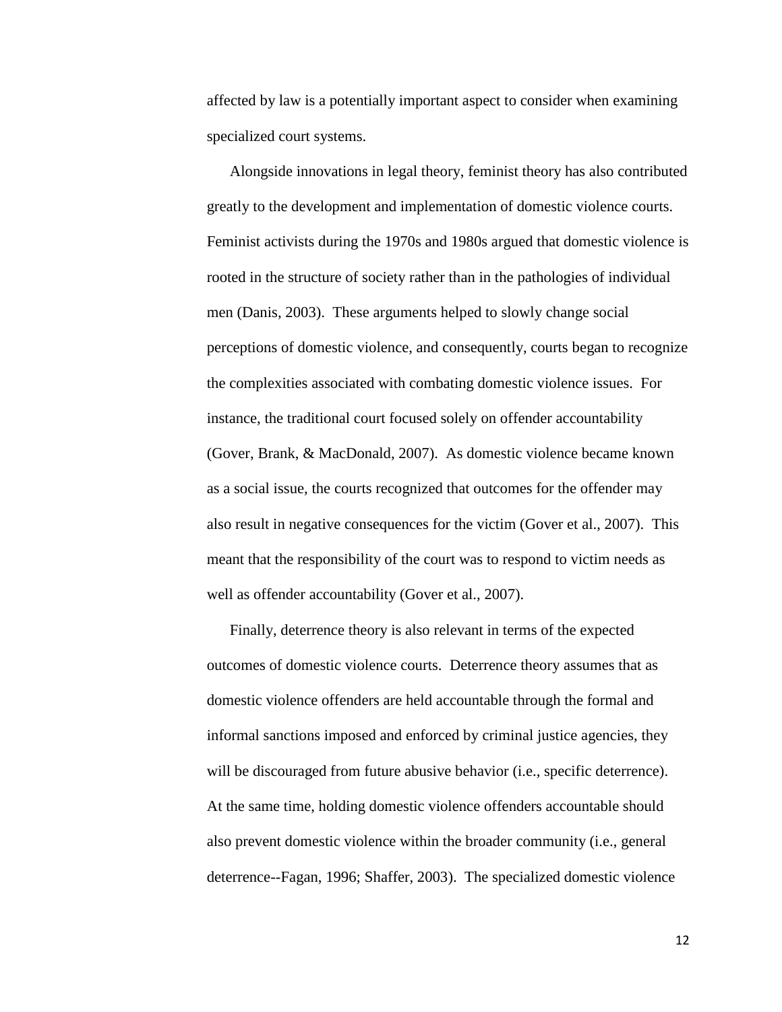affected by law is a potentially important aspect to consider when examining specialized court systems.

Alongside innovations in legal theory, feminist theory has also contributed greatly to the development and implementation of domestic violence courts. Feminist activists during the 1970s and 1980s argued that domestic violence is rooted in the structure of society rather than in the pathologies of individual men (Danis, 2003). These arguments helped to slowly change social perceptions of domestic violence, and consequently, courts began to recognize the complexities associated with combating domestic violence issues. For instance, the traditional court focused solely on offender accountability (Gover, Brank, & MacDonald, 2007). As domestic violence became known as a social issue, the courts recognized that outcomes for the offender may also result in negative consequences for the victim (Gover et al., 2007). This meant that the responsibility of the court was to respond to victim needs as well as offender accountability (Gover et al., 2007).

Finally, deterrence theory is also relevant in terms of the expected outcomes of domestic violence courts. Deterrence theory assumes that as domestic violence offenders are held accountable through the formal and informal sanctions imposed and enforced by criminal justice agencies, they will be discouraged from future abusive behavior (i.e., specific deterrence). At the same time, holding domestic violence offenders accountable should also prevent domestic violence within the broader community (i.e., general deterrence--Fagan, 1996; Shaffer, 2003). The specialized domestic violence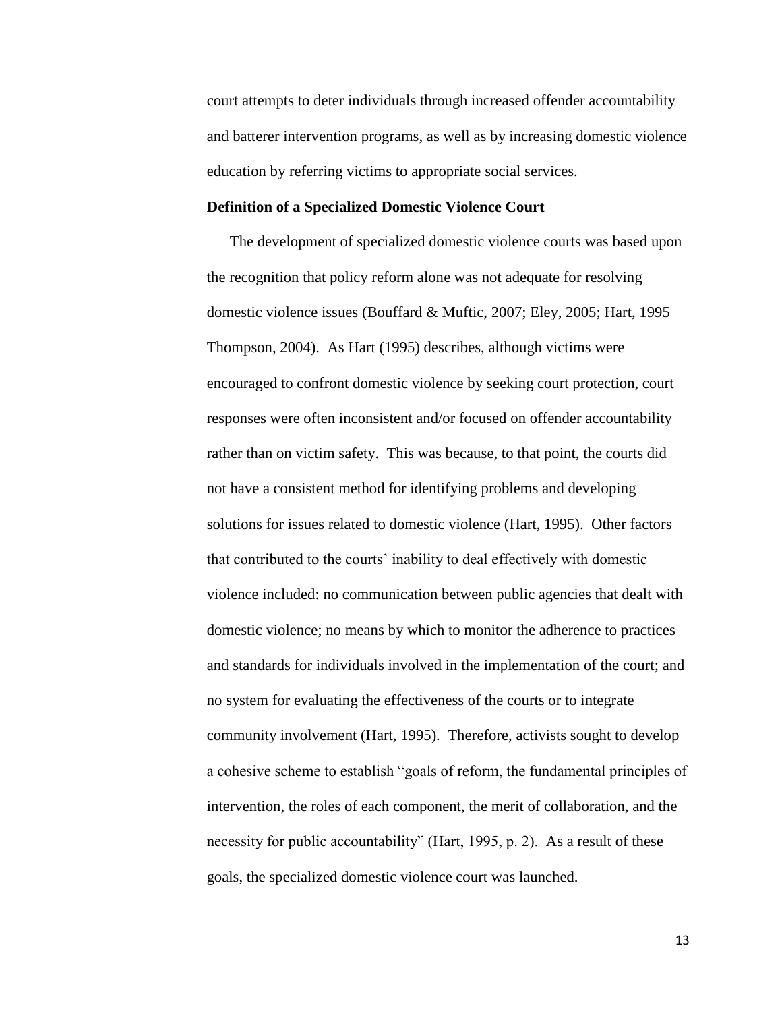court attempts to deter individuals through increased offender accountability and batterer intervention programs, as well as by increasing domestic violence education by referring victims to appropriate social services.

#### **Definition of a Specialized Domestic Violence Court**

The development of specialized domestic violence courts was based upon the recognition that policy reform alone was not adequate for resolving domestic violence issues (Bouffard & Muftic, 2007; Eley, 2005; Hart, 1995 Thompson, 2004). As Hart (1995) describes, although victims were encouraged to confront domestic violence by seeking court protection, court responses were often inconsistent and/or focused on offender accountability rather than on victim safety. This was because, to that point, the courts did not have a consistent method for identifying problems and developing solutions for issues related to domestic violence (Hart, 1995). Other factors that contributed to the courts' inability to deal effectively with domestic violence included: no communication between public agencies that dealt with domestic violence; no means by which to monitor the adherence to practices and standards for individuals involved in the implementation of the court; and no system for evaluating the effectiveness of the courts or to integrate community involvement (Hart, 1995). Therefore, activists sought to develop a cohesive scheme to establish "goals of reform, the fundamental principles of intervention, the roles of each component, the merit of collaboration, and the necessity for public accountability" (Hart, 1995, p. 2). As a result of these goals, the specialized domestic violence court was launched.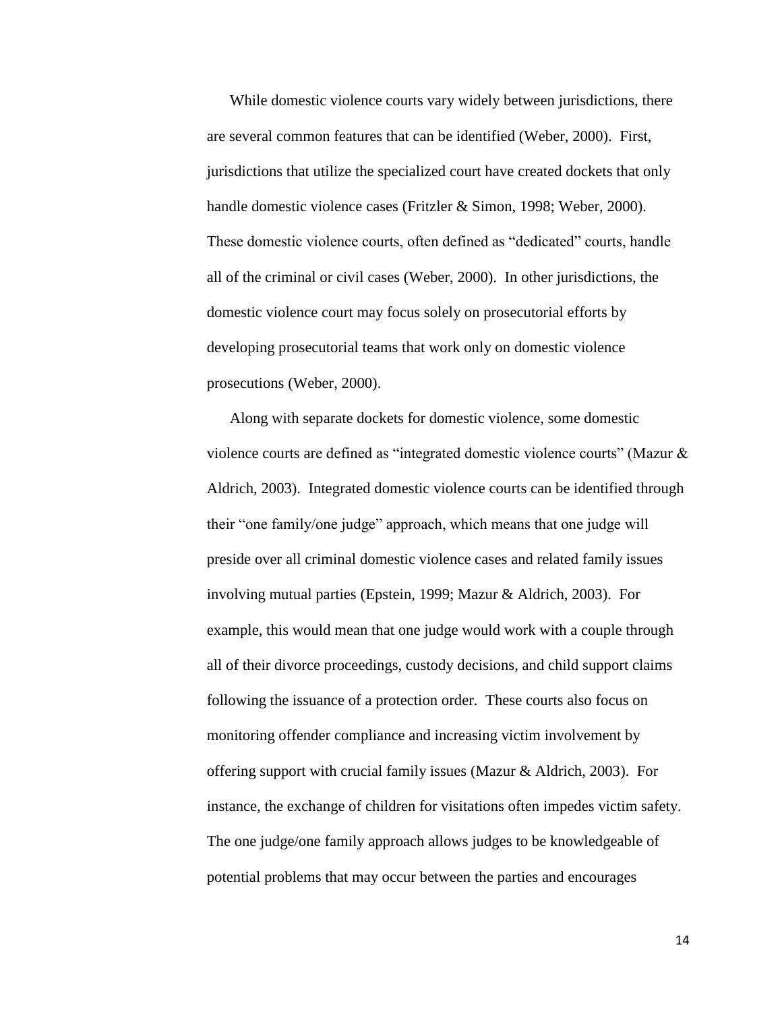While domestic violence courts vary widely between jurisdictions, there are several common features that can be identified (Weber, 2000). First, jurisdictions that utilize the specialized court have created dockets that only handle domestic violence cases (Fritzler & Simon, 1998; Weber, 2000). These domestic violence courts, often defined as "dedicated" courts, handle all of the criminal or civil cases (Weber, 2000). In other jurisdictions, the domestic violence court may focus solely on prosecutorial efforts by developing prosecutorial teams that work only on domestic violence prosecutions (Weber, 2000).

Along with separate dockets for domestic violence, some domestic violence courts are defined as "integrated domestic violence courts" (Mazur & Aldrich, 2003). Integrated domestic violence courts can be identified through their "one family/one judge" approach, which means that one judge will preside over all criminal domestic violence cases and related family issues involving mutual parties (Epstein, 1999; Mazur & Aldrich, 2003). For example, this would mean that one judge would work with a couple through all of their divorce proceedings, custody decisions, and child support claims following the issuance of a protection order. These courts also focus on monitoring offender compliance and increasing victim involvement by offering support with crucial family issues (Mazur & Aldrich, 2003). For instance, the exchange of children for visitations often impedes victim safety. The one judge/one family approach allows judges to be knowledgeable of potential problems that may occur between the parties and encourages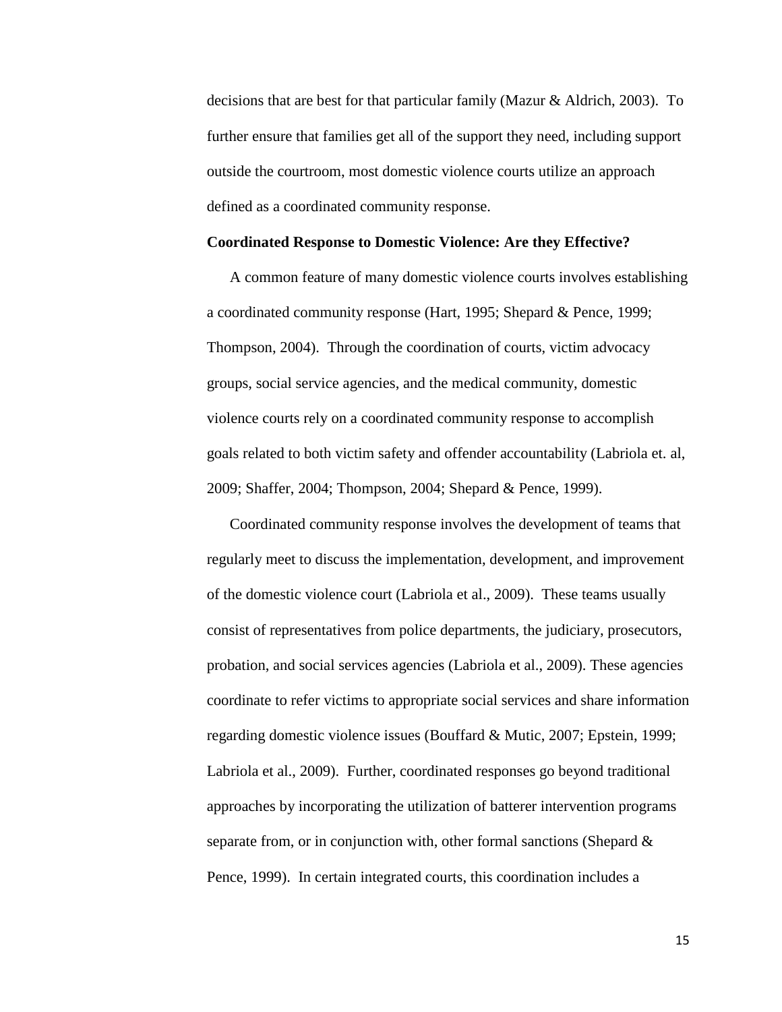decisions that are best for that particular family (Mazur & Aldrich, 2003). To further ensure that families get all of the support they need, including support outside the courtroom, most domestic violence courts utilize an approach defined as a coordinated community response.

#### **Coordinated Response to Domestic Violence: Are they Effective?**

A common feature of many domestic violence courts involves establishing a coordinated community response (Hart, 1995; Shepard & Pence, 1999; Thompson, 2004). Through the coordination of courts, victim advocacy groups, social service agencies, and the medical community, domestic violence courts rely on a coordinated community response to accomplish goals related to both victim safety and offender accountability (Labriola et. al, 2009; Shaffer, 2004; Thompson, 2004; Shepard & Pence, 1999).

Coordinated community response involves the development of teams that regularly meet to discuss the implementation, development, and improvement of the domestic violence court (Labriola et al., 2009). These teams usually consist of representatives from police departments, the judiciary, prosecutors, probation, and social services agencies (Labriola et al., 2009). These agencies coordinate to refer victims to appropriate social services and share information regarding domestic violence issues (Bouffard & Mutic, 2007; Epstein, 1999; Labriola et al., 2009). Further, coordinated responses go beyond traditional approaches by incorporating the utilization of batterer intervention programs separate from, or in conjunction with, other formal sanctions (Shepard & Pence, 1999). In certain integrated courts, this coordination includes a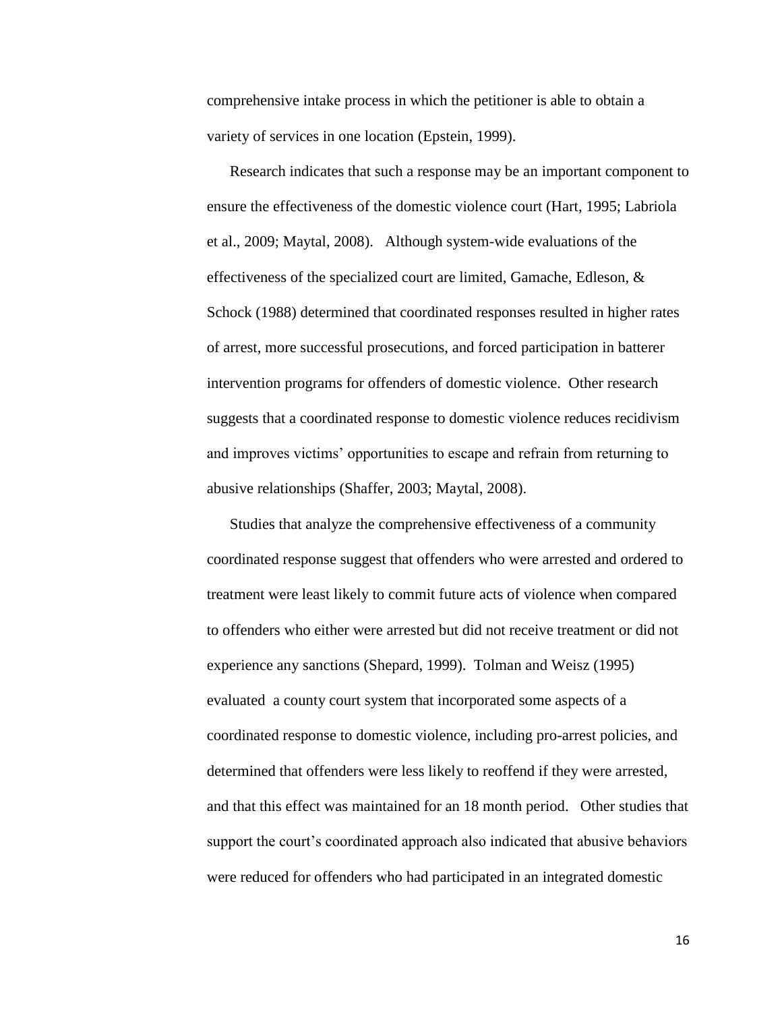comprehensive intake process in which the petitioner is able to obtain a variety of services in one location (Epstein, 1999).

Research indicates that such a response may be an important component to ensure the effectiveness of the domestic violence court (Hart, 1995; Labriola et al., 2009; Maytal, 2008). Although system-wide evaluations of the effectiveness of the specialized court are limited, Gamache, Edleson, & Schock (1988) determined that coordinated responses resulted in higher rates of arrest, more successful prosecutions, and forced participation in batterer intervention programs for offenders of domestic violence. Other research suggests that a coordinated response to domestic violence reduces recidivism and improves victims' opportunities to escape and refrain from returning to abusive relationships (Shaffer, 2003; Maytal, 2008).

Studies that analyze the comprehensive effectiveness of a community coordinated response suggest that offenders who were arrested and ordered to treatment were least likely to commit future acts of violence when compared to offenders who either were arrested but did not receive treatment or did not experience any sanctions (Shepard, 1999). Tolman and Weisz (1995) evaluated a county court system that incorporated some aspects of a coordinated response to domestic violence, including pro-arrest policies, and determined that offenders were less likely to reoffend if they were arrested, and that this effect was maintained for an 18 month period. Other studies that support the court's coordinated approach also indicated that abusive behaviors were reduced for offenders who had participated in an integrated domestic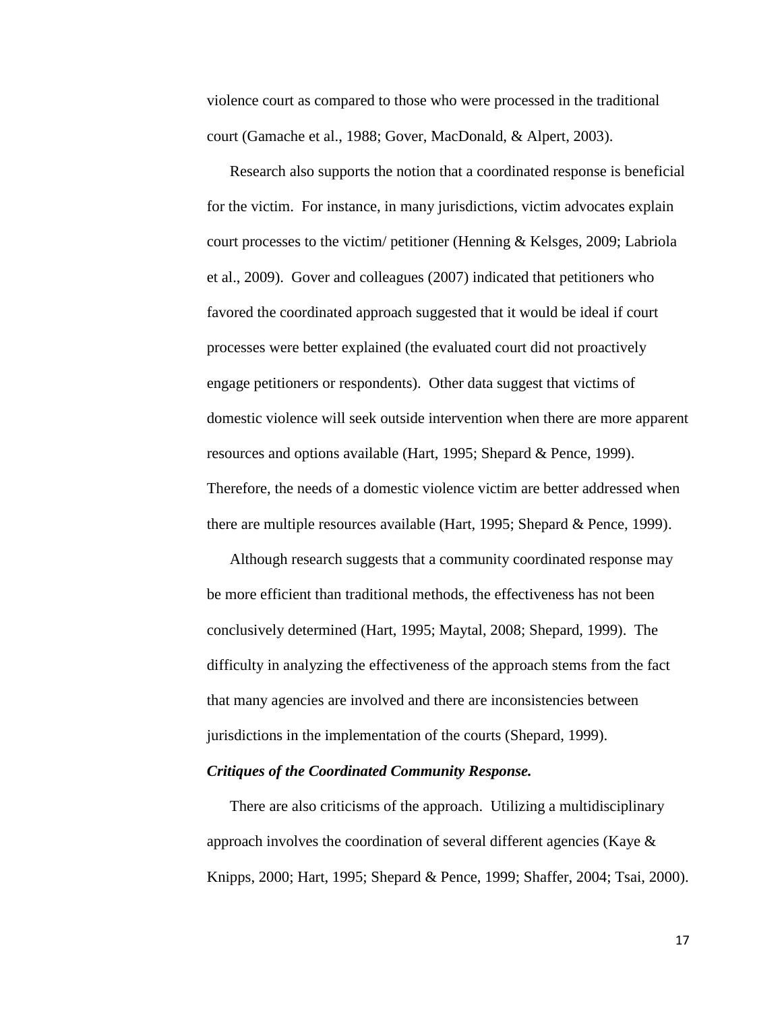violence court as compared to those who were processed in the traditional court (Gamache et al., 1988; Gover, MacDonald, & Alpert, 2003).

Research also supports the notion that a coordinated response is beneficial for the victim. For instance, in many jurisdictions, victim advocates explain court processes to the victim/ petitioner (Henning & Kelsges, 2009; Labriola et al., 2009). Gover and colleagues (2007) indicated that petitioners who favored the coordinated approach suggested that it would be ideal if court processes were better explained (the evaluated court did not proactively engage petitioners or respondents). Other data suggest that victims of domestic violence will seek outside intervention when there are more apparent resources and options available (Hart, 1995; Shepard & Pence, 1999). Therefore, the needs of a domestic violence victim are better addressed when there are multiple resources available (Hart, 1995; Shepard & Pence, 1999).

Although research suggests that a community coordinated response may be more efficient than traditional methods, the effectiveness has not been conclusively determined (Hart, 1995; Maytal, 2008; Shepard, 1999). The difficulty in analyzing the effectiveness of the approach stems from the fact that many agencies are involved and there are inconsistencies between jurisdictions in the implementation of the courts (Shepard, 1999).

#### *Critiques of the Coordinated Community Response.*

There are also criticisms of the approach. Utilizing a multidisciplinary approach involves the coordination of several different agencies (Kaye & Knipps, 2000; Hart, 1995; Shepard & Pence, 1999; Shaffer, 2004; Tsai, 2000).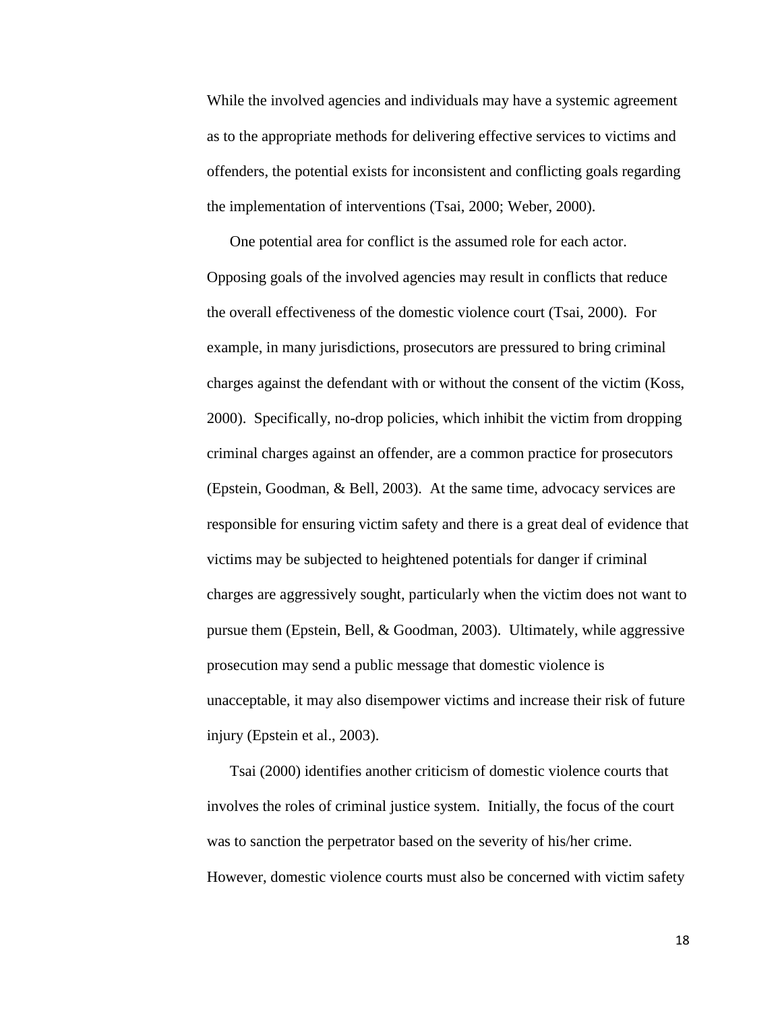While the involved agencies and individuals may have a systemic agreement as to the appropriate methods for delivering effective services to victims and offenders, the potential exists for inconsistent and conflicting goals regarding the implementation of interventions (Tsai, 2000; Weber, 2000).

One potential area for conflict is the assumed role for each actor. Opposing goals of the involved agencies may result in conflicts that reduce the overall effectiveness of the domestic violence court (Tsai, 2000). For example, in many jurisdictions, prosecutors are pressured to bring criminal charges against the defendant with or without the consent of the victim (Koss, 2000). Specifically, no-drop policies, which inhibit the victim from dropping criminal charges against an offender, are a common practice for prosecutors (Epstein, Goodman, & Bell, 2003). At the same time, advocacy services are responsible for ensuring victim safety and there is a great deal of evidence that victims may be subjected to heightened potentials for danger if criminal charges are aggressively sought, particularly when the victim does not want to pursue them (Epstein, Bell, & Goodman, 2003). Ultimately, while aggressive prosecution may send a public message that domestic violence is unacceptable, it may also disempower victims and increase their risk of future injury (Epstein et al., 2003).

Tsai (2000) identifies another criticism of domestic violence courts that involves the roles of criminal justice system. Initially, the focus of the court was to sanction the perpetrator based on the severity of his/her crime. However, domestic violence courts must also be concerned with victim safety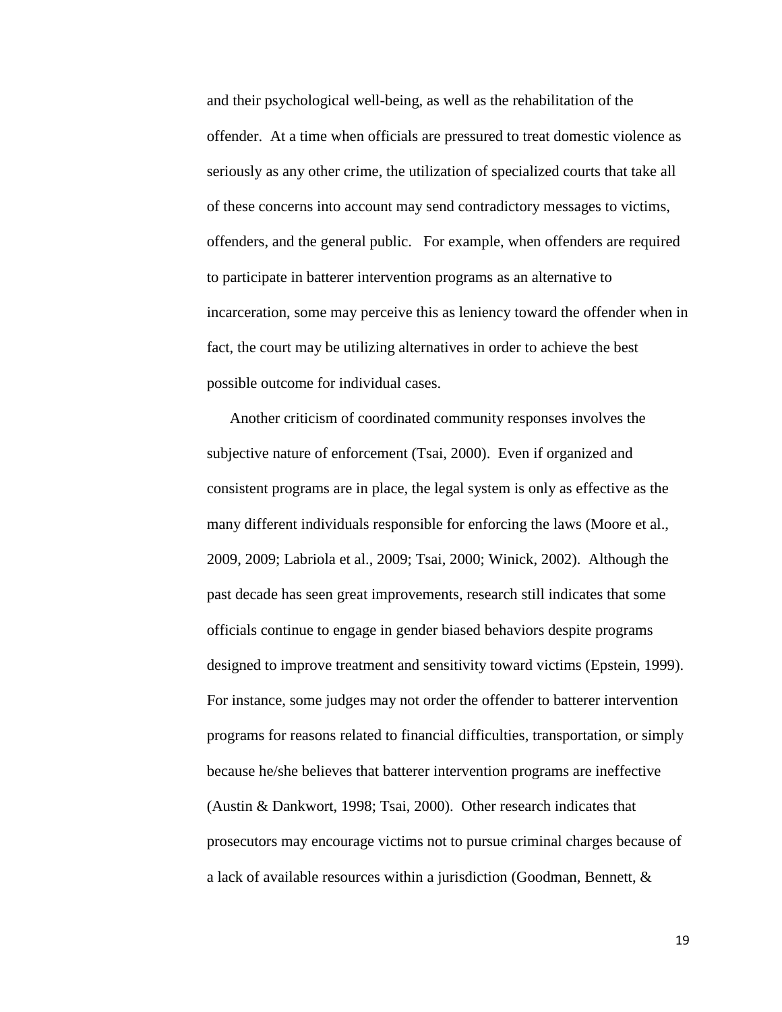and their psychological well-being, as well as the rehabilitation of the offender. At a time when officials are pressured to treat domestic violence as seriously as any other crime, the utilization of specialized courts that take all of these concerns into account may send contradictory messages to victims, offenders, and the general public. For example, when offenders are required to participate in batterer intervention programs as an alternative to incarceration, some may perceive this as leniency toward the offender when in fact, the court may be utilizing alternatives in order to achieve the best possible outcome for individual cases.

Another criticism of coordinated community responses involves the subjective nature of enforcement (Tsai, 2000). Even if organized and consistent programs are in place, the legal system is only as effective as the many different individuals responsible for enforcing the laws (Moore et al., 2009, 2009; Labriola et al., 2009; Tsai, 2000; Winick, 2002). Although the past decade has seen great improvements, research still indicates that some officials continue to engage in gender biased behaviors despite programs designed to improve treatment and sensitivity toward victims (Epstein, 1999). For instance, some judges may not order the offender to batterer intervention programs for reasons related to financial difficulties, transportation, or simply because he/she believes that batterer intervention programs are ineffective (Austin & Dankwort, 1998; Tsai, 2000). Other research indicates that prosecutors may encourage victims not to pursue criminal charges because of a lack of available resources within a jurisdiction (Goodman, Bennett, &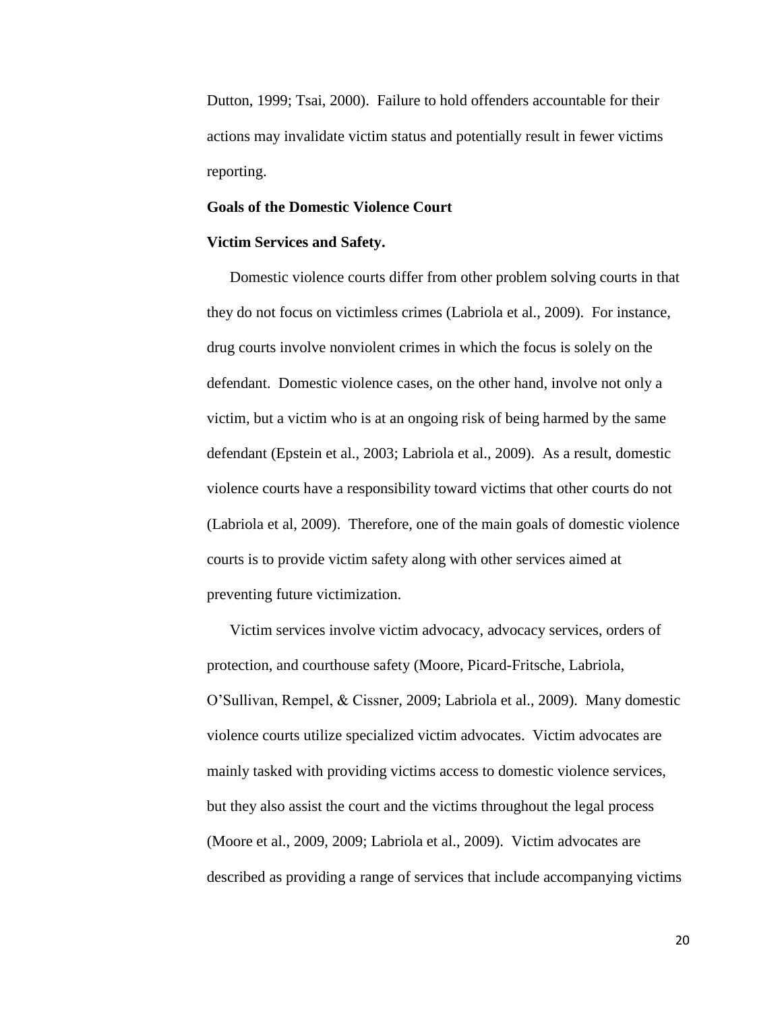Dutton, 1999; Tsai, 2000). Failure to hold offenders accountable for their actions may invalidate victim status and potentially result in fewer victims reporting.

### **Goals of the Domestic Violence Court**

#### **Victim Services and Safety.**

Domestic violence courts differ from other problem solving courts in that they do not focus on victimless crimes (Labriola et al., 2009). For instance, drug courts involve nonviolent crimes in which the focus is solely on the defendant. Domestic violence cases, on the other hand, involve not only a victim, but a victim who is at an ongoing risk of being harmed by the same defendant (Epstein et al., 2003; Labriola et al., 2009). As a result, domestic violence courts have a responsibility toward victims that other courts do not (Labriola et al, 2009). Therefore, one of the main goals of domestic violence courts is to provide victim safety along with other services aimed at preventing future victimization.

Victim services involve victim advocacy, advocacy services, orders of protection, and courthouse safety (Moore, Picard-Fritsche, Labriola, O'Sullivan, Rempel, & Cissner, 2009; Labriola et al., 2009). Many domestic violence courts utilize specialized victim advocates. Victim advocates are mainly tasked with providing victims access to domestic violence services, but they also assist the court and the victims throughout the legal process (Moore et al., 2009, 2009; Labriola et al., 2009). Victim advocates are described as providing a range of services that include accompanying victims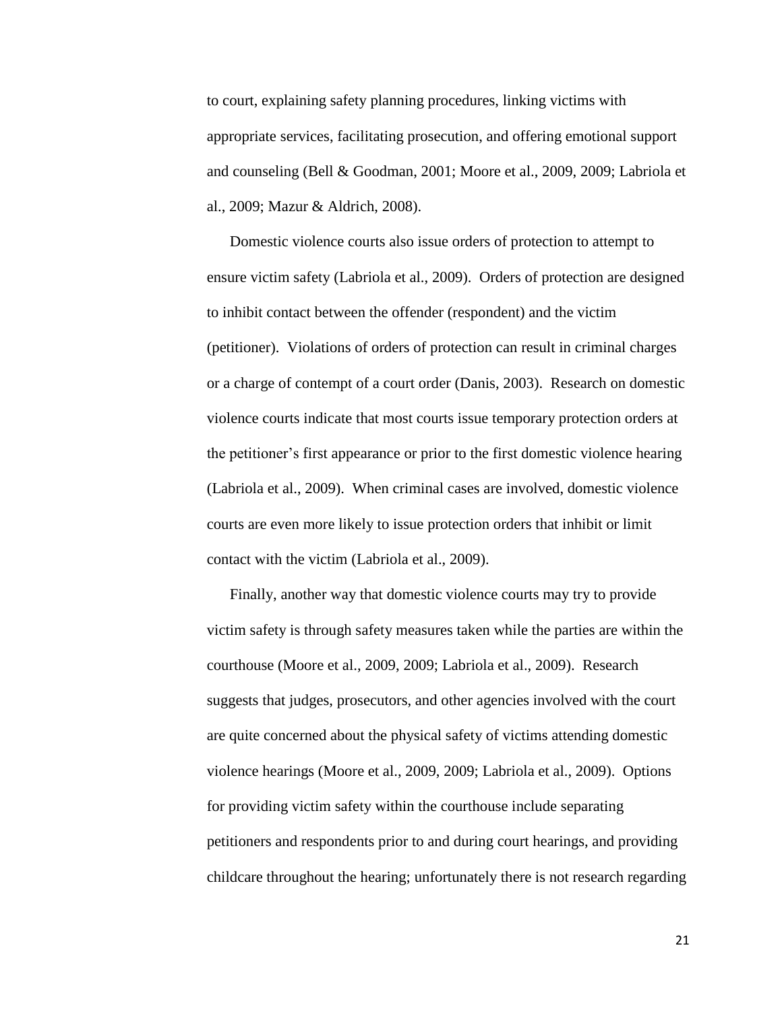to court, explaining safety planning procedures, linking victims with appropriate services, facilitating prosecution, and offering emotional support and counseling (Bell & Goodman, 2001; Moore et al., 2009, 2009; Labriola et al., 2009; Mazur & Aldrich, 2008).

Domestic violence courts also issue orders of protection to attempt to ensure victim safety (Labriola et al., 2009). Orders of protection are designed to inhibit contact between the offender (respondent) and the victim (petitioner). Violations of orders of protection can result in criminal charges or a charge of contempt of a court order (Danis, 2003). Research on domestic violence courts indicate that most courts issue temporary protection orders at the petitioner's first appearance or prior to the first domestic violence hearing (Labriola et al., 2009). When criminal cases are involved, domestic violence courts are even more likely to issue protection orders that inhibit or limit contact with the victim (Labriola et al., 2009).

Finally, another way that domestic violence courts may try to provide victim safety is through safety measures taken while the parties are within the courthouse (Moore et al., 2009, 2009; Labriola et al., 2009). Research suggests that judges, prosecutors, and other agencies involved with the court are quite concerned about the physical safety of victims attending domestic violence hearings (Moore et al., 2009, 2009; Labriola et al., 2009). Options for providing victim safety within the courthouse include separating petitioners and respondents prior to and during court hearings, and providing childcare throughout the hearing; unfortunately there is not research regarding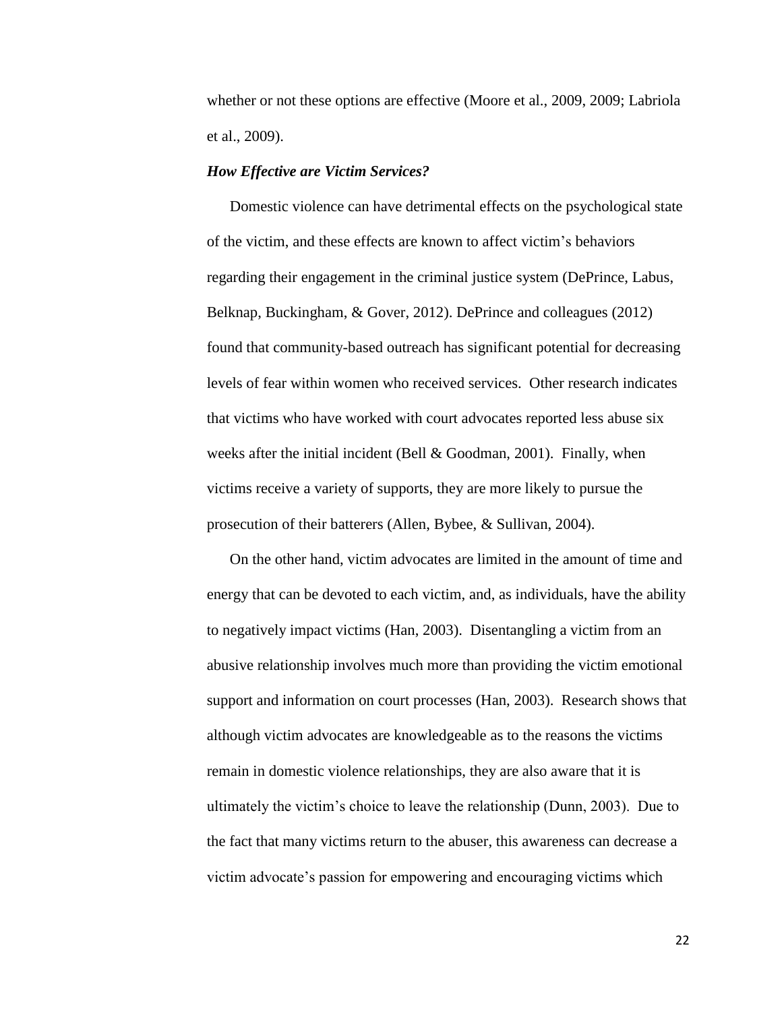whether or not these options are effective (Moore et al., 2009, 2009; Labriola et al., 2009).

#### *How Effective are Victim Services?*

Domestic violence can have detrimental effects on the psychological state of the victim, and these effects are known to affect victim's behaviors regarding their engagement in the criminal justice system (DePrince, Labus, Belknap, Buckingham, & Gover, 2012). DePrince and colleagues (2012) found that community-based outreach has significant potential for decreasing levels of fear within women who received services. Other research indicates that victims who have worked with court advocates reported less abuse six weeks after the initial incident (Bell & Goodman, 2001). Finally, when victims receive a variety of supports, they are more likely to pursue the prosecution of their batterers (Allen, Bybee, & Sullivan, 2004).

On the other hand, victim advocates are limited in the amount of time and energy that can be devoted to each victim, and, as individuals, have the ability to negatively impact victims (Han, 2003). Disentangling a victim from an abusive relationship involves much more than providing the victim emotional support and information on court processes (Han, 2003). Research shows that although victim advocates are knowledgeable as to the reasons the victims remain in domestic violence relationships, they are also aware that it is ultimately the victim's choice to leave the relationship (Dunn, 2003). Due to the fact that many victims return to the abuser, this awareness can decrease a victim advocate's passion for empowering and encouraging victims which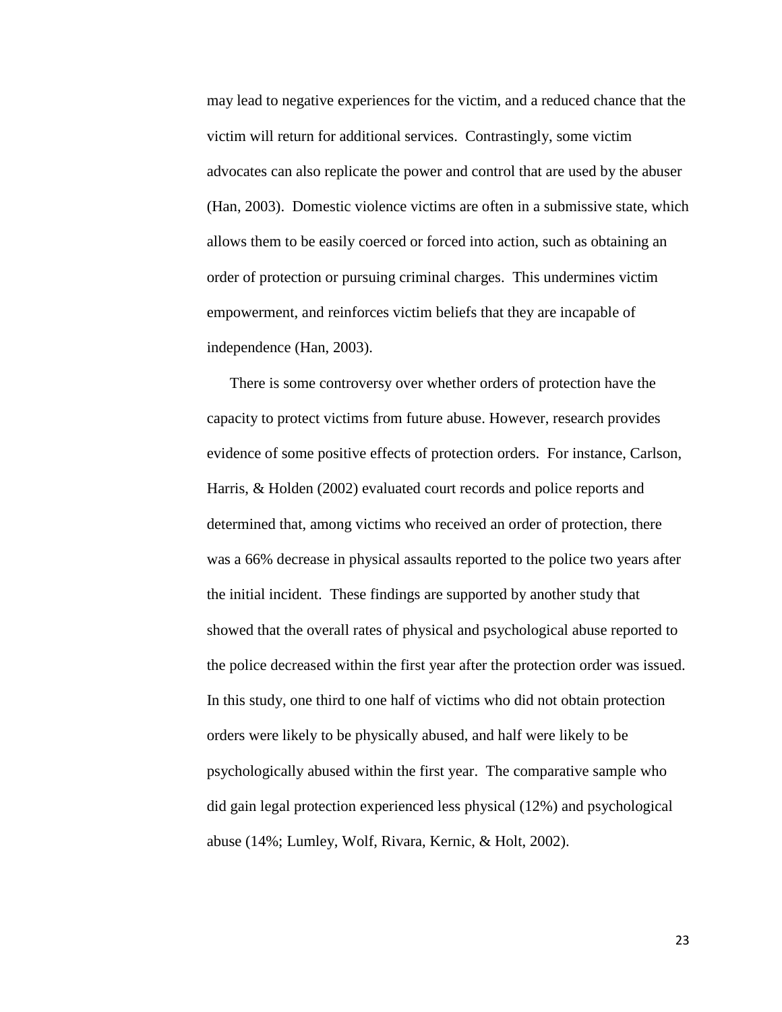may lead to negative experiences for the victim, and a reduced chance that the victim will return for additional services. Contrastingly, some victim advocates can also replicate the power and control that are used by the abuser (Han, 2003). Domestic violence victims are often in a submissive state, which allows them to be easily coerced or forced into action, such as obtaining an order of protection or pursuing criminal charges. This undermines victim empowerment, and reinforces victim beliefs that they are incapable of independence (Han, 2003).

There is some controversy over whether orders of protection have the capacity to protect victims from future abuse. However, research provides evidence of some positive effects of protection orders. For instance, Carlson, Harris, & Holden (2002) evaluated court records and police reports and determined that, among victims who received an order of protection, there was a 66% decrease in physical assaults reported to the police two years after the initial incident. These findings are supported by another study that showed that the overall rates of physical and psychological abuse reported to the police decreased within the first year after the protection order was issued. In this study, one third to one half of victims who did not obtain protection orders were likely to be physically abused, and half were likely to be psychologically abused within the first year. The comparative sample who did gain legal protection experienced less physical (12%) and psychological abuse (14%; Lumley, Wolf, Rivara, Kernic, & Holt, 2002).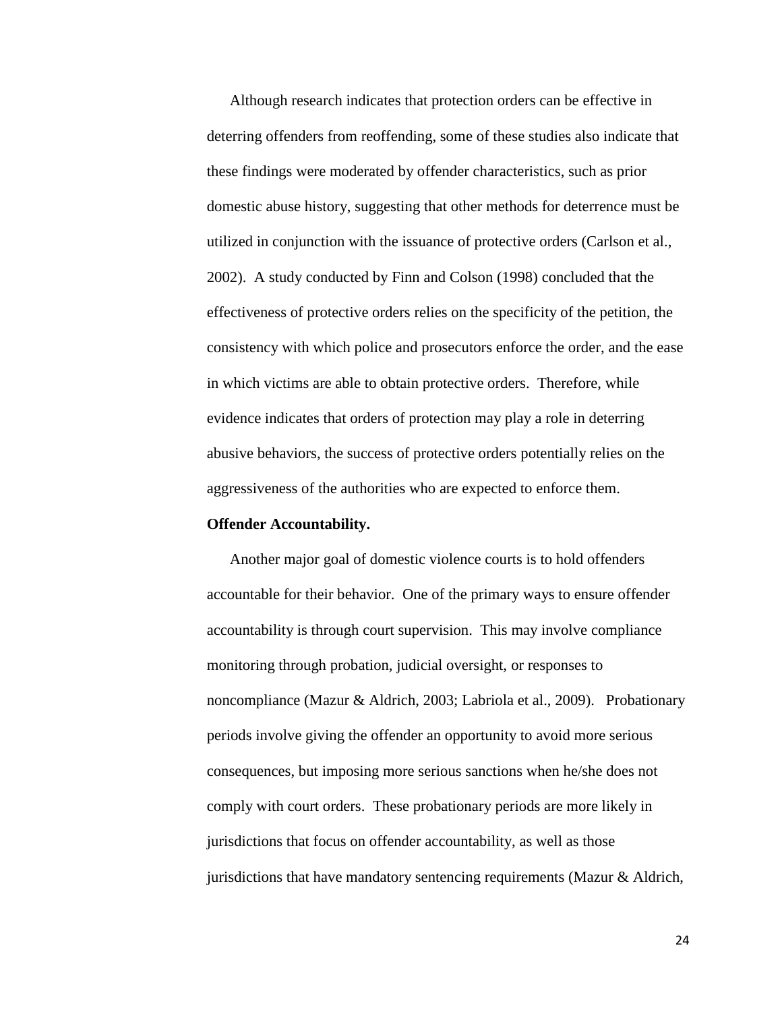Although research indicates that protection orders can be effective in deterring offenders from reoffending, some of these studies also indicate that these findings were moderated by offender characteristics, such as prior domestic abuse history, suggesting that other methods for deterrence must be utilized in conjunction with the issuance of protective orders (Carlson et al., 2002). A study conducted by Finn and Colson (1998) concluded that the effectiveness of protective orders relies on the specificity of the petition, the consistency with which police and prosecutors enforce the order, and the ease in which victims are able to obtain protective orders. Therefore, while evidence indicates that orders of protection may play a role in deterring abusive behaviors, the success of protective orders potentially relies on the aggressiveness of the authorities who are expected to enforce them.

#### **Offender Accountability.**

Another major goal of domestic violence courts is to hold offenders accountable for their behavior. One of the primary ways to ensure offender accountability is through court supervision. This may involve compliance monitoring through probation, judicial oversight, or responses to noncompliance (Mazur & Aldrich, 2003; Labriola et al., 2009). Probationary periods involve giving the offender an opportunity to avoid more serious consequences, but imposing more serious sanctions when he/she does not comply with court orders. These probationary periods are more likely in jurisdictions that focus on offender accountability, as well as those jurisdictions that have mandatory sentencing requirements (Mazur & Aldrich,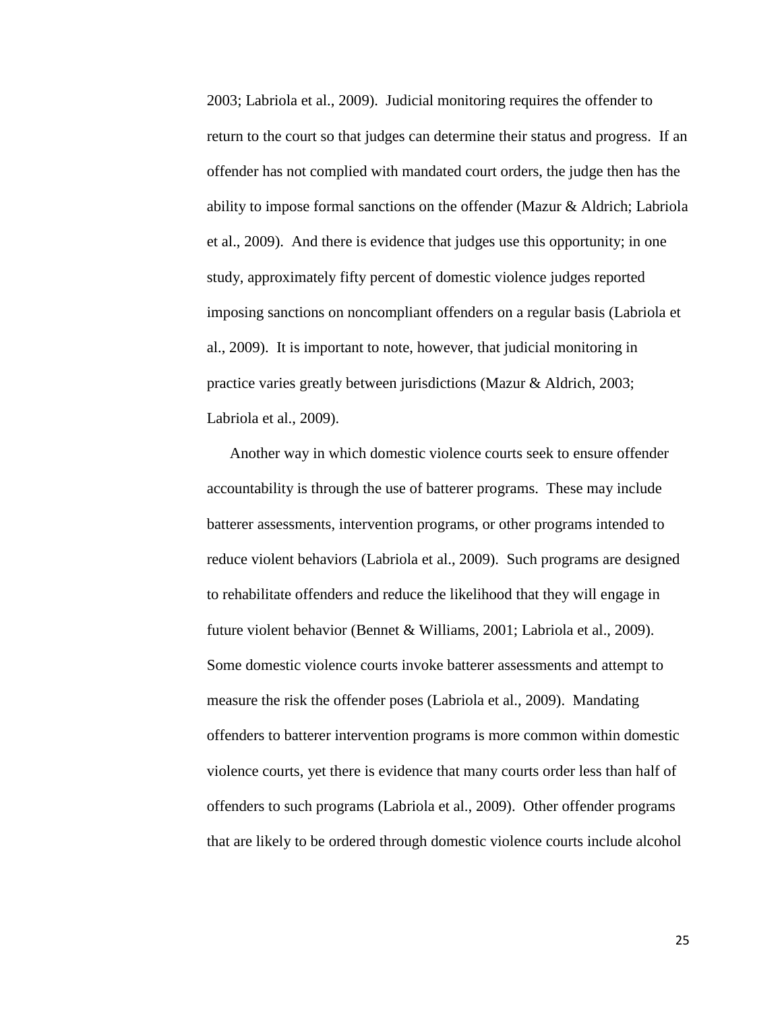2003; Labriola et al., 2009). Judicial monitoring requires the offender to return to the court so that judges can determine their status and progress. If an offender has not complied with mandated court orders, the judge then has the ability to impose formal sanctions on the offender (Mazur & Aldrich; Labriola et al., 2009). And there is evidence that judges use this opportunity; in one study, approximately fifty percent of domestic violence judges reported imposing sanctions on noncompliant offenders on a regular basis (Labriola et al., 2009). It is important to note, however, that judicial monitoring in practice varies greatly between jurisdictions (Mazur & Aldrich, 2003; Labriola et al., 2009).

Another way in which domestic violence courts seek to ensure offender accountability is through the use of batterer programs. These may include batterer assessments, intervention programs, or other programs intended to reduce violent behaviors (Labriola et al., 2009). Such programs are designed to rehabilitate offenders and reduce the likelihood that they will engage in future violent behavior (Bennet & Williams, 2001; Labriola et al., 2009). Some domestic violence courts invoke batterer assessments and attempt to measure the risk the offender poses (Labriola et al., 2009). Mandating offenders to batterer intervention programs is more common within domestic violence courts, yet there is evidence that many courts order less than half of offenders to such programs (Labriola et al., 2009). Other offender programs that are likely to be ordered through domestic violence courts include alcohol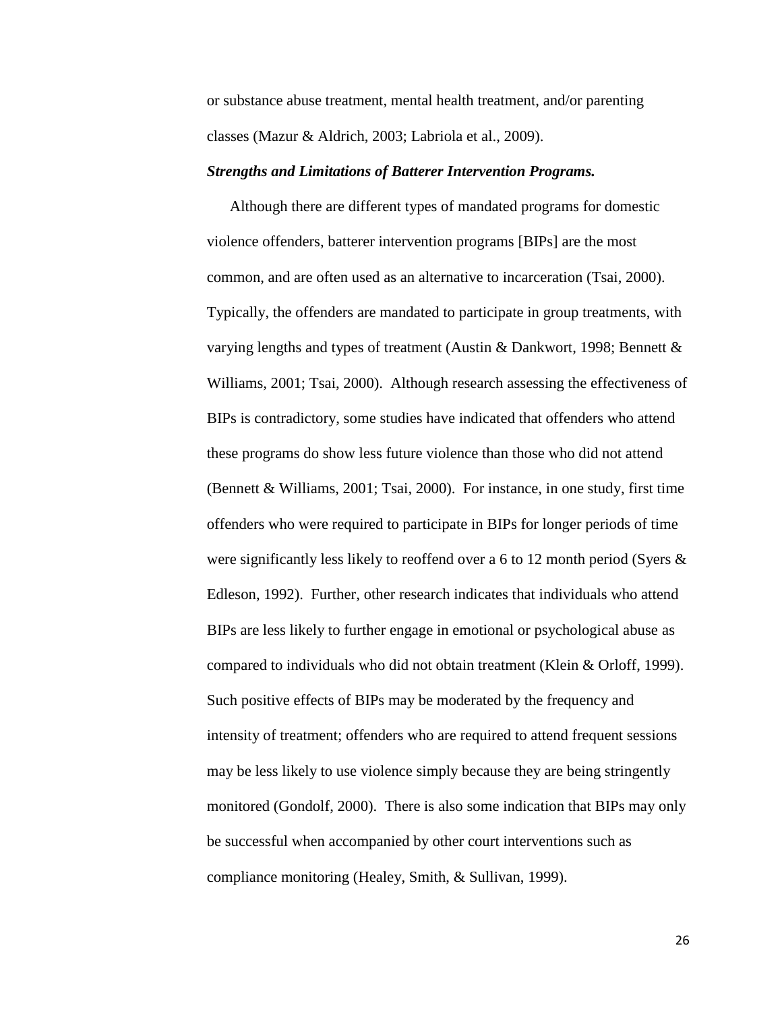or substance abuse treatment, mental health treatment, and/or parenting classes (Mazur & Aldrich, 2003; Labriola et al., 2009).

#### *Strengths and Limitations of Batterer Intervention Programs.*

Although there are different types of mandated programs for domestic violence offenders, batterer intervention programs [BIPs] are the most common, and are often used as an alternative to incarceration (Tsai, 2000). Typically, the offenders are mandated to participate in group treatments, with varying lengths and types of treatment (Austin & Dankwort, 1998; Bennett & Williams, 2001; Tsai, 2000). Although research assessing the effectiveness of BIPs is contradictory, some studies have indicated that offenders who attend these programs do show less future violence than those who did not attend (Bennett & Williams, 2001; Tsai, 2000). For instance, in one study, first time offenders who were required to participate in BIPs for longer periods of time were significantly less likely to reoffend over a 6 to 12 month period (Syers & Edleson, 1992). Further, other research indicates that individuals who attend BIPs are less likely to further engage in emotional or psychological abuse as compared to individuals who did not obtain treatment (Klein & Orloff, 1999). Such positive effects of BIPs may be moderated by the frequency and intensity of treatment; offenders who are required to attend frequent sessions may be less likely to use violence simply because they are being stringently monitored (Gondolf, 2000). There is also some indication that BIPs may only be successful when accompanied by other court interventions such as compliance monitoring (Healey, Smith, & Sullivan, 1999).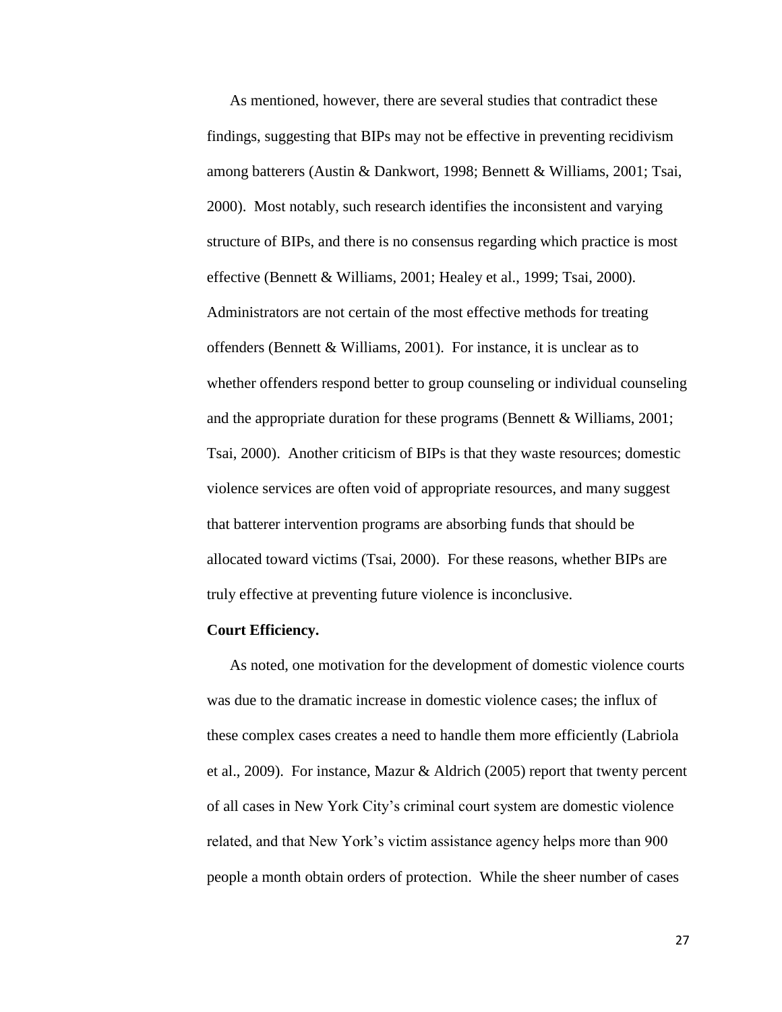As mentioned, however, there are several studies that contradict these findings, suggesting that BIPs may not be effective in preventing recidivism among batterers (Austin & Dankwort, 1998; Bennett & Williams, 2001; Tsai, 2000). Most notably, such research identifies the inconsistent and varying structure of BIPs, and there is no consensus regarding which practice is most effective (Bennett & Williams, 2001; Healey et al., 1999; Tsai, 2000). Administrators are not certain of the most effective methods for treating offenders (Bennett & Williams, 2001). For instance, it is unclear as to whether offenders respond better to group counseling or individual counseling and the appropriate duration for these programs (Bennett & Williams, 2001; Tsai, 2000). Another criticism of BIPs is that they waste resources; domestic violence services are often void of appropriate resources, and many suggest that batterer intervention programs are absorbing funds that should be allocated toward victims (Tsai, 2000). For these reasons, whether BIPs are truly effective at preventing future violence is inconclusive.

#### **Court Efficiency.**

As noted, one motivation for the development of domestic violence courts was due to the dramatic increase in domestic violence cases; the influx of these complex cases creates a need to handle them more efficiently (Labriola et al., 2009). For instance, Mazur & Aldrich (2005) report that twenty percent of all cases in New York City's criminal court system are domestic violence related, and that New York's victim assistance agency helps more than 900 people a month obtain orders of protection. While the sheer number of cases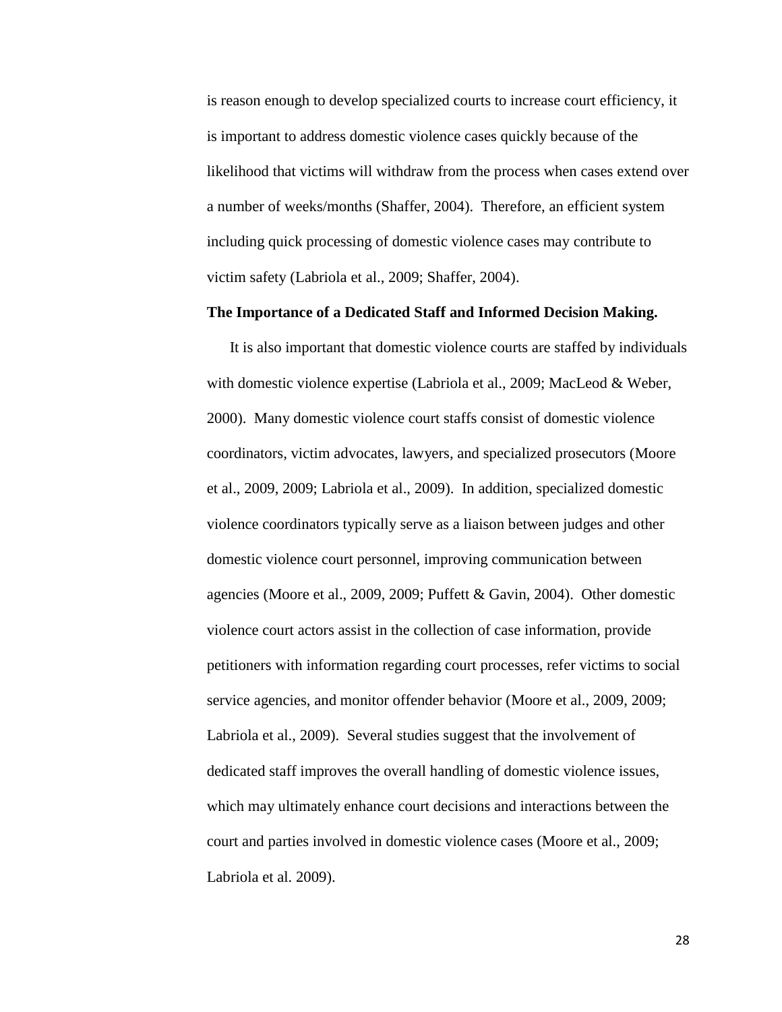is reason enough to develop specialized courts to increase court efficiency, it is important to address domestic violence cases quickly because of the likelihood that victims will withdraw from the process when cases extend over a number of weeks/months (Shaffer, 2004). Therefore, an efficient system including quick processing of domestic violence cases may contribute to victim safety (Labriola et al., 2009; Shaffer, 2004).

#### **The Importance of a Dedicated Staff and Informed Decision Making.**

It is also important that domestic violence courts are staffed by individuals with domestic violence expertise (Labriola et al., 2009; MacLeod & Weber, 2000). Many domestic violence court staffs consist of domestic violence coordinators, victim advocates, lawyers, and specialized prosecutors (Moore et al., 2009, 2009; Labriola et al., 2009). In addition, specialized domestic violence coordinators typically serve as a liaison between judges and other domestic violence court personnel, improving communication between agencies (Moore et al., 2009, 2009; Puffett & Gavin, 2004). Other domestic violence court actors assist in the collection of case information, provide petitioners with information regarding court processes, refer victims to social service agencies, and monitor offender behavior (Moore et al., 2009, 2009; Labriola et al., 2009). Several studies suggest that the involvement of dedicated staff improves the overall handling of domestic violence issues, which may ultimately enhance court decisions and interactions between the court and parties involved in domestic violence cases (Moore et al., 2009; Labriola et al. 2009).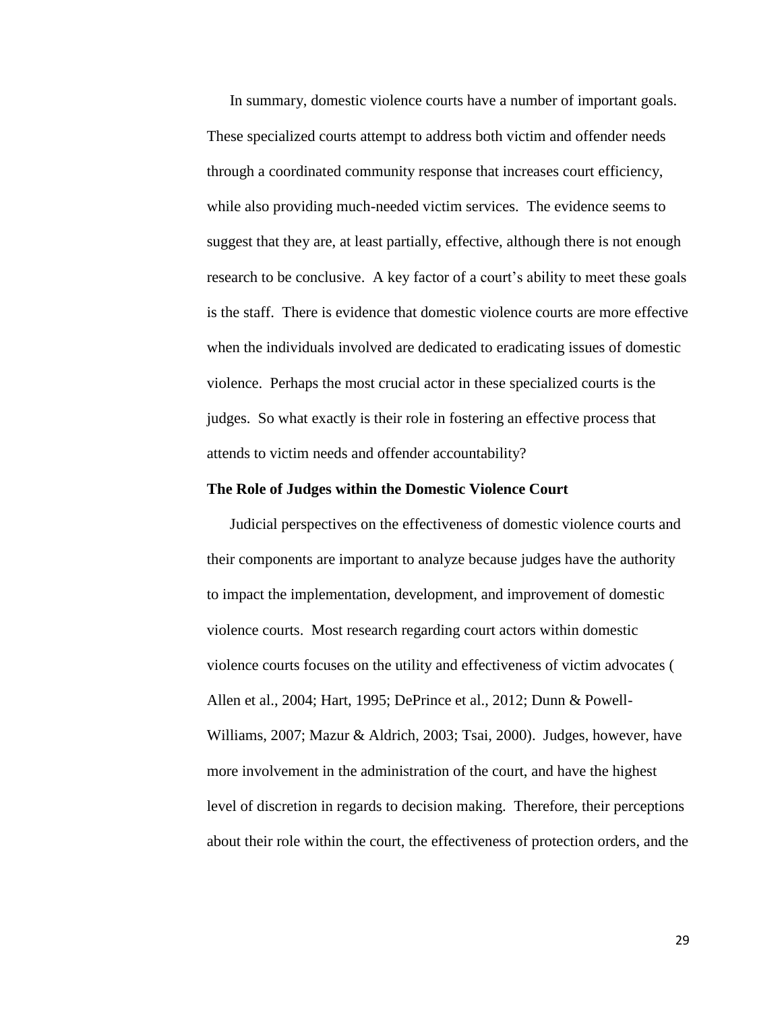In summary, domestic violence courts have a number of important goals. These specialized courts attempt to address both victim and offender needs through a coordinated community response that increases court efficiency, while also providing much-needed victim services. The evidence seems to suggest that they are, at least partially, effective, although there is not enough research to be conclusive. A key factor of a court's ability to meet these goals is the staff. There is evidence that domestic violence courts are more effective when the individuals involved are dedicated to eradicating issues of domestic violence. Perhaps the most crucial actor in these specialized courts is the judges. So what exactly is their role in fostering an effective process that attends to victim needs and offender accountability?

#### **The Role of Judges within the Domestic Violence Court**

Judicial perspectives on the effectiveness of domestic violence courts and their components are important to analyze because judges have the authority to impact the implementation, development, and improvement of domestic violence courts. Most research regarding court actors within domestic violence courts focuses on the utility and effectiveness of victim advocates ( Allen et al., 2004; Hart, 1995; DePrince et al., 2012; Dunn & Powell-Williams, 2007; Mazur & Aldrich, 2003; Tsai, 2000). Judges, however, have more involvement in the administration of the court, and have the highest level of discretion in regards to decision making. Therefore, their perceptions about their role within the court, the effectiveness of protection orders, and the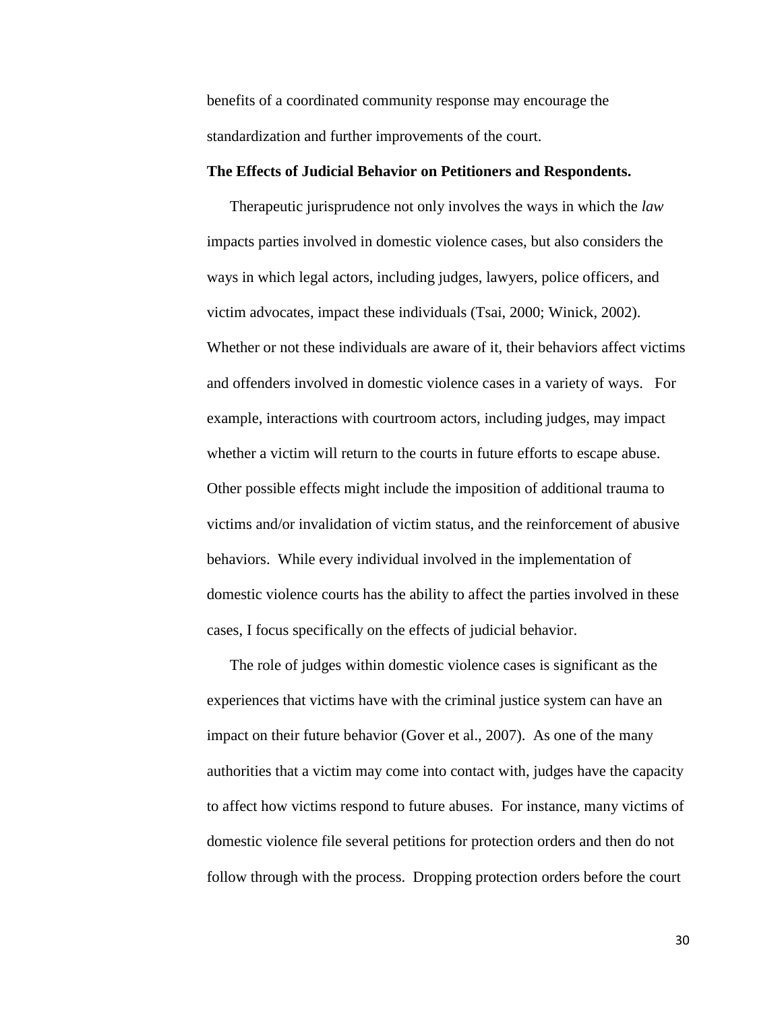benefits of a coordinated community response may encourage the standardization and further improvements of the court.

#### **The Effects of Judicial Behavior on Petitioners and Respondents.**

Therapeutic jurisprudence not only involves the ways in which the *law* impacts parties involved in domestic violence cases, but also considers the ways in which legal actors, including judges, lawyers, police officers, and victim advocates, impact these individuals (Tsai, 2000; Winick, 2002). Whether or not these individuals are aware of it, their behaviors affect victims and offenders involved in domestic violence cases in a variety of ways. For example, interactions with courtroom actors, including judges, may impact whether a victim will return to the courts in future efforts to escape abuse. Other possible effects might include the imposition of additional trauma to victims and/or invalidation of victim status, and the reinforcement of abusive behaviors. While every individual involved in the implementation of domestic violence courts has the ability to affect the parties involved in these cases, I focus specifically on the effects of judicial behavior.

The role of judges within domestic violence cases is significant as the experiences that victims have with the criminal justice system can have an impact on their future behavior (Gover et al., 2007). As one of the many authorities that a victim may come into contact with, judges have the capacity to affect how victims respond to future abuses. For instance, many victims of domestic violence file several petitions for protection orders and then do not follow through with the process. Dropping protection orders before the court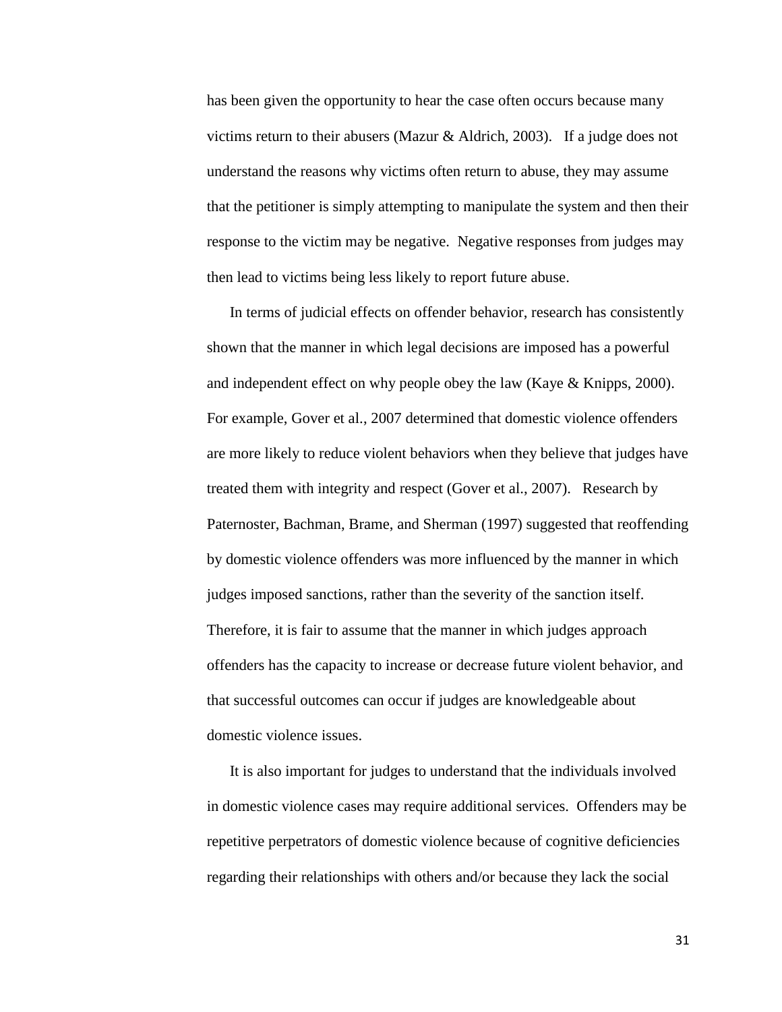has been given the opportunity to hear the case often occurs because many victims return to their abusers (Mazur & Aldrich, 2003). If a judge does not understand the reasons why victims often return to abuse, they may assume that the petitioner is simply attempting to manipulate the system and then their response to the victim may be negative. Negative responses from judges may then lead to victims being less likely to report future abuse.

In terms of judicial effects on offender behavior, research has consistently shown that the manner in which legal decisions are imposed has a powerful and independent effect on why people obey the law (Kaye & Knipps, 2000). For example, Gover et al., 2007 determined that domestic violence offenders are more likely to reduce violent behaviors when they believe that judges have treated them with integrity and respect (Gover et al., 2007). Research by Paternoster, Bachman, Brame, and Sherman (1997) suggested that reoffending by domestic violence offenders was more influenced by the manner in which judges imposed sanctions, rather than the severity of the sanction itself. Therefore, it is fair to assume that the manner in which judges approach offenders has the capacity to increase or decrease future violent behavior, and that successful outcomes can occur if judges are knowledgeable about domestic violence issues.

It is also important for judges to understand that the individuals involved in domestic violence cases may require additional services. Offenders may be repetitive perpetrators of domestic violence because of cognitive deficiencies regarding their relationships with others and/or because they lack the social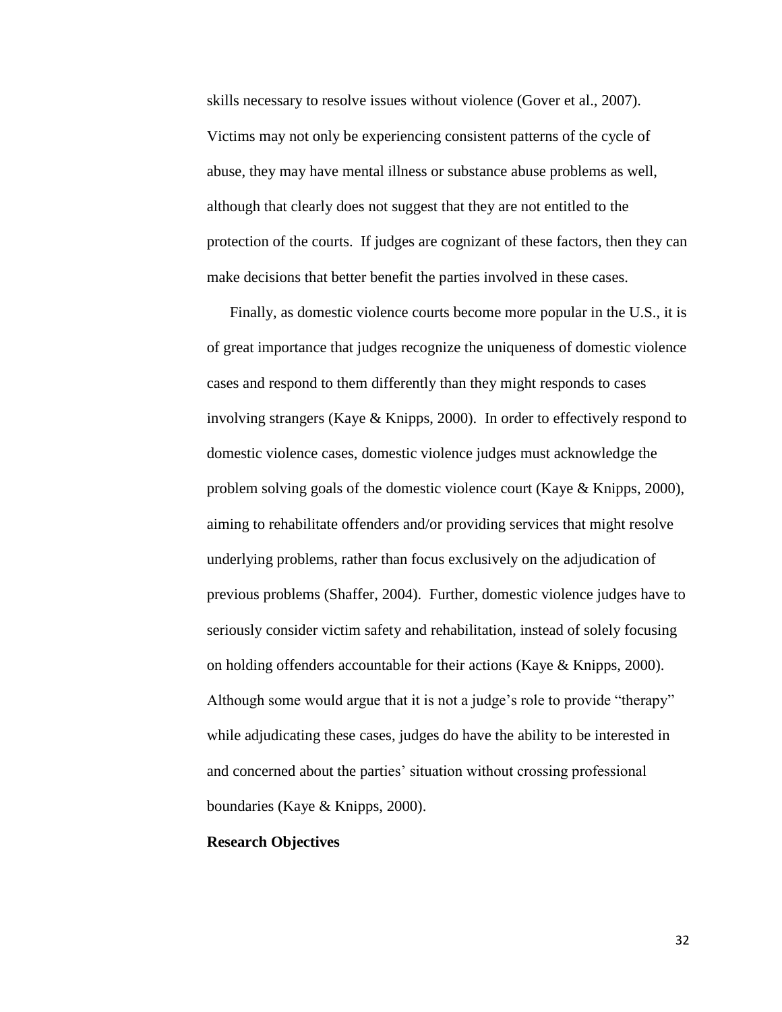skills necessary to resolve issues without violence (Gover et al., 2007). Victims may not only be experiencing consistent patterns of the cycle of abuse, they may have mental illness or substance abuse problems as well, although that clearly does not suggest that they are not entitled to the protection of the courts. If judges are cognizant of these factors, then they can make decisions that better benefit the parties involved in these cases.

Finally, as domestic violence courts become more popular in the U.S., it is of great importance that judges recognize the uniqueness of domestic violence cases and respond to them differently than they might responds to cases involving strangers (Kaye & Knipps, 2000). In order to effectively respond to domestic violence cases, domestic violence judges must acknowledge the problem solving goals of the domestic violence court (Kaye & Knipps, 2000), aiming to rehabilitate offenders and/or providing services that might resolve underlying problems, rather than focus exclusively on the adjudication of previous problems (Shaffer, 2004). Further, domestic violence judges have to seriously consider victim safety and rehabilitation, instead of solely focusing on holding offenders accountable for their actions (Kaye & Knipps, 2000). Although some would argue that it is not a judge's role to provide "therapy" while adjudicating these cases, judges do have the ability to be interested in and concerned about the parties' situation without crossing professional boundaries (Kaye & Knipps, 2000).

### **Research Objectives**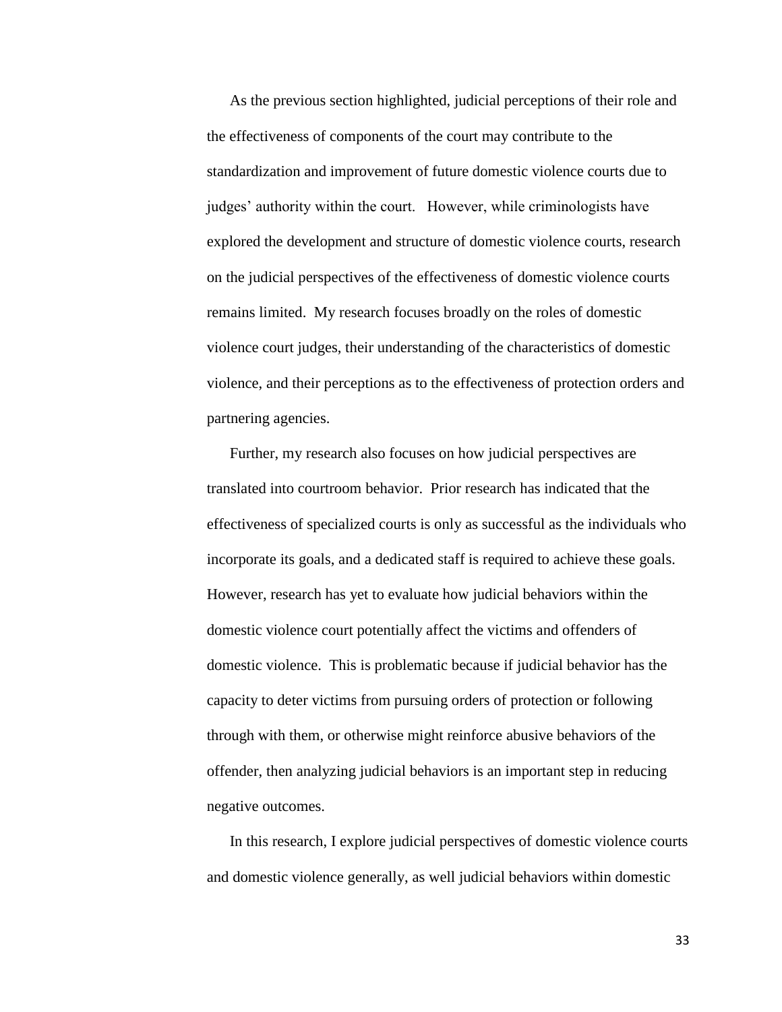As the previous section highlighted, judicial perceptions of their role and the effectiveness of components of the court may contribute to the standardization and improvement of future domestic violence courts due to judges' authority within the court. However, while criminologists have explored the development and structure of domestic violence courts, research on the judicial perspectives of the effectiveness of domestic violence courts remains limited. My research focuses broadly on the roles of domestic violence court judges, their understanding of the characteristics of domestic violence, and their perceptions as to the effectiveness of protection orders and partnering agencies.

Further, my research also focuses on how judicial perspectives are translated into courtroom behavior. Prior research has indicated that the effectiveness of specialized courts is only as successful as the individuals who incorporate its goals, and a dedicated staff is required to achieve these goals. However, research has yet to evaluate how judicial behaviors within the domestic violence court potentially affect the victims and offenders of domestic violence. This is problematic because if judicial behavior has the capacity to deter victims from pursuing orders of protection or following through with them, or otherwise might reinforce abusive behaviors of the offender, then analyzing judicial behaviors is an important step in reducing negative outcomes.

In this research, I explore judicial perspectives of domestic violence courts and domestic violence generally, as well judicial behaviors within domestic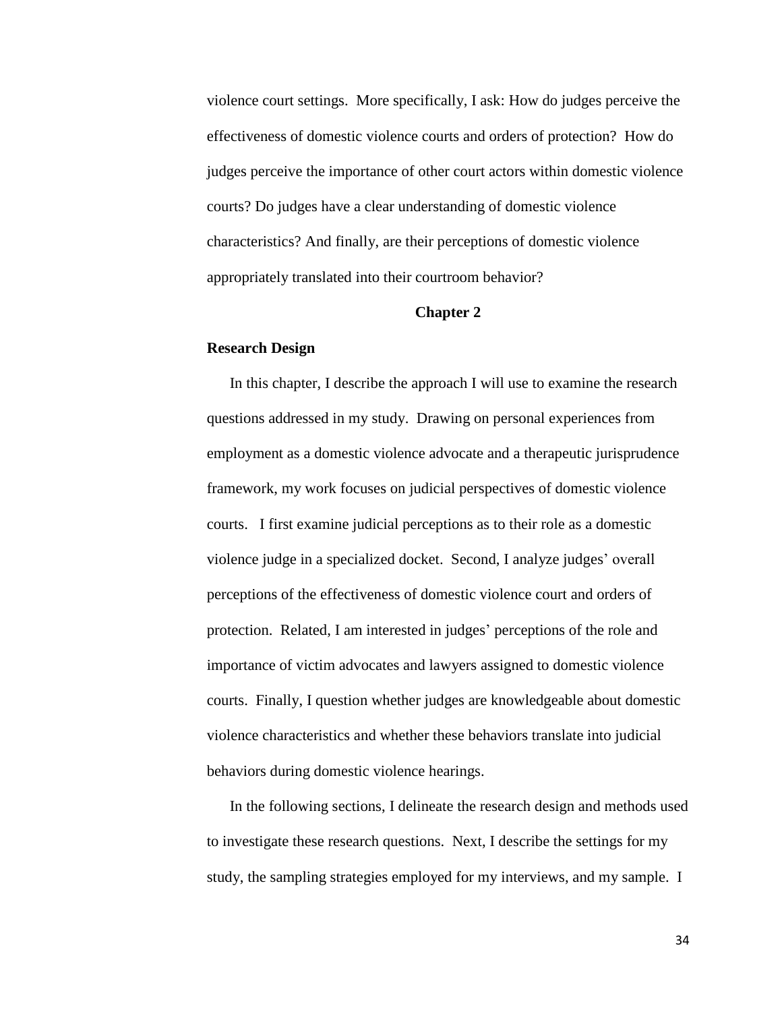violence court settings. More specifically, I ask: How do judges perceive the effectiveness of domestic violence courts and orders of protection? How do judges perceive the importance of other court actors within domestic violence courts? Do judges have a clear understanding of domestic violence characteristics? And finally, are their perceptions of domestic violence appropriately translated into their courtroom behavior?

### **Chapter 2**

#### **Research Design**

In this chapter, I describe the approach I will use to examine the research questions addressed in my study. Drawing on personal experiences from employment as a domestic violence advocate and a therapeutic jurisprudence framework, my work focuses on judicial perspectives of domestic violence courts. I first examine judicial perceptions as to their role as a domestic violence judge in a specialized docket. Second, I analyze judges' overall perceptions of the effectiveness of domestic violence court and orders of protection. Related, I am interested in judges' perceptions of the role and importance of victim advocates and lawyers assigned to domestic violence courts. Finally, I question whether judges are knowledgeable about domestic violence characteristics and whether these behaviors translate into judicial behaviors during domestic violence hearings.

In the following sections, I delineate the research design and methods used to investigate these research questions. Next, I describe the settings for my study, the sampling strategies employed for my interviews, and my sample. I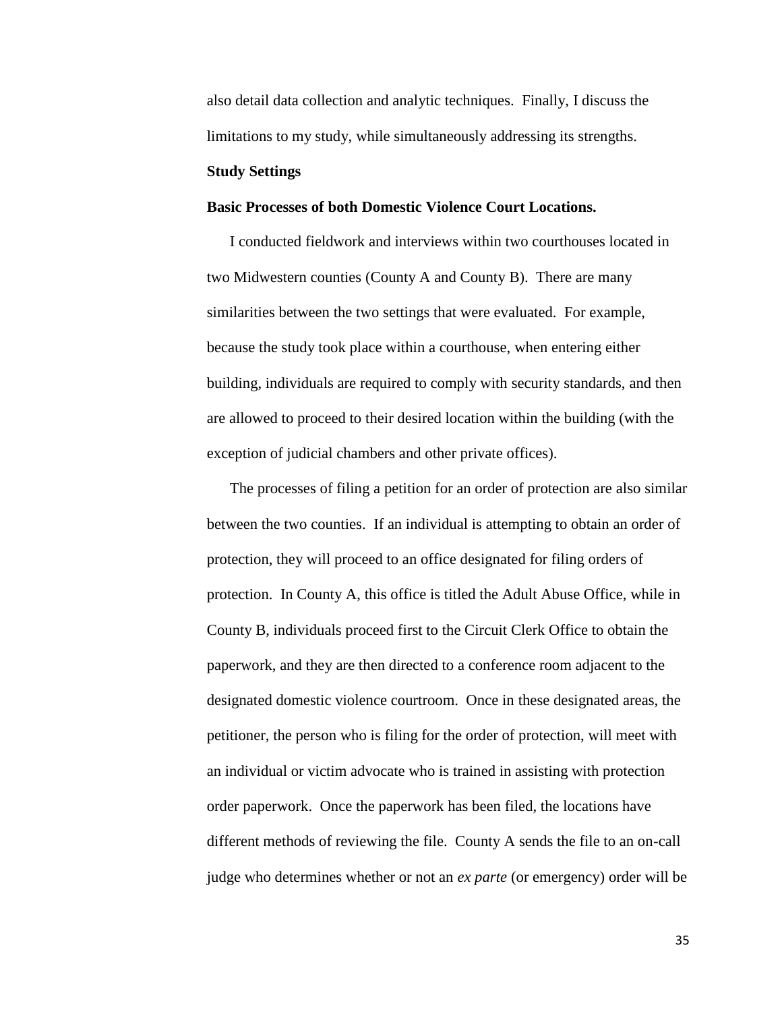also detail data collection and analytic techniques. Finally, I discuss the limitations to my study, while simultaneously addressing its strengths.

#### **Study Settings**

#### **Basic Processes of both Domestic Violence Court Locations.**

I conducted fieldwork and interviews within two courthouses located in two Midwestern counties (County A and County B). There are many similarities between the two settings that were evaluated. For example, because the study took place within a courthouse, when entering either building, individuals are required to comply with security standards, and then are allowed to proceed to their desired location within the building (with the exception of judicial chambers and other private offices).

The processes of filing a petition for an order of protection are also similar between the two counties. If an individual is attempting to obtain an order of protection, they will proceed to an office designated for filing orders of protection. In County A, this office is titled the Adult Abuse Office, while in County B, individuals proceed first to the Circuit Clerk Office to obtain the paperwork, and they are then directed to a conference room adjacent to the designated domestic violence courtroom. Once in these designated areas, the petitioner, the person who is filing for the order of protection, will meet with an individual or victim advocate who is trained in assisting with protection order paperwork. Once the paperwork has been filed, the locations have different methods of reviewing the file. County A sends the file to an on-call judge who determines whether or not an *ex parte* (or emergency) order will be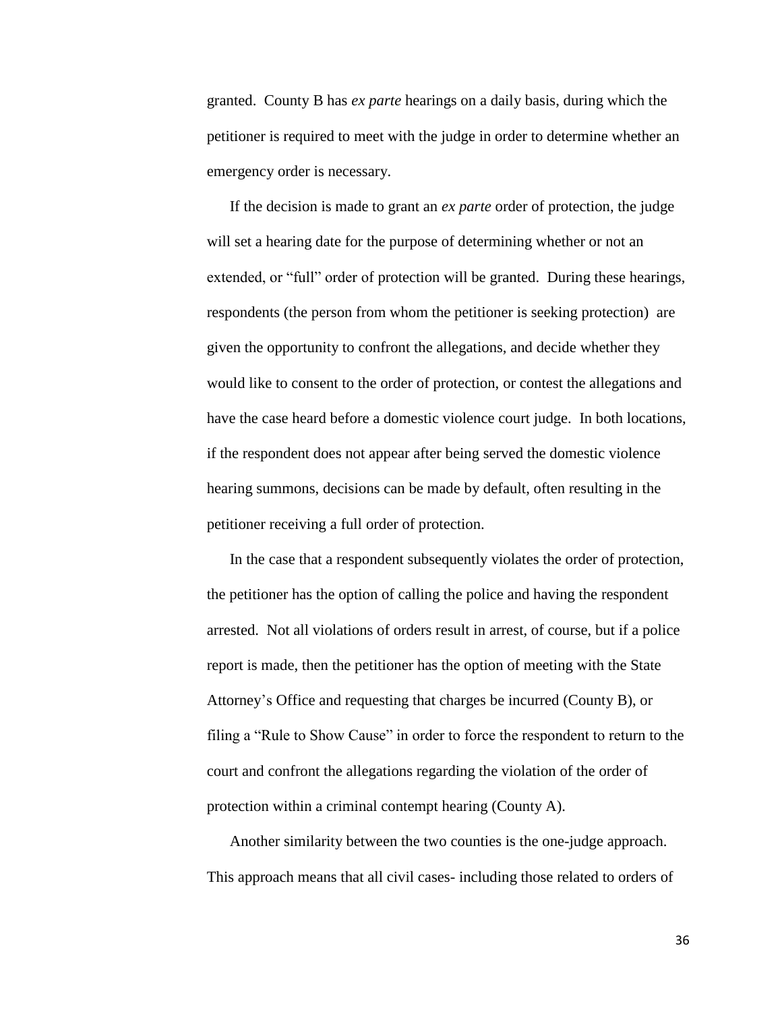granted. County B has *ex parte* hearings on a daily basis, during which the petitioner is required to meet with the judge in order to determine whether an emergency order is necessary.

If the decision is made to grant an *ex parte* order of protection, the judge will set a hearing date for the purpose of determining whether or not an extended, or "full" order of protection will be granted. During these hearings, respondents (the person from whom the petitioner is seeking protection) are given the opportunity to confront the allegations, and decide whether they would like to consent to the order of protection, or contest the allegations and have the case heard before a domestic violence court judge. In both locations, if the respondent does not appear after being served the domestic violence hearing summons, decisions can be made by default, often resulting in the petitioner receiving a full order of protection.

In the case that a respondent subsequently violates the order of protection, the petitioner has the option of calling the police and having the respondent arrested. Not all violations of orders result in arrest, of course, but if a police report is made, then the petitioner has the option of meeting with the State Attorney's Office and requesting that charges be incurred (County B), or filing a "Rule to Show Cause" in order to force the respondent to return to the court and confront the allegations regarding the violation of the order of protection within a criminal contempt hearing (County A).

Another similarity between the two counties is the one-judge approach. This approach means that all civil cases- including those related to orders of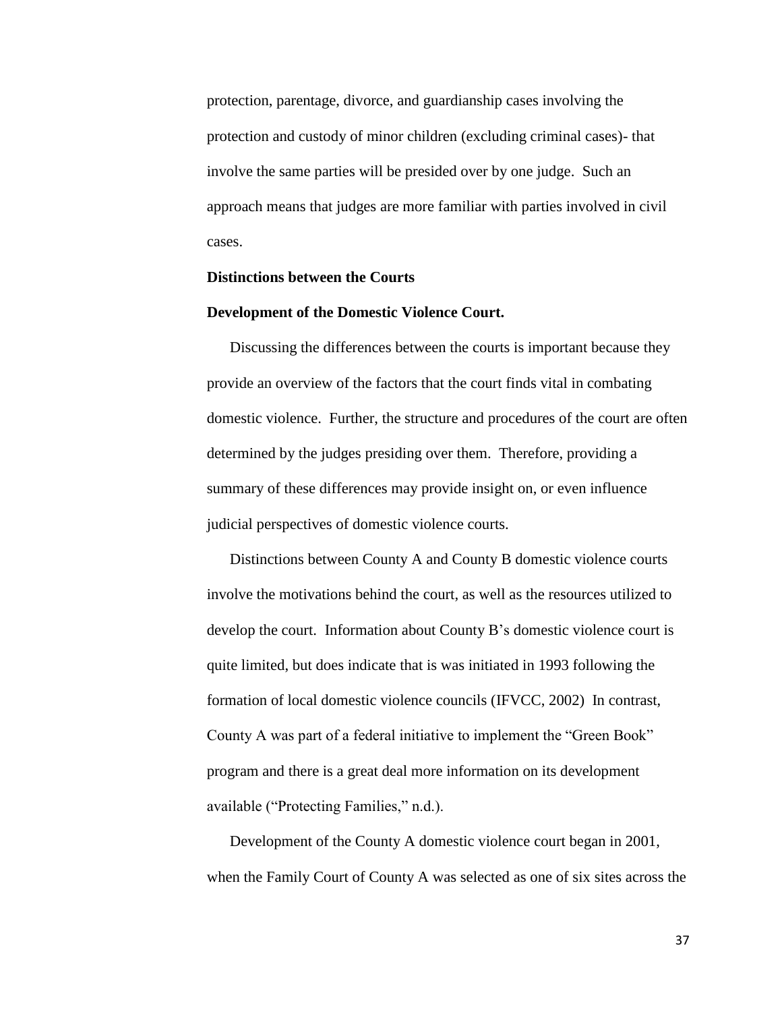protection, parentage, divorce, and guardianship cases involving the protection and custody of minor children (excluding criminal cases)- that involve the same parties will be presided over by one judge. Such an approach means that judges are more familiar with parties involved in civil cases.

# **Distinctions between the Courts**

# **Development of the Domestic Violence Court.**

Discussing the differences between the courts is important because they provide an overview of the factors that the court finds vital in combating domestic violence. Further, the structure and procedures of the court are often determined by the judges presiding over them. Therefore, providing a summary of these differences may provide insight on, or even influence judicial perspectives of domestic violence courts.

Distinctions between County A and County B domestic violence courts involve the motivations behind the court, as well as the resources utilized to develop the court. Information about County B's domestic violence court is quite limited, but does indicate that is was initiated in 1993 following the formation of local domestic violence councils (IFVCC, 2002) In contrast, County A was part of a federal initiative to implement the "Green Book" program and there is a great deal more information on its development available ("Protecting Families," n.d.).

Development of the County A domestic violence court began in 2001, when the Family Court of County A was selected as one of six sites across the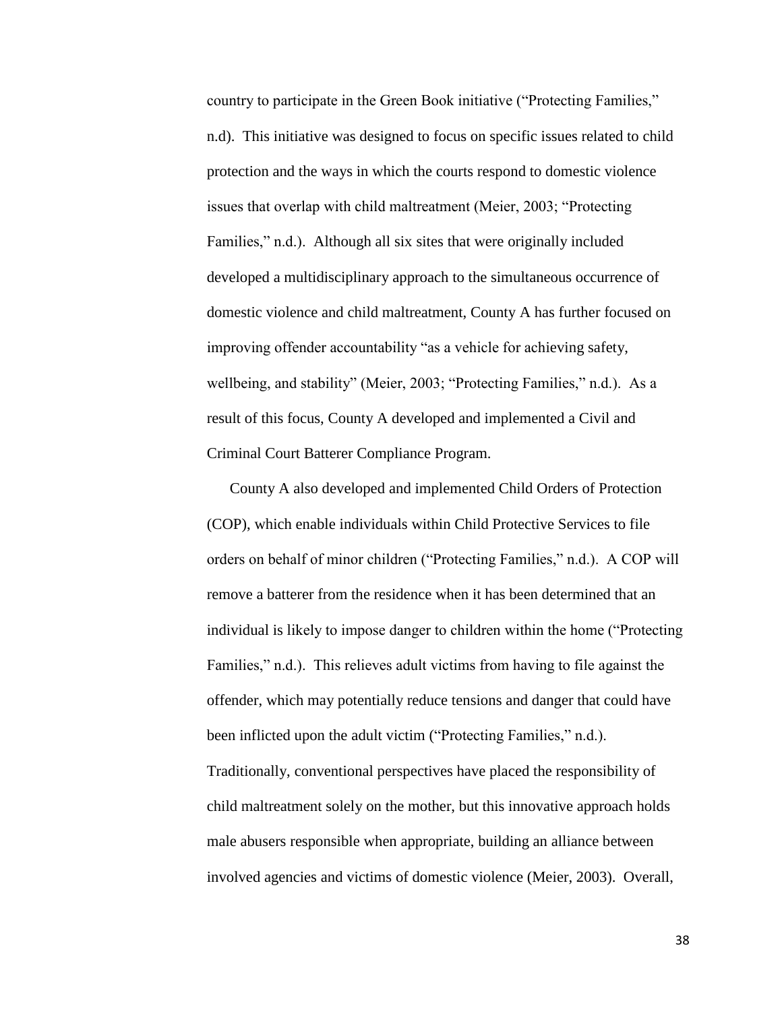country to participate in the Green Book initiative ("Protecting Families," n.d). This initiative was designed to focus on specific issues related to child protection and the ways in which the courts respond to domestic violence issues that overlap with child maltreatment (Meier, 2003; "Protecting Families," n.d.). Although all six sites that were originally included developed a multidisciplinary approach to the simultaneous occurrence of domestic violence and child maltreatment, County A has further focused on improving offender accountability "as a vehicle for achieving safety, wellbeing, and stability" (Meier, 2003; "Protecting Families," n.d.). As a result of this focus, County A developed and implemented a Civil and Criminal Court Batterer Compliance Program.

County A also developed and implemented Child Orders of Protection (COP), which enable individuals within Child Protective Services to file orders on behalf of minor children ("Protecting Families," n.d.). A COP will remove a batterer from the residence when it has been determined that an individual is likely to impose danger to children within the home ("Protecting Families," n.d.). This relieves adult victims from having to file against the offender, which may potentially reduce tensions and danger that could have been inflicted upon the adult victim ("Protecting Families," n.d.). Traditionally, conventional perspectives have placed the responsibility of child maltreatment solely on the mother, but this innovative approach holds male abusers responsible when appropriate, building an alliance between involved agencies and victims of domestic violence (Meier, 2003). Overall,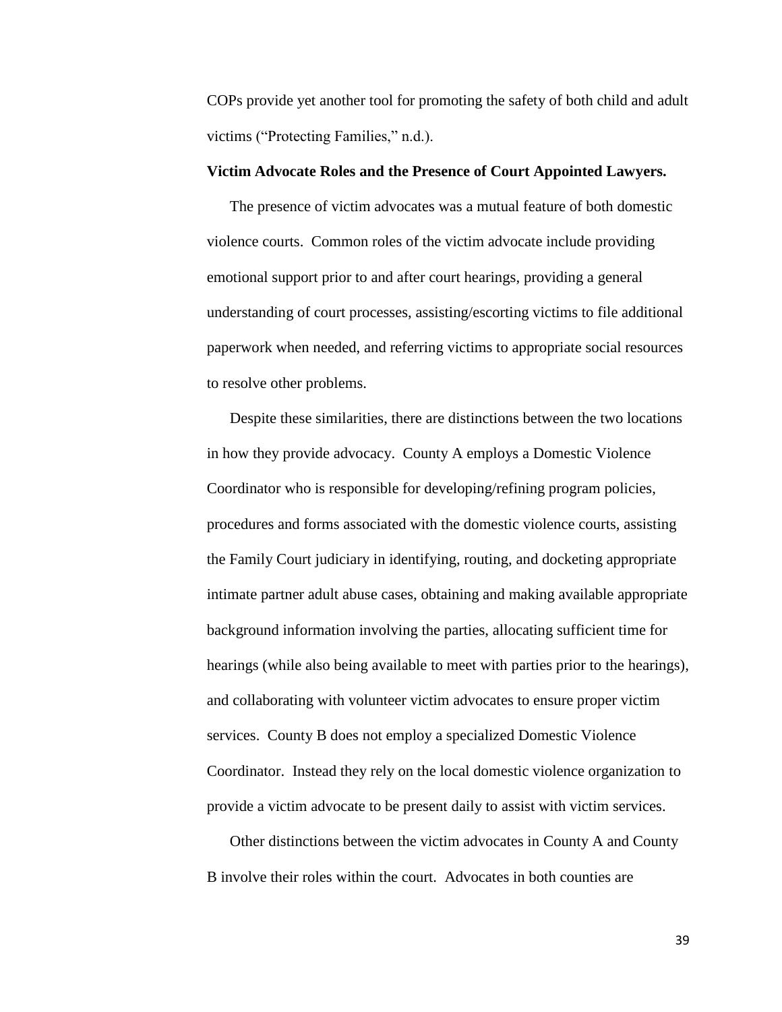COPs provide yet another tool for promoting the safety of both child and adult victims ("Protecting Families," n.d.).

## **Victim Advocate Roles and the Presence of Court Appointed Lawyers.**

The presence of victim advocates was a mutual feature of both domestic violence courts. Common roles of the victim advocate include providing emotional support prior to and after court hearings, providing a general understanding of court processes, assisting/escorting victims to file additional paperwork when needed, and referring victims to appropriate social resources to resolve other problems.

Despite these similarities, there are distinctions between the two locations in how they provide advocacy. County A employs a Domestic Violence Coordinator who is responsible for developing/refining program policies, procedures and forms associated with the domestic violence courts, assisting the Family Court judiciary in identifying, routing, and docketing appropriate intimate partner adult abuse cases, obtaining and making available appropriate background information involving the parties, allocating sufficient time for hearings (while also being available to meet with parties prior to the hearings), and collaborating with volunteer victim advocates to ensure proper victim services. County B does not employ a specialized Domestic Violence Coordinator. Instead they rely on the local domestic violence organization to provide a victim advocate to be present daily to assist with victim services.

Other distinctions between the victim advocates in County A and County B involve their roles within the court. Advocates in both counties are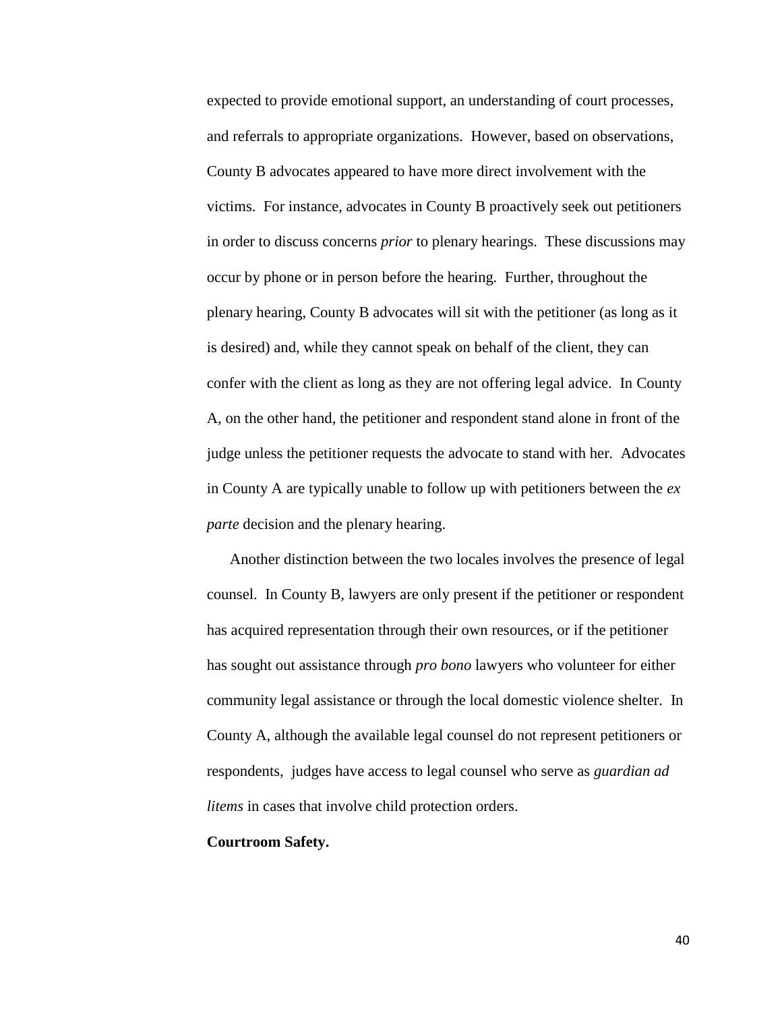expected to provide emotional support, an understanding of court processes, and referrals to appropriate organizations. However, based on observations, County B advocates appeared to have more direct involvement with the victims. For instance, advocates in County B proactively seek out petitioners in order to discuss concerns *prior* to plenary hearings. These discussions may occur by phone or in person before the hearing. Further, throughout the plenary hearing, County B advocates will sit with the petitioner (as long as it is desired) and, while they cannot speak on behalf of the client, they can confer with the client as long as they are not offering legal advice. In County A, on the other hand, the petitioner and respondent stand alone in front of the judge unless the petitioner requests the advocate to stand with her. Advocates in County A are typically unable to follow up with petitioners between the *ex parte* decision and the plenary hearing.

Another distinction between the two locales involves the presence of legal counsel. In County B, lawyers are only present if the petitioner or respondent has acquired representation through their own resources, or if the petitioner has sought out assistance through *pro bono* lawyers who volunteer for either community legal assistance or through the local domestic violence shelter. In County A, although the available legal counsel do not represent petitioners or respondents, judges have access to legal counsel who serve as *guardian ad litems* in cases that involve child protection orders.

# **Courtroom Safety.**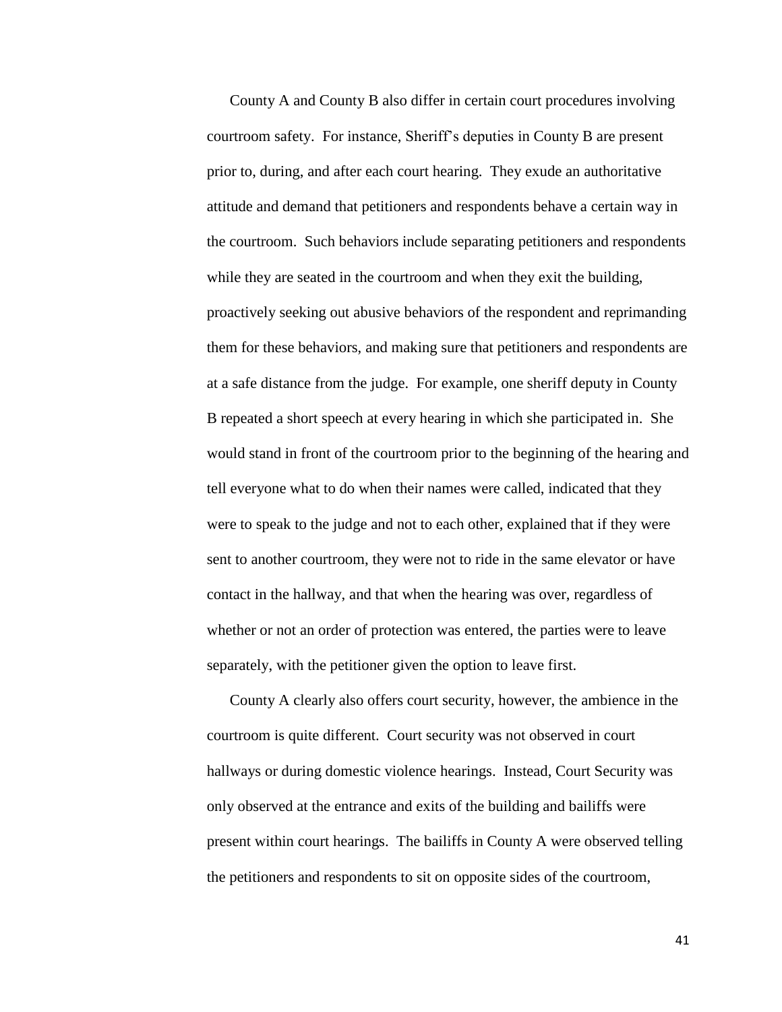County A and County B also differ in certain court procedures involving courtroom safety. For instance, Sheriff's deputies in County B are present prior to, during, and after each court hearing. They exude an authoritative attitude and demand that petitioners and respondents behave a certain way in the courtroom. Such behaviors include separating petitioners and respondents while they are seated in the courtroom and when they exit the building, proactively seeking out abusive behaviors of the respondent and reprimanding them for these behaviors, and making sure that petitioners and respondents are at a safe distance from the judge. For example, one sheriff deputy in County B repeated a short speech at every hearing in which she participated in. She would stand in front of the courtroom prior to the beginning of the hearing and tell everyone what to do when their names were called, indicated that they were to speak to the judge and not to each other, explained that if they were sent to another courtroom, they were not to ride in the same elevator or have contact in the hallway, and that when the hearing was over, regardless of whether or not an order of protection was entered, the parties were to leave separately, with the petitioner given the option to leave first.

County A clearly also offers court security, however, the ambience in the courtroom is quite different. Court security was not observed in court hallways or during domestic violence hearings. Instead, Court Security was only observed at the entrance and exits of the building and bailiffs were present within court hearings. The bailiffs in County A were observed telling the petitioners and respondents to sit on opposite sides of the courtroom,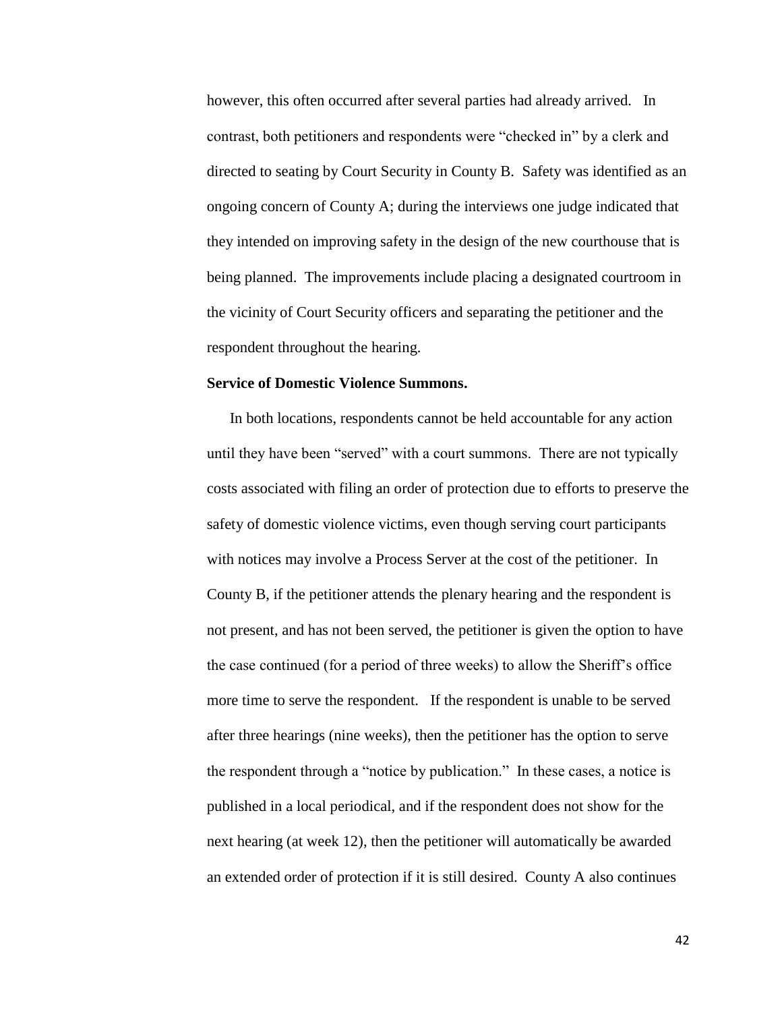however, this often occurred after several parties had already arrived. In contrast, both petitioners and respondents were "checked in" by a clerk and directed to seating by Court Security in County B. Safety was identified as an ongoing concern of County A; during the interviews one judge indicated that they intended on improving safety in the design of the new courthouse that is being planned. The improvements include placing a designated courtroom in the vicinity of Court Security officers and separating the petitioner and the respondent throughout the hearing.

#### **Service of Domestic Violence Summons.**

In both locations, respondents cannot be held accountable for any action until they have been "served" with a court summons. There are not typically costs associated with filing an order of protection due to efforts to preserve the safety of domestic violence victims, even though serving court participants with notices may involve a Process Server at the cost of the petitioner. In County B, if the petitioner attends the plenary hearing and the respondent is not present, and has not been served, the petitioner is given the option to have the case continued (for a period of three weeks) to allow the Sheriff's office more time to serve the respondent. If the respondent is unable to be served after three hearings (nine weeks), then the petitioner has the option to serve the respondent through a "notice by publication." In these cases, a notice is published in a local periodical, and if the respondent does not show for the next hearing (at week 12), then the petitioner will automatically be awarded an extended order of protection if it is still desired. County A also continues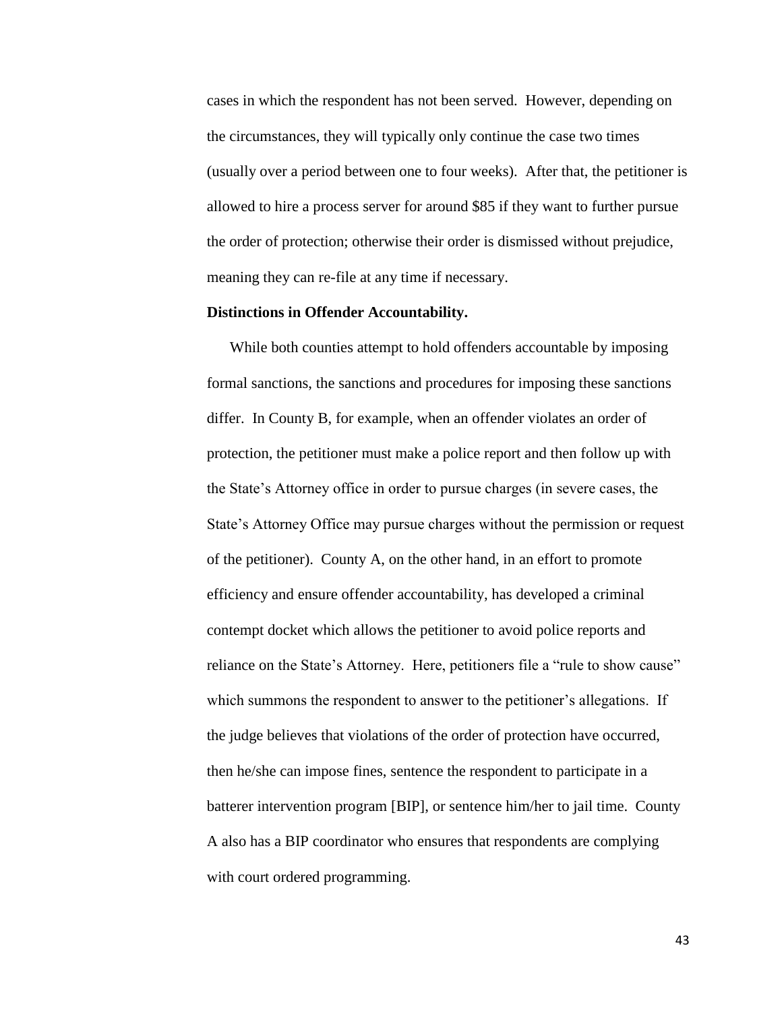cases in which the respondent has not been served. However, depending on the circumstances, they will typically only continue the case two times (usually over a period between one to four weeks). After that, the petitioner is allowed to hire a process server for around \$85 if they want to further pursue the order of protection; otherwise their order is dismissed without prejudice, meaning they can re-file at any time if necessary.

# **Distinctions in Offender Accountability.**

While both counties attempt to hold offenders accountable by imposing formal sanctions, the sanctions and procedures for imposing these sanctions differ. In County B, for example, when an offender violates an order of protection, the petitioner must make a police report and then follow up with the State's Attorney office in order to pursue charges (in severe cases, the State's Attorney Office may pursue charges without the permission or request of the petitioner). County A, on the other hand, in an effort to promote efficiency and ensure offender accountability, has developed a criminal contempt docket which allows the petitioner to avoid police reports and reliance on the State's Attorney. Here, petitioners file a "rule to show cause" which summons the respondent to answer to the petitioner's allegations. If the judge believes that violations of the order of protection have occurred, then he/she can impose fines, sentence the respondent to participate in a batterer intervention program [BIP], or sentence him/her to jail time. County A also has a BIP coordinator who ensures that respondents are complying with court ordered programming.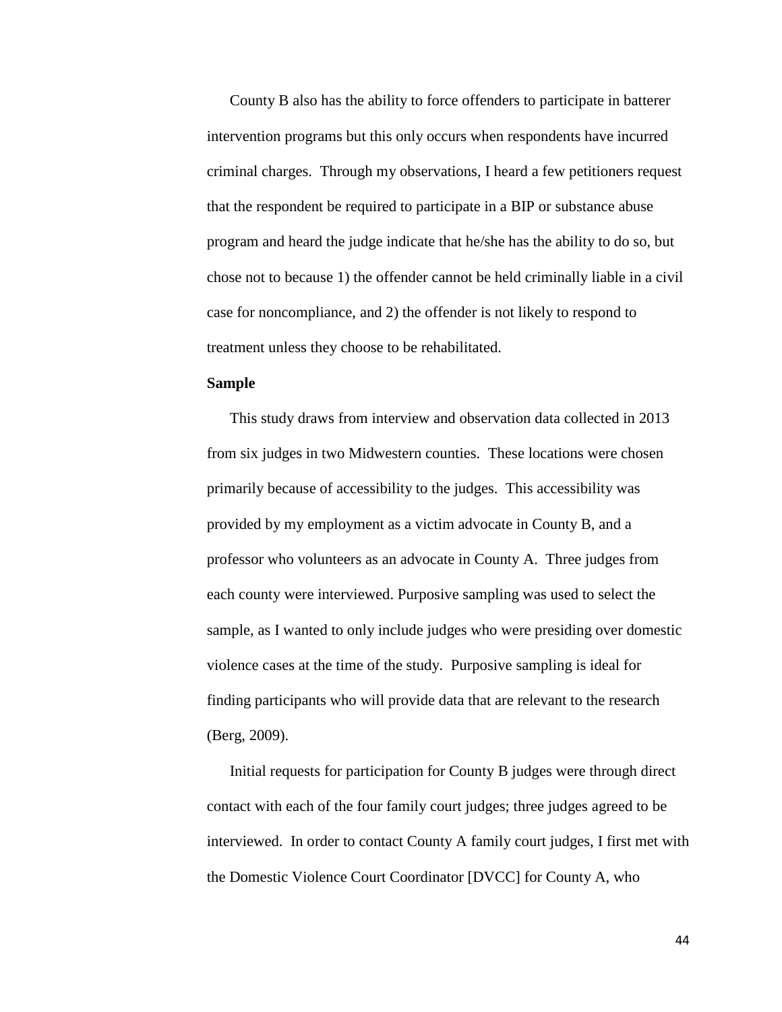County B also has the ability to force offenders to participate in batterer intervention programs but this only occurs when respondents have incurred criminal charges. Through my observations, I heard a few petitioners request that the respondent be required to participate in a BIP or substance abuse program and heard the judge indicate that he/she has the ability to do so, but chose not to because 1) the offender cannot be held criminally liable in a civil case for noncompliance, and 2) the offender is not likely to respond to treatment unless they choose to be rehabilitated.

#### **Sample**

This study draws from interview and observation data collected in 2013 from six judges in two Midwestern counties. These locations were chosen primarily because of accessibility to the judges. This accessibility was provided by my employment as a victim advocate in County B, and a professor who volunteers as an advocate in County A. Three judges from each county were interviewed. Purposive sampling was used to select the sample, as I wanted to only include judges who were presiding over domestic violence cases at the time of the study. Purposive sampling is ideal for finding participants who will provide data that are relevant to the research (Berg, 2009).

Initial requests for participation for County B judges were through direct contact with each of the four family court judges; three judges agreed to be interviewed. In order to contact County A family court judges, I first met with the Domestic Violence Court Coordinator [DVCC] for County A, who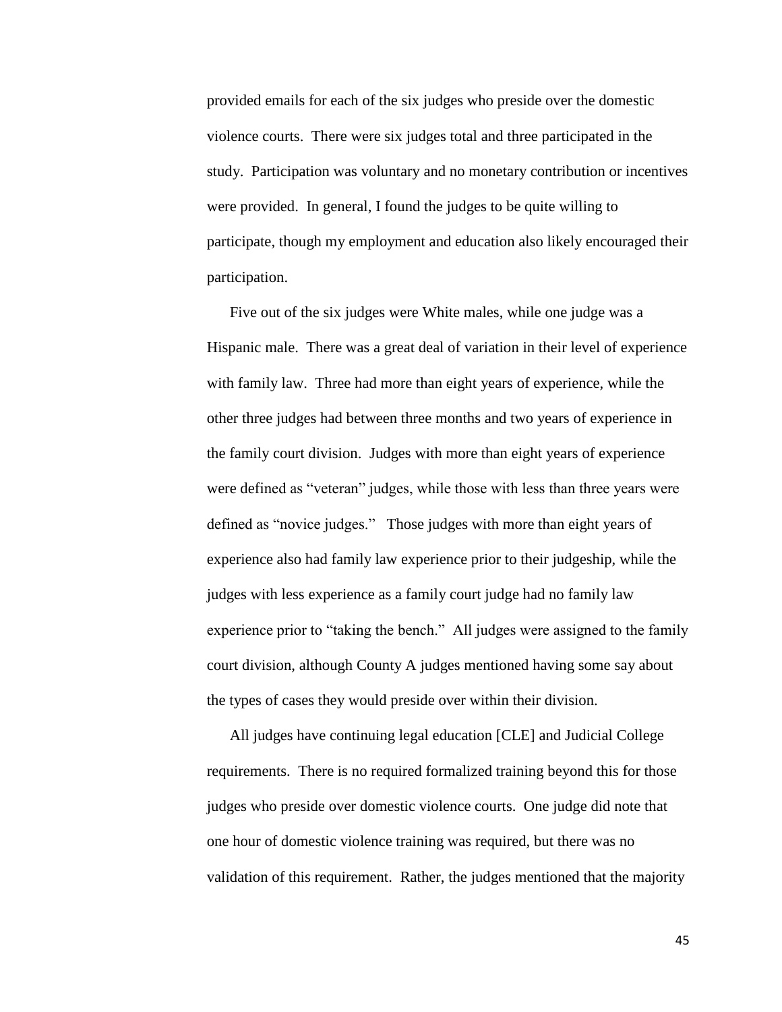provided emails for each of the six judges who preside over the domestic violence courts. There were six judges total and three participated in the study. Participation was voluntary and no monetary contribution or incentives were provided. In general, I found the judges to be quite willing to participate, though my employment and education also likely encouraged their participation.

Five out of the six judges were White males, while one judge was a Hispanic male. There was a great deal of variation in their level of experience with family law. Three had more than eight years of experience, while the other three judges had between three months and two years of experience in the family court division. Judges with more than eight years of experience were defined as "veteran" judges, while those with less than three years were defined as "novice judges." Those judges with more than eight years of experience also had family law experience prior to their judgeship, while the judges with less experience as a family court judge had no family law experience prior to "taking the bench." All judges were assigned to the family court division, although County A judges mentioned having some say about the types of cases they would preside over within their division.

All judges have continuing legal education [CLE] and Judicial College requirements. There is no required formalized training beyond this for those judges who preside over domestic violence courts. One judge did note that one hour of domestic violence training was required, but there was no validation of this requirement. Rather, the judges mentioned that the majority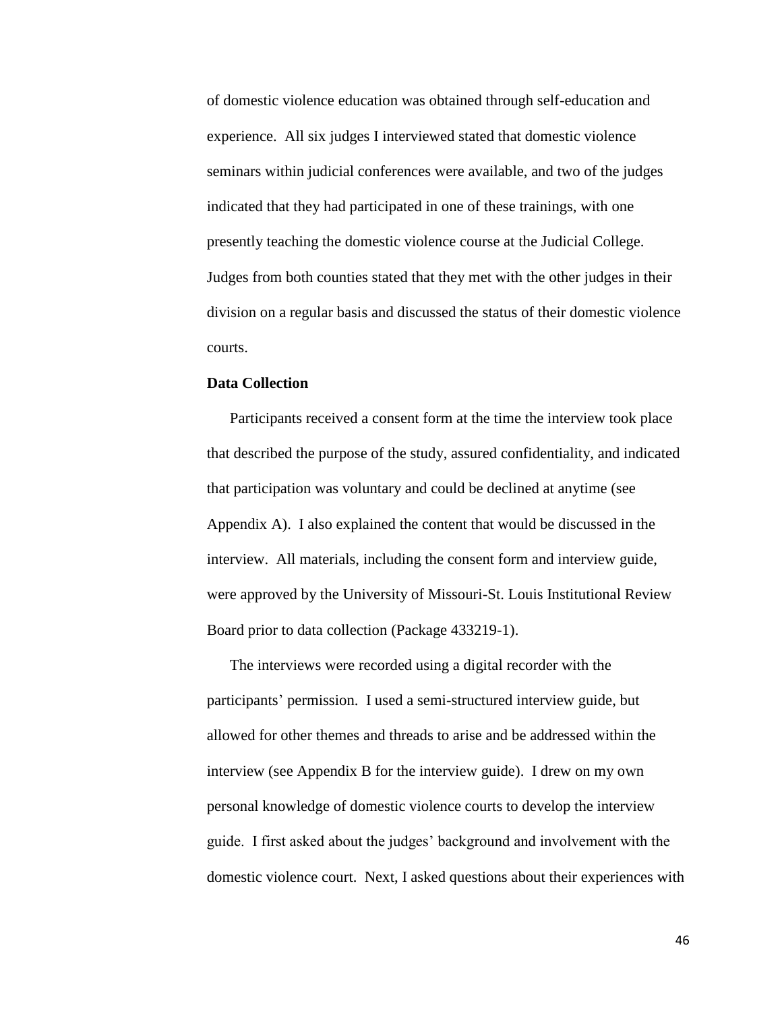of domestic violence education was obtained through self-education and experience. All six judges I interviewed stated that domestic violence seminars within judicial conferences were available, and two of the judges indicated that they had participated in one of these trainings, with one presently teaching the domestic violence course at the Judicial College. Judges from both counties stated that they met with the other judges in their division on a regular basis and discussed the status of their domestic violence courts.

# **Data Collection**

Participants received a consent form at the time the interview took place that described the purpose of the study, assured confidentiality, and indicated that participation was voluntary and could be declined at anytime (see Appendix A). I also explained the content that would be discussed in the interview. All materials, including the consent form and interview guide, were approved by the University of Missouri-St. Louis Institutional Review Board prior to data collection (Package 433219-1).

The interviews were recorded using a digital recorder with the participants' permission. I used a semi-structured interview guide, but allowed for other themes and threads to arise and be addressed within the interview (see Appendix B for the interview guide). I drew on my own personal knowledge of domestic violence courts to develop the interview guide. I first asked about the judges' background and involvement with the domestic violence court. Next, I asked questions about their experiences with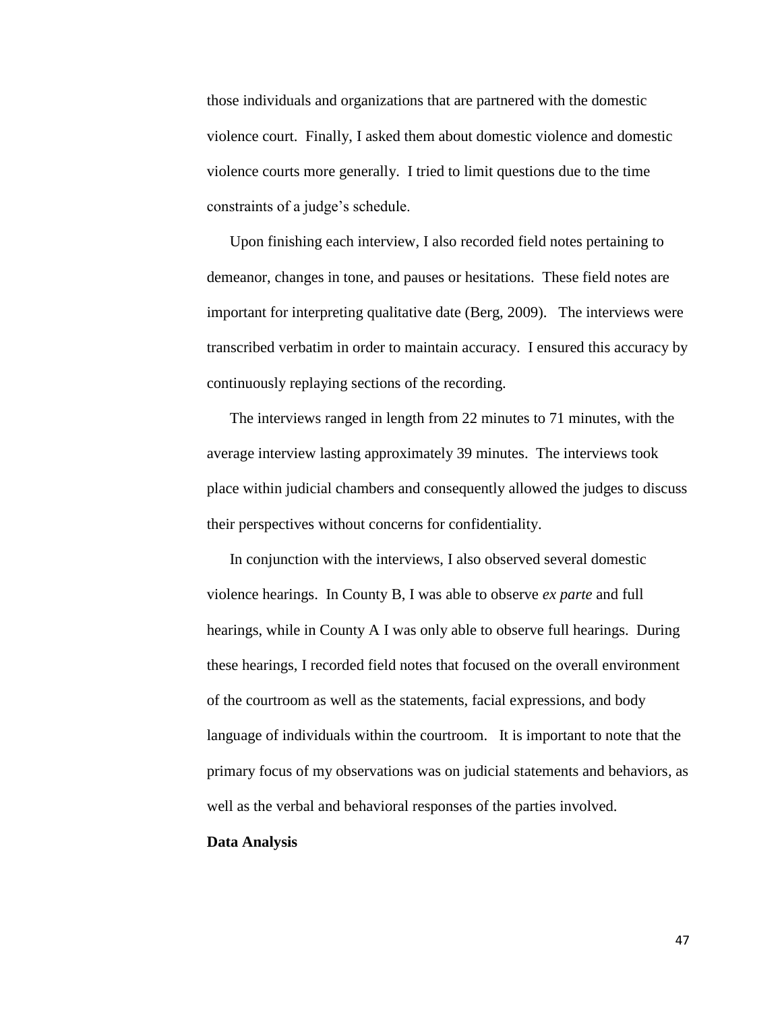those individuals and organizations that are partnered with the domestic violence court. Finally, I asked them about domestic violence and domestic violence courts more generally. I tried to limit questions due to the time constraints of a judge's schedule.

Upon finishing each interview, I also recorded field notes pertaining to demeanor, changes in tone, and pauses or hesitations. These field notes are important for interpreting qualitative date (Berg, 2009). The interviews were transcribed verbatim in order to maintain accuracy. I ensured this accuracy by continuously replaying sections of the recording.

The interviews ranged in length from 22 minutes to 71 minutes, with the average interview lasting approximately 39 minutes. The interviews took place within judicial chambers and consequently allowed the judges to discuss their perspectives without concerns for confidentiality.

In conjunction with the interviews, I also observed several domestic violence hearings. In County B, I was able to observe *ex parte* and full hearings, while in County A I was only able to observe full hearings. During these hearings, I recorded field notes that focused on the overall environment of the courtroom as well as the statements, facial expressions, and body language of individuals within the courtroom. It is important to note that the primary focus of my observations was on judicial statements and behaviors, as well as the verbal and behavioral responses of the parties involved.

# **Data Analysis**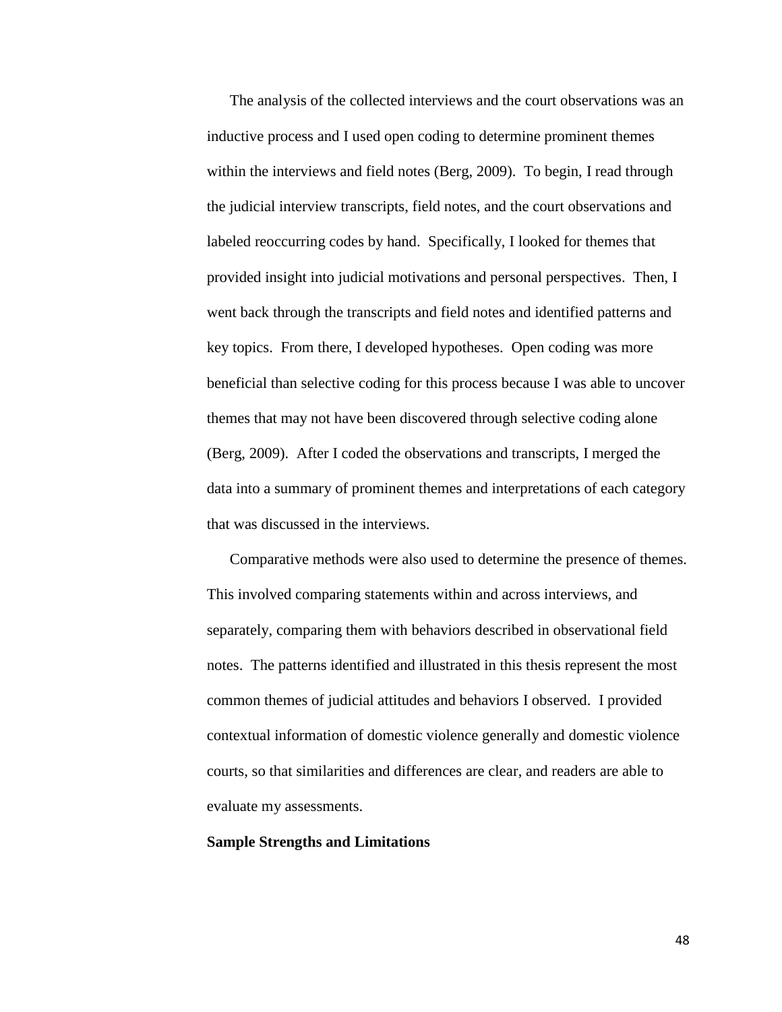The analysis of the collected interviews and the court observations was an inductive process and I used open coding to determine prominent themes within the interviews and field notes (Berg, 2009). To begin, I read through the judicial interview transcripts, field notes, and the court observations and labeled reoccurring codes by hand. Specifically, I looked for themes that provided insight into judicial motivations and personal perspectives. Then, I went back through the transcripts and field notes and identified patterns and key topics. From there, I developed hypotheses. Open coding was more beneficial than selective coding for this process because I was able to uncover themes that may not have been discovered through selective coding alone (Berg, 2009). After I coded the observations and transcripts, I merged the data into a summary of prominent themes and interpretations of each category that was discussed in the interviews.

Comparative methods were also used to determine the presence of themes. This involved comparing statements within and across interviews, and separately, comparing them with behaviors described in observational field notes. The patterns identified and illustrated in this thesis represent the most common themes of judicial attitudes and behaviors I observed. I provided contextual information of domestic violence generally and domestic violence courts, so that similarities and differences are clear, and readers are able to evaluate my assessments.

# **Sample Strengths and Limitations**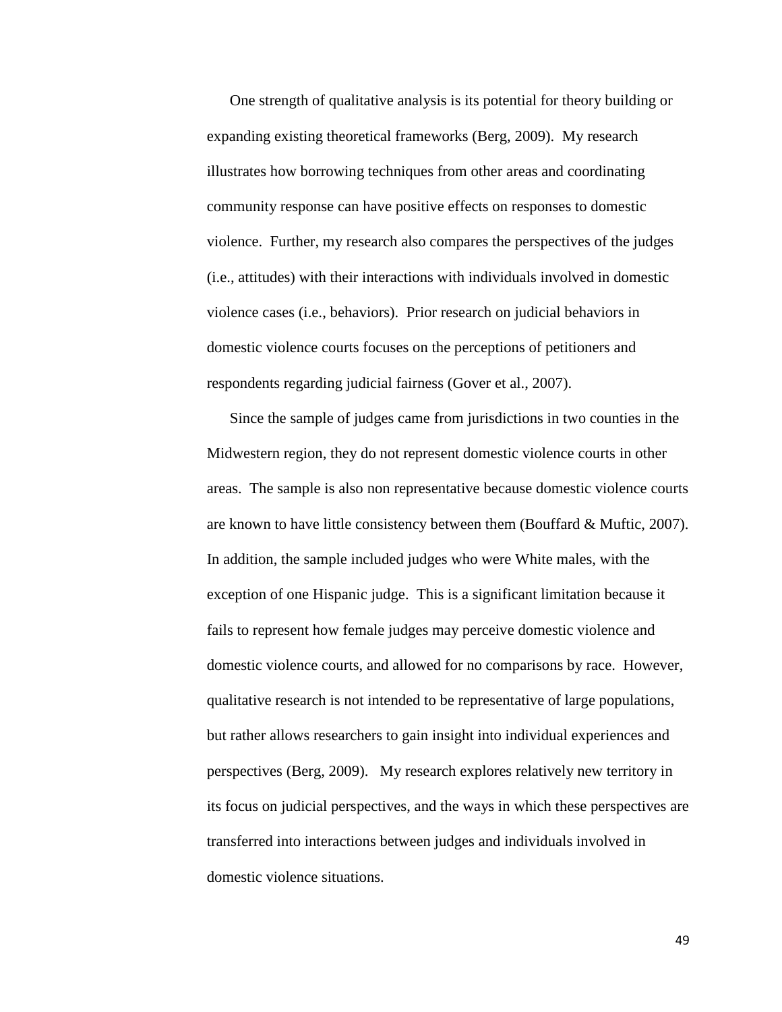One strength of qualitative analysis is its potential for theory building or expanding existing theoretical frameworks (Berg, 2009). My research illustrates how borrowing techniques from other areas and coordinating community response can have positive effects on responses to domestic violence. Further, my research also compares the perspectives of the judges (i.e., attitudes) with their interactions with individuals involved in domestic violence cases (i.e., behaviors). Prior research on judicial behaviors in domestic violence courts focuses on the perceptions of petitioners and respondents regarding judicial fairness (Gover et al., 2007).

Since the sample of judges came from jurisdictions in two counties in the Midwestern region, they do not represent domestic violence courts in other areas. The sample is also non representative because domestic violence courts are known to have little consistency between them (Bouffard & Muftic, 2007). In addition, the sample included judges who were White males, with the exception of one Hispanic judge. This is a significant limitation because it fails to represent how female judges may perceive domestic violence and domestic violence courts, and allowed for no comparisons by race. However, qualitative research is not intended to be representative of large populations, but rather allows researchers to gain insight into individual experiences and perspectives (Berg, 2009). My research explores relatively new territory in its focus on judicial perspectives, and the ways in which these perspectives are transferred into interactions between judges and individuals involved in domestic violence situations.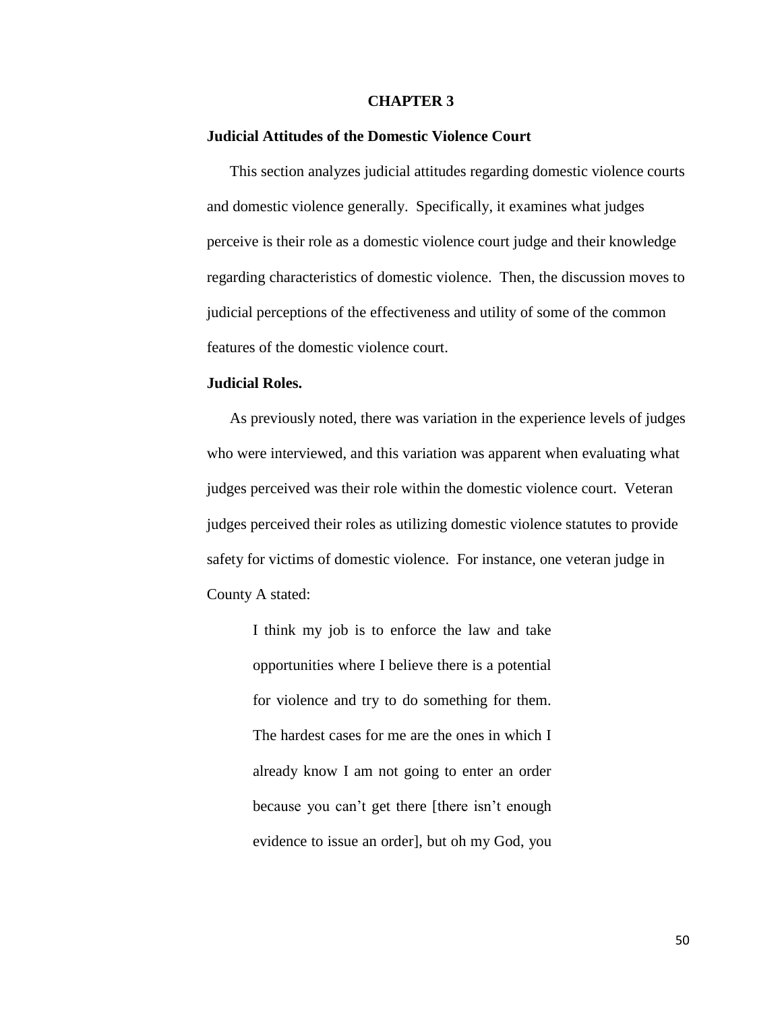#### **CHAPTER 3**

#### **Judicial Attitudes of the Domestic Violence Court**

This section analyzes judicial attitudes regarding domestic violence courts and domestic violence generally. Specifically, it examines what judges perceive is their role as a domestic violence court judge and their knowledge regarding characteristics of domestic violence. Then, the discussion moves to judicial perceptions of the effectiveness and utility of some of the common features of the domestic violence court.

# **Judicial Roles.**

As previously noted, there was variation in the experience levels of judges who were interviewed, and this variation was apparent when evaluating what judges perceived was their role within the domestic violence court. Veteran judges perceived their roles as utilizing domestic violence statutes to provide safety for victims of domestic violence. For instance, one veteran judge in County A stated:

I think my job is to enforce the law and take opportunities where I believe there is a potential for violence and try to do something for them. The hardest cases for me are the ones in which I already know I am not going to enter an order because you can't get there [there isn't enough evidence to issue an order], but oh my God, you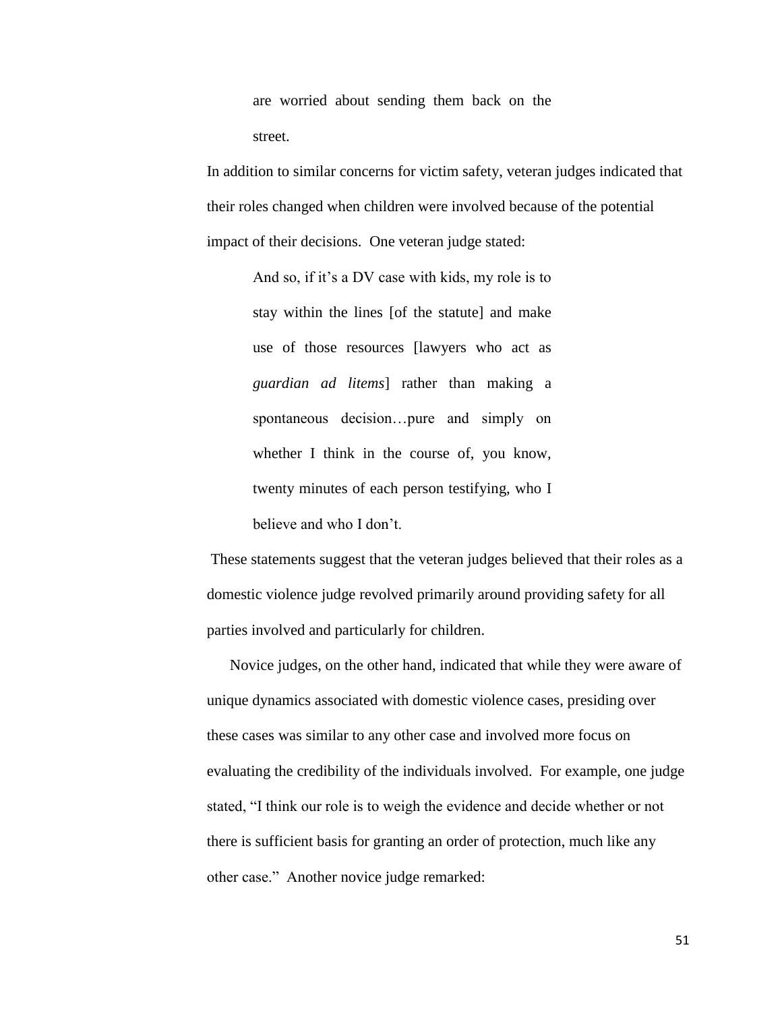are worried about sending them back on the street.

In addition to similar concerns for victim safety, veteran judges indicated that their roles changed when children were involved because of the potential impact of their decisions. One veteran judge stated:

And so, if it's a DV case with kids, my role is to stay within the lines [of the statute] and make use of those resources [lawyers who act as *guardian ad litems*] rather than making a spontaneous decision…pure and simply on whether I think in the course of, you know, twenty minutes of each person testifying, who I believe and who I don't.

These statements suggest that the veteran judges believed that their roles as a domestic violence judge revolved primarily around providing safety for all parties involved and particularly for children.

Novice judges, on the other hand, indicated that while they were aware of unique dynamics associated with domestic violence cases, presiding over these cases was similar to any other case and involved more focus on evaluating the credibility of the individuals involved. For example, one judge stated, "I think our role is to weigh the evidence and decide whether or not there is sufficient basis for granting an order of protection, much like any other case." Another novice judge remarked: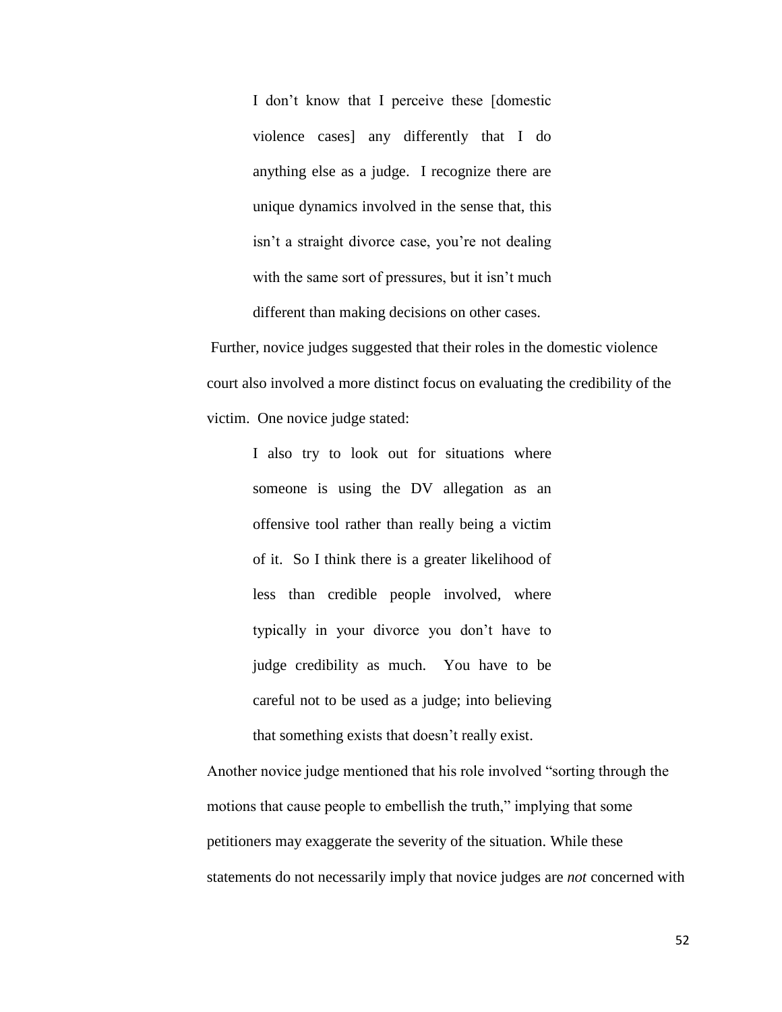I don't know that I perceive these [domestic violence cases] any differently that I do anything else as a judge. I recognize there are unique dynamics involved in the sense that, this isn't a straight divorce case, you're not dealing with the same sort of pressures, but it isn't much different than making decisions on other cases.

Further, novice judges suggested that their roles in the domestic violence court also involved a more distinct focus on evaluating the credibility of the victim. One novice judge stated:

I also try to look out for situations where someone is using the DV allegation as an offensive tool rather than really being a victim of it. So I think there is a greater likelihood of less than credible people involved, where typically in your divorce you don't have to judge credibility as much. You have to be careful not to be used as a judge; into believing that something exists that doesn't really exist.

Another novice judge mentioned that his role involved "sorting through the motions that cause people to embellish the truth," implying that some petitioners may exaggerate the severity of the situation. While these statements do not necessarily imply that novice judges are *not* concerned with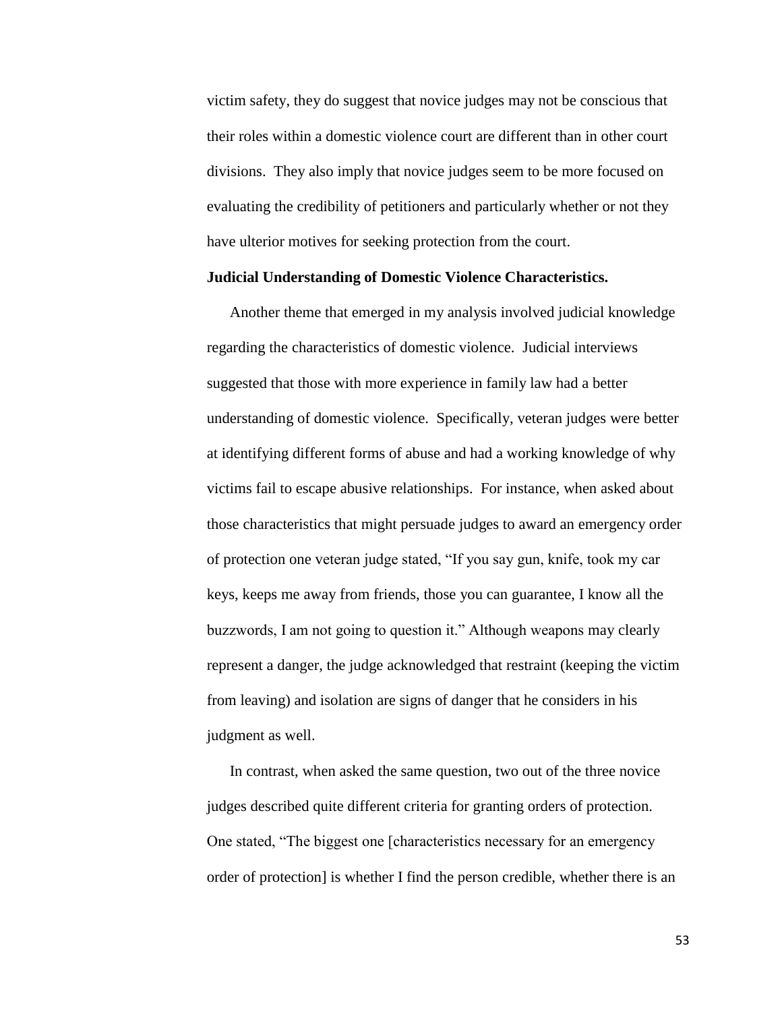victim safety, they do suggest that novice judges may not be conscious that their roles within a domestic violence court are different than in other court divisions. They also imply that novice judges seem to be more focused on evaluating the credibility of petitioners and particularly whether or not they have ulterior motives for seeking protection from the court.

## **Judicial Understanding of Domestic Violence Characteristics.**

Another theme that emerged in my analysis involved judicial knowledge regarding the characteristics of domestic violence. Judicial interviews suggested that those with more experience in family law had a better understanding of domestic violence. Specifically, veteran judges were better at identifying different forms of abuse and had a working knowledge of why victims fail to escape abusive relationships. For instance, when asked about those characteristics that might persuade judges to award an emergency order of protection one veteran judge stated, "If you say gun, knife, took my car keys, keeps me away from friends, those you can guarantee, I know all the buzzwords, I am not going to question it." Although weapons may clearly represent a danger, the judge acknowledged that restraint (keeping the victim from leaving) and isolation are signs of danger that he considers in his judgment as well.

In contrast, when asked the same question, two out of the three novice judges described quite different criteria for granting orders of protection. One stated, "The biggest one [characteristics necessary for an emergency order of protection] is whether I find the person credible, whether there is an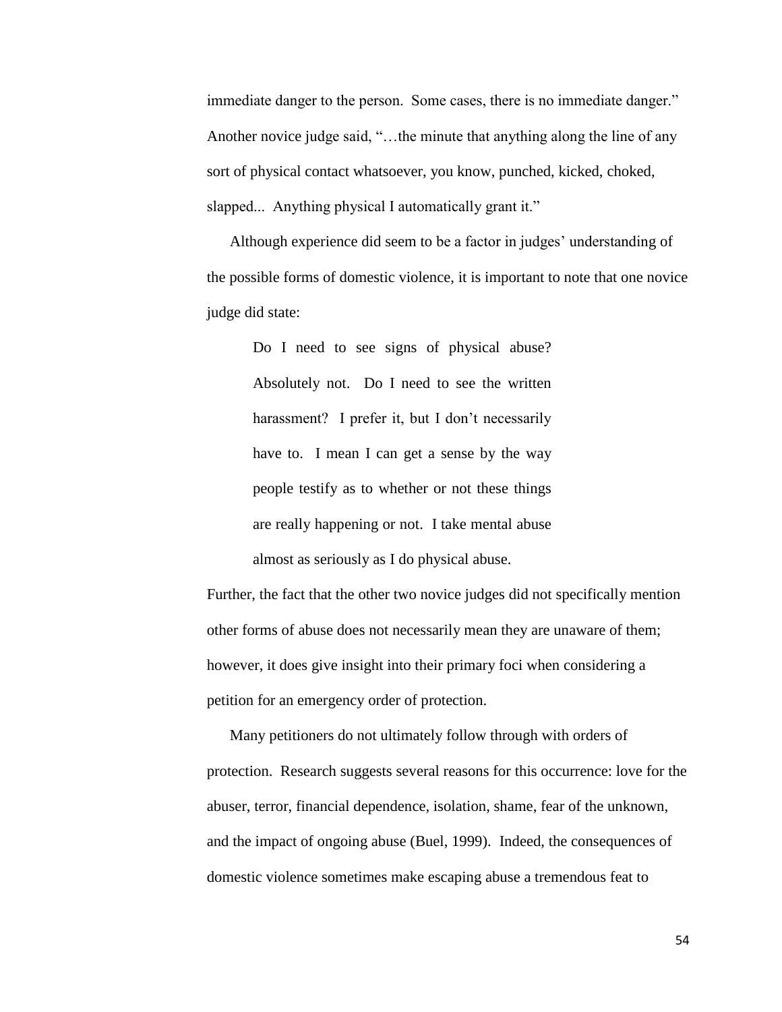immediate danger to the person. Some cases, there is no immediate danger." Another novice judge said, "…the minute that anything along the line of any sort of physical contact whatsoever, you know, punched, kicked, choked, slapped... Anything physical I automatically grant it."

Although experience did seem to be a factor in judges' understanding of the possible forms of domestic violence, it is important to note that one novice judge did state:

Do I need to see signs of physical abuse? Absolutely not. Do I need to see the written harassment? I prefer it, but I don't necessarily have to. I mean I can get a sense by the way people testify as to whether or not these things are really happening or not. I take mental abuse almost as seriously as I do physical abuse.

Further, the fact that the other two novice judges did not specifically mention other forms of abuse does not necessarily mean they are unaware of them; however, it does give insight into their primary foci when considering a petition for an emergency order of protection.

Many petitioners do not ultimately follow through with orders of protection. Research suggests several reasons for this occurrence: love for the abuser, terror, financial dependence, isolation, shame, fear of the unknown, and the impact of ongoing abuse (Buel, 1999). Indeed, the consequences of domestic violence sometimes make escaping abuse a tremendous feat to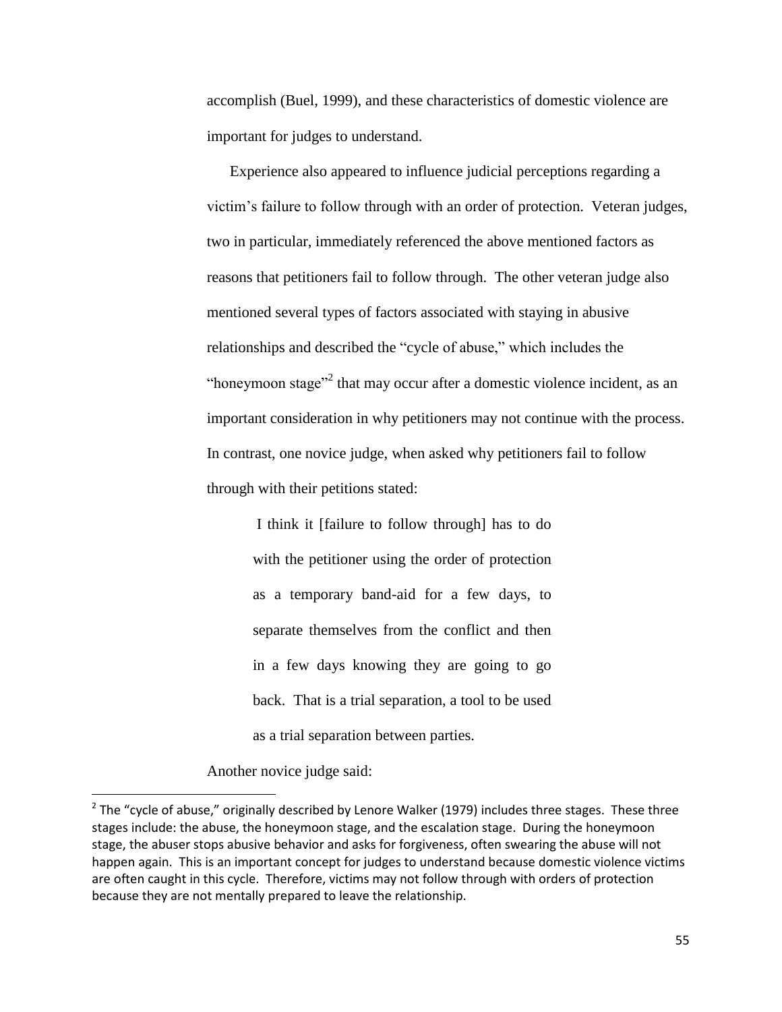accomplish (Buel, 1999), and these characteristics of domestic violence are important for judges to understand.

Experience also appeared to influence judicial perceptions regarding a victim's failure to follow through with an order of protection. Veteran judges, two in particular, immediately referenced the above mentioned factors as reasons that petitioners fail to follow through. The other veteran judge also mentioned several types of factors associated with staying in abusive relationships and described the "cycle of abuse," which includes the "honeymoon stage"<sup>2</sup> that may occur after a domestic violence incident, as an important consideration in why petitioners may not continue with the process. In contrast, one novice judge, when asked why petitioners fail to follow through with their petitions stated:

I think it [failure to follow through] has to do with the petitioner using the order of protection as a temporary band-aid for a few days, to separate themselves from the conflict and then in a few days knowing they are going to go back. That is a trial separation, a tool to be used as a trial separation between parties.

Another novice judge said:

 $\overline{\phantom{a}}$ 

 $2$  The "cycle of abuse," originally described by Lenore Walker (1979) includes three stages. These three stages include: the abuse, the honeymoon stage, and the escalation stage. During the honeymoon stage, the abuser stops abusive behavior and asks for forgiveness, often swearing the abuse will not happen again. This is an important concept for judges to understand because domestic violence victims are often caught in this cycle. Therefore, victims may not follow through with orders of protection because they are not mentally prepared to leave the relationship.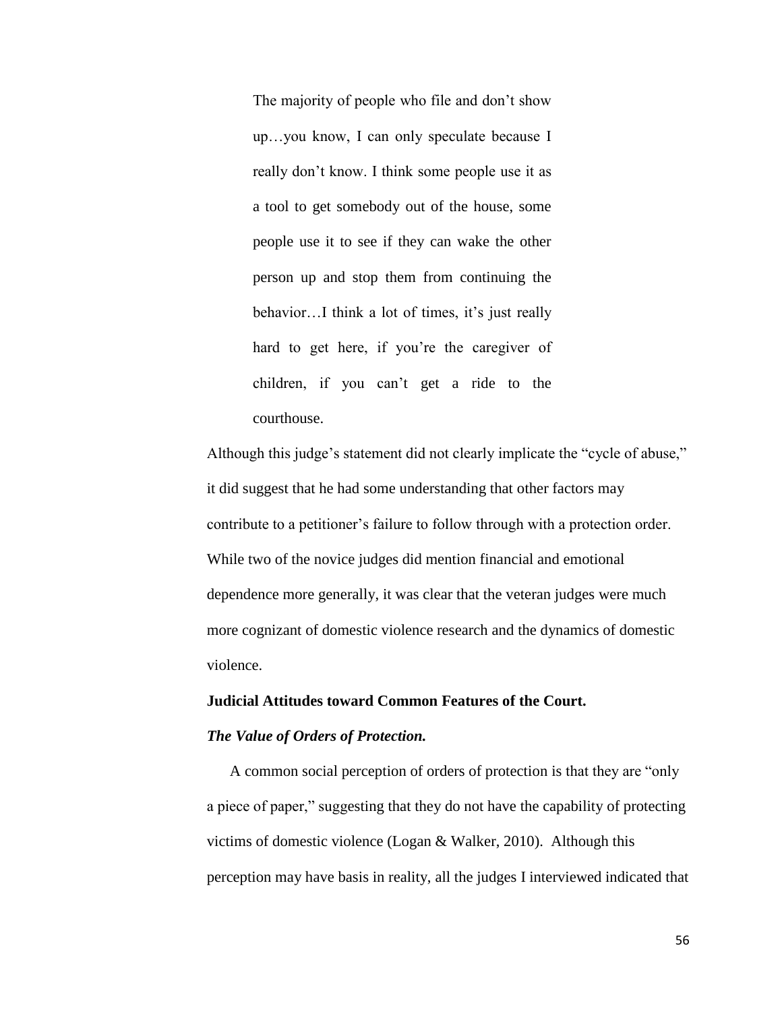The majority of people who file and don't show up…you know, I can only speculate because I really don't know. I think some people use it as a tool to get somebody out of the house, some people use it to see if they can wake the other person up and stop them from continuing the behavior…I think a lot of times, it's just really hard to get here, if you're the caregiver of children, if you can't get a ride to the courthouse.

Although this judge's statement did not clearly implicate the "cycle of abuse," it did suggest that he had some understanding that other factors may contribute to a petitioner's failure to follow through with a protection order. While two of the novice judges did mention financial and emotional dependence more generally, it was clear that the veteran judges were much more cognizant of domestic violence research and the dynamics of domestic violence.

#### **Judicial Attitudes toward Common Features of the Court.**

## *The Value of Orders of Protection.*

A common social perception of orders of protection is that they are "only a piece of paper," suggesting that they do not have the capability of protecting victims of domestic violence (Logan & Walker, 2010). Although this perception may have basis in reality, all the judges I interviewed indicated that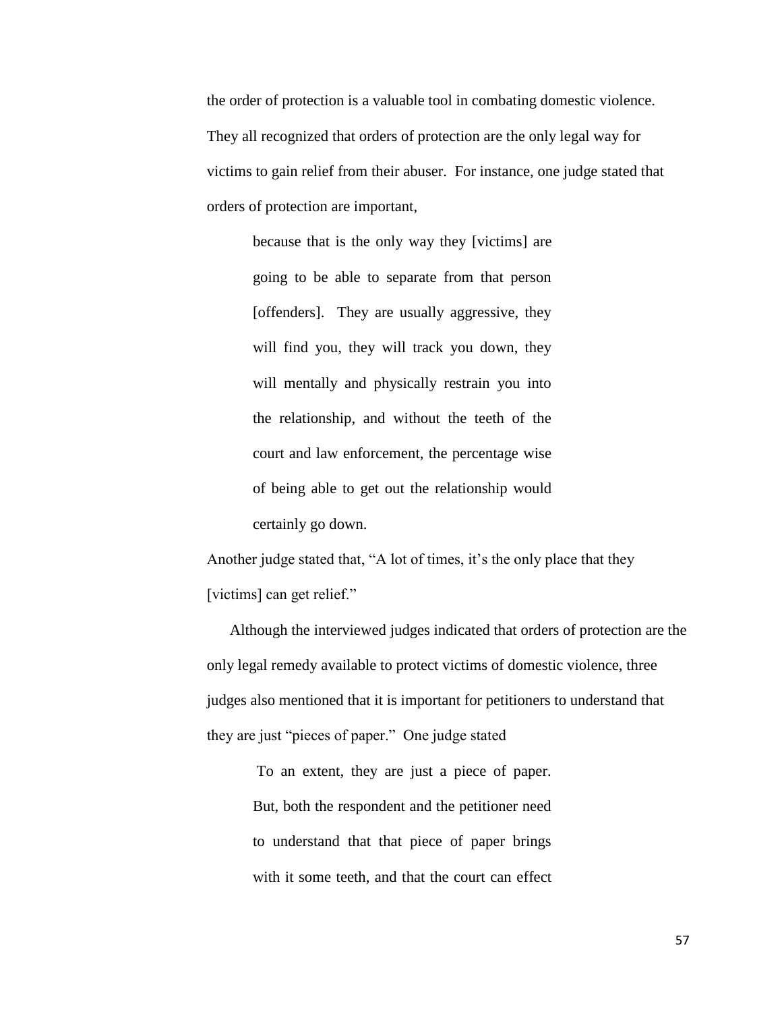the order of protection is a valuable tool in combating domestic violence. They all recognized that orders of protection are the only legal way for victims to gain relief from their abuser. For instance, one judge stated that orders of protection are important,

because that is the only way they [victims] are going to be able to separate from that person [offenders]. They are usually aggressive, they will find you, they will track you down, they will mentally and physically restrain you into the relationship, and without the teeth of the court and law enforcement, the percentage wise of being able to get out the relationship would certainly go down.

Another judge stated that, "A lot of times, it's the only place that they [victims] can get relief."

Although the interviewed judges indicated that orders of protection are the only legal remedy available to protect victims of domestic violence, three judges also mentioned that it is important for petitioners to understand that they are just "pieces of paper." One judge stated

To an extent, they are just a piece of paper. But, both the respondent and the petitioner need to understand that that piece of paper brings with it some teeth, and that the court can effect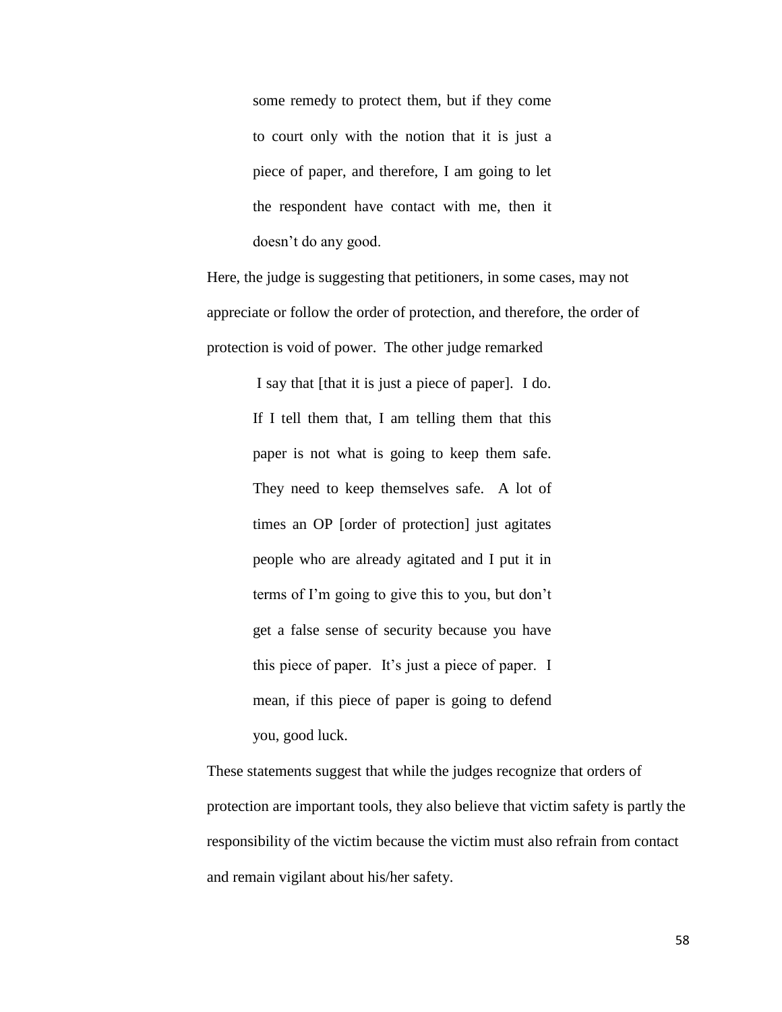some remedy to protect them, but if they come to court only with the notion that it is just a piece of paper, and therefore, I am going to let the respondent have contact with me, then it doesn't do any good.

Here, the judge is suggesting that petitioners, in some cases, may not appreciate or follow the order of protection, and therefore, the order of protection is void of power. The other judge remarked

> I say that [that it is just a piece of paper]. I do. If I tell them that, I am telling them that this paper is not what is going to keep them safe. They need to keep themselves safe. A lot of times an OP [order of protection] just agitates people who are already agitated and I put it in terms of I'm going to give this to you, but don't get a false sense of security because you have this piece of paper. It's just a piece of paper. I mean, if this piece of paper is going to defend you, good luck.

These statements suggest that while the judges recognize that orders of protection are important tools, they also believe that victim safety is partly the responsibility of the victim because the victim must also refrain from contact and remain vigilant about his/her safety.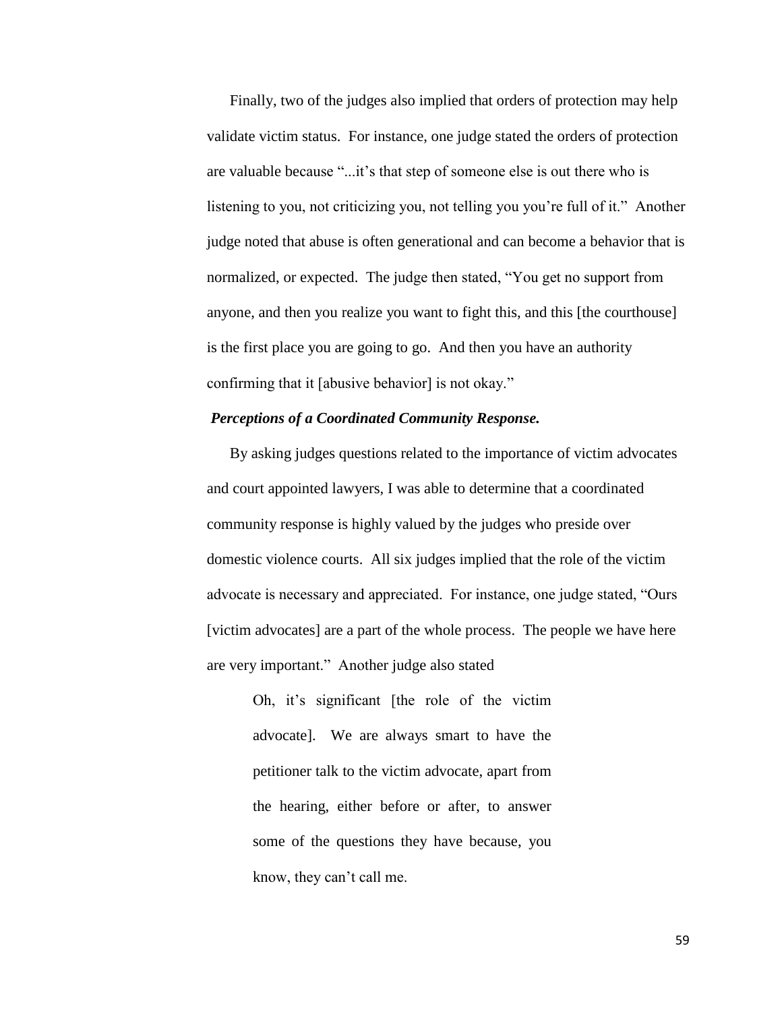Finally, two of the judges also implied that orders of protection may help validate victim status. For instance, one judge stated the orders of protection are valuable because "...it's that step of someone else is out there who is listening to you, not criticizing you, not telling you you're full of it." Another judge noted that abuse is often generational and can become a behavior that is normalized, or expected. The judge then stated, "You get no support from anyone, and then you realize you want to fight this, and this [the courthouse] is the first place you are going to go. And then you have an authority confirming that it [abusive behavior] is not okay."

# *Perceptions of a Coordinated Community Response.*

By asking judges questions related to the importance of victim advocates and court appointed lawyers, I was able to determine that a coordinated community response is highly valued by the judges who preside over domestic violence courts. All six judges implied that the role of the victim advocate is necessary and appreciated. For instance, one judge stated, "Ours [victim advocates] are a part of the whole process. The people we have here are very important." Another judge also stated

Oh, it's significant [the role of the victim advocate]. We are always smart to have the petitioner talk to the victim advocate, apart from the hearing, either before or after, to answer some of the questions they have because, you know, they can't call me.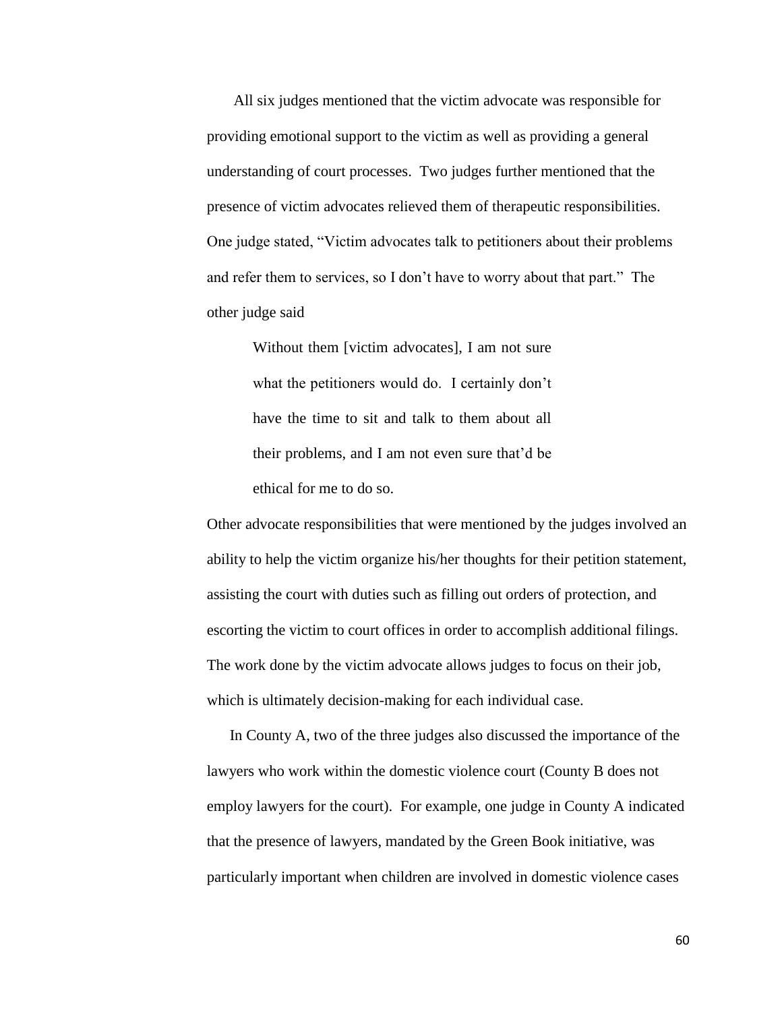All six judges mentioned that the victim advocate was responsible for providing emotional support to the victim as well as providing a general understanding of court processes. Two judges further mentioned that the presence of victim advocates relieved them of therapeutic responsibilities. One judge stated, "Victim advocates talk to petitioners about their problems and refer them to services, so I don't have to worry about that part." The other judge said

Without them [victim advocates], I am not sure what the petitioners would do. I certainly don't have the time to sit and talk to them about all their problems, and I am not even sure that'd be ethical for me to do so.

Other advocate responsibilities that were mentioned by the judges involved an ability to help the victim organize his/her thoughts for their petition statement, assisting the court with duties such as filling out orders of protection, and escorting the victim to court offices in order to accomplish additional filings. The work done by the victim advocate allows judges to focus on their job, which is ultimately decision-making for each individual case.

In County A, two of the three judges also discussed the importance of the lawyers who work within the domestic violence court (County B does not employ lawyers for the court). For example, one judge in County A indicated that the presence of lawyers, mandated by the Green Book initiative, was particularly important when children are involved in domestic violence cases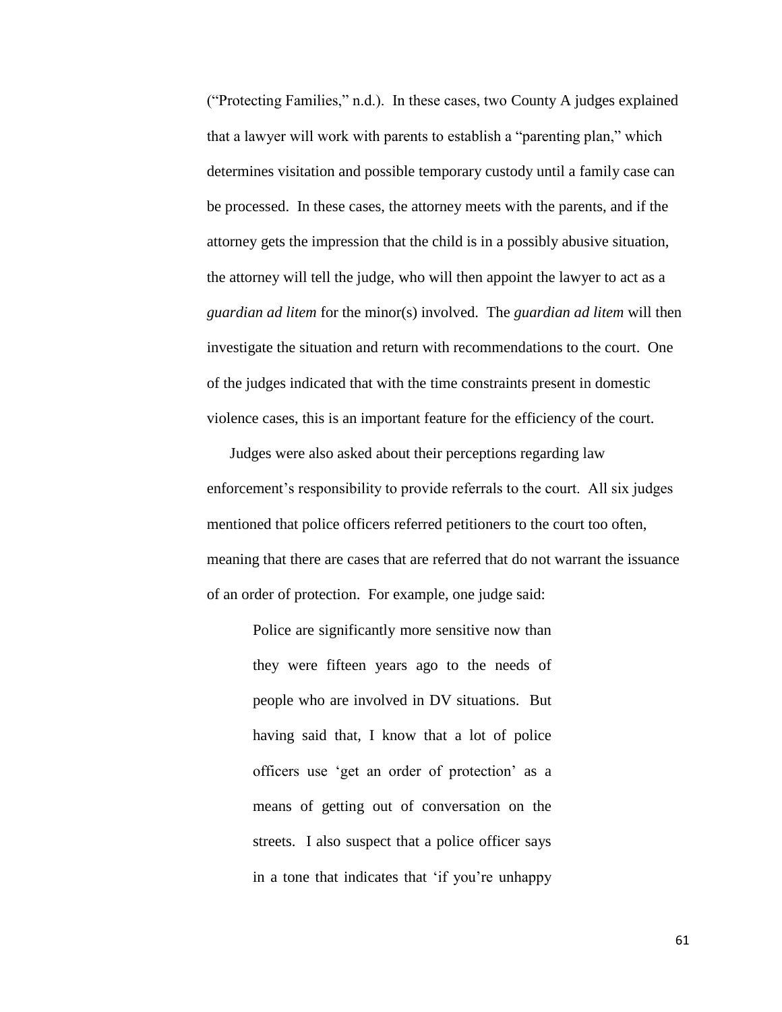("Protecting Families," n.d.). In these cases, two County A judges explained that a lawyer will work with parents to establish a "parenting plan," which determines visitation and possible temporary custody until a family case can be processed. In these cases, the attorney meets with the parents, and if the attorney gets the impression that the child is in a possibly abusive situation, the attorney will tell the judge, who will then appoint the lawyer to act as a *guardian ad litem* for the minor(s) involved. The *guardian ad litem* will then investigate the situation and return with recommendations to the court. One of the judges indicated that with the time constraints present in domestic violence cases, this is an important feature for the efficiency of the court.

Judges were also asked about their perceptions regarding law enforcement's responsibility to provide referrals to the court. All six judges mentioned that police officers referred petitioners to the court too often, meaning that there are cases that are referred that do not warrant the issuance of an order of protection. For example, one judge said:

Police are significantly more sensitive now than they were fifteen years ago to the needs of people who are involved in DV situations. But having said that, I know that a lot of police officers use 'get an order of protection' as a means of getting out of conversation on the streets. I also suspect that a police officer says in a tone that indicates that 'if you're unhappy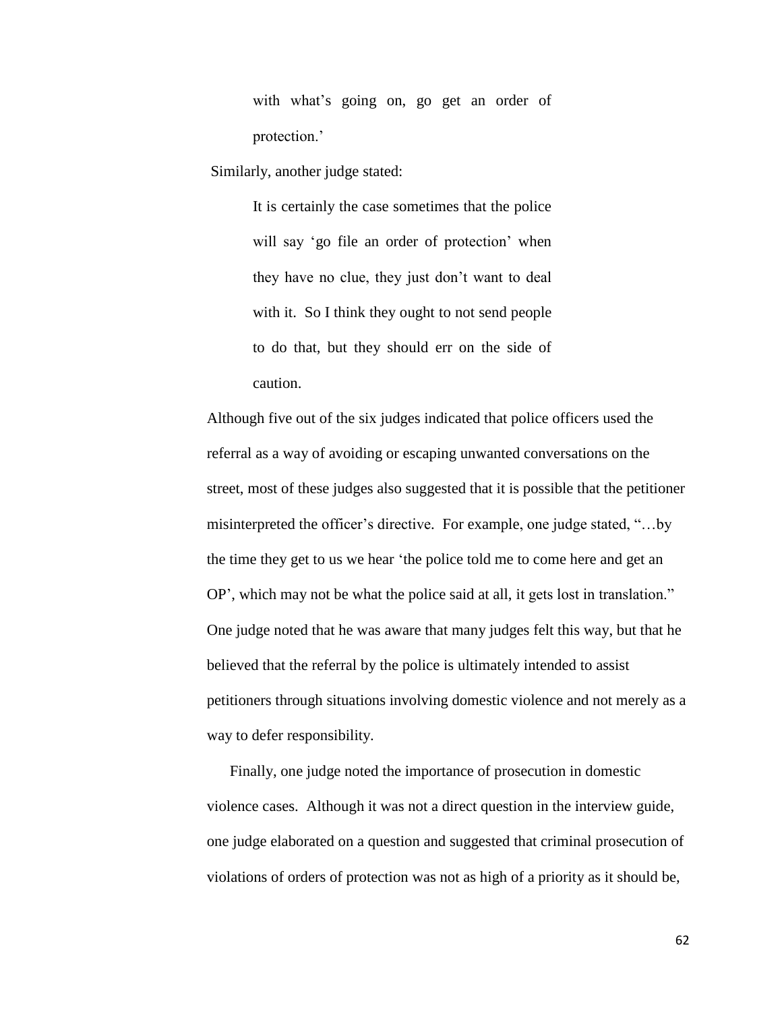with what's going on, go get an order of protection.'

Similarly, another judge stated:

It is certainly the case sometimes that the police will say 'go file an order of protection' when they have no clue, they just don't want to deal with it. So I think they ought to not send people to do that, but they should err on the side of caution.

Although five out of the six judges indicated that police officers used the referral as a way of avoiding or escaping unwanted conversations on the street, most of these judges also suggested that it is possible that the petitioner misinterpreted the officer's directive. For example, one judge stated, "…by the time they get to us we hear 'the police told me to come here and get an OP', which may not be what the police said at all, it gets lost in translation." One judge noted that he was aware that many judges felt this way, but that he believed that the referral by the police is ultimately intended to assist petitioners through situations involving domestic violence and not merely as a way to defer responsibility.

Finally, one judge noted the importance of prosecution in domestic violence cases. Although it was not a direct question in the interview guide, one judge elaborated on a question and suggested that criminal prosecution of violations of orders of protection was not as high of a priority as it should be,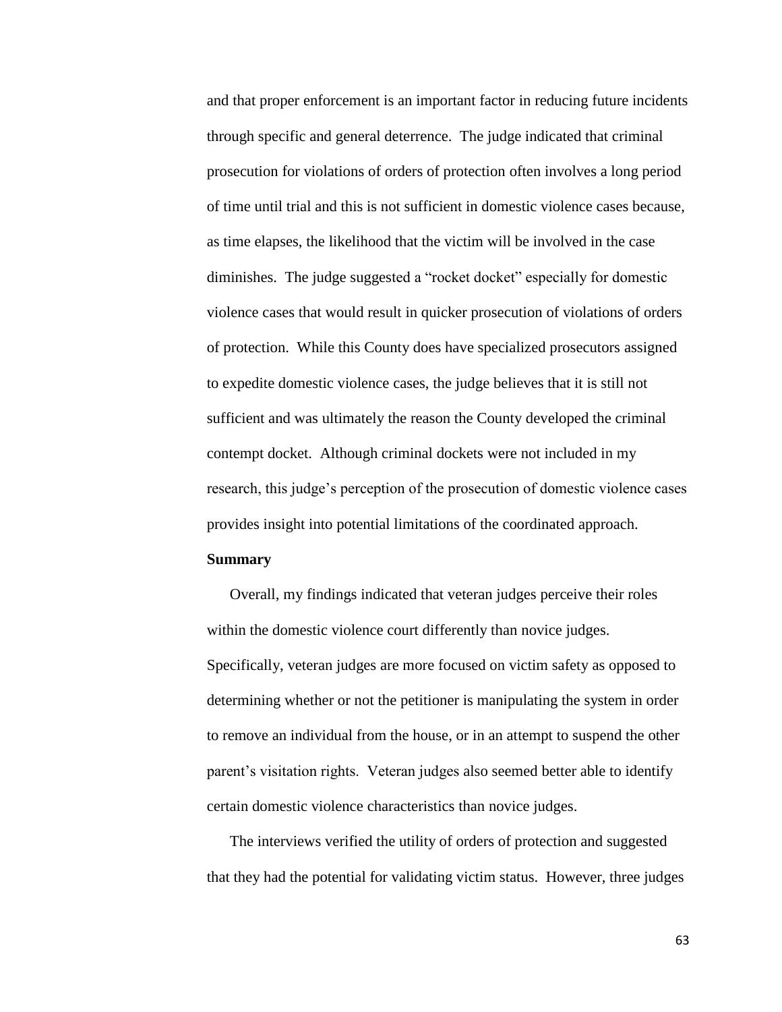and that proper enforcement is an important factor in reducing future incidents through specific and general deterrence. The judge indicated that criminal prosecution for violations of orders of protection often involves a long period of time until trial and this is not sufficient in domestic violence cases because, as time elapses, the likelihood that the victim will be involved in the case diminishes. The judge suggested a "rocket docket" especially for domestic violence cases that would result in quicker prosecution of violations of orders of protection. While this County does have specialized prosecutors assigned to expedite domestic violence cases, the judge believes that it is still not sufficient and was ultimately the reason the County developed the criminal contempt docket. Although criminal dockets were not included in my research, this judge's perception of the prosecution of domestic violence cases provides insight into potential limitations of the coordinated approach.

#### **Summary**

Overall, my findings indicated that veteran judges perceive their roles within the domestic violence court differently than novice judges. Specifically, veteran judges are more focused on victim safety as opposed to determining whether or not the petitioner is manipulating the system in order to remove an individual from the house, or in an attempt to suspend the other parent's visitation rights. Veteran judges also seemed better able to identify certain domestic violence characteristics than novice judges.

The interviews verified the utility of orders of protection and suggested that they had the potential for validating victim status. However, three judges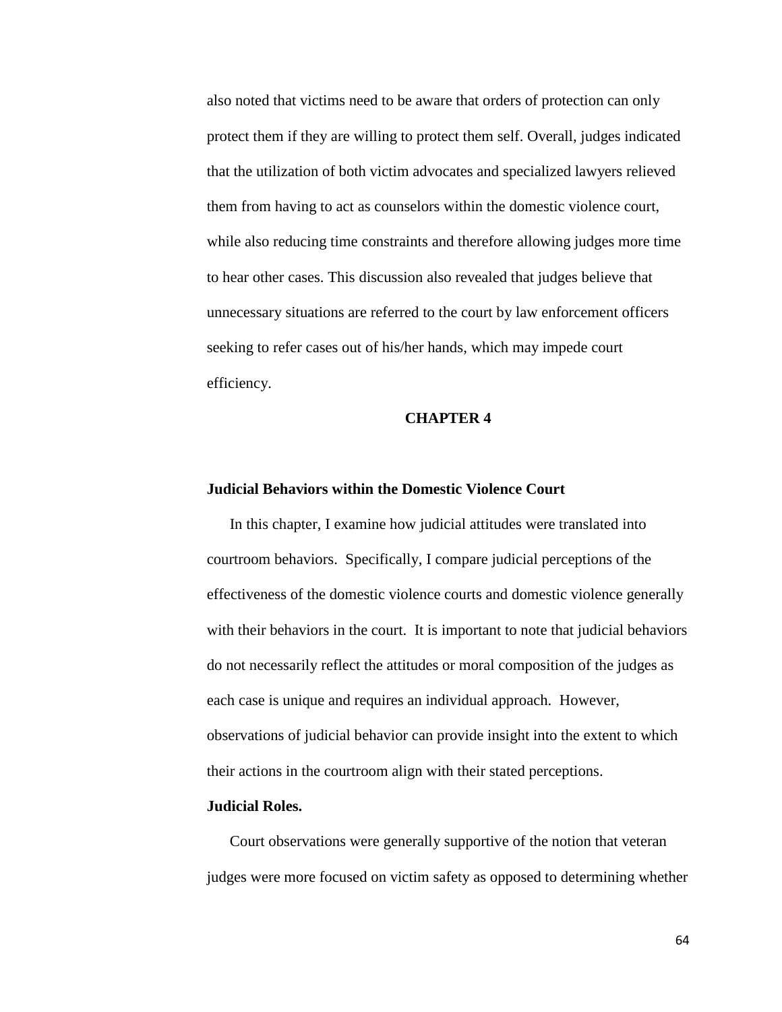also noted that victims need to be aware that orders of protection can only protect them if they are willing to protect them self. Overall, judges indicated that the utilization of both victim advocates and specialized lawyers relieved them from having to act as counselors within the domestic violence court, while also reducing time constraints and therefore allowing judges more time to hear other cases. This discussion also revealed that judges believe that unnecessary situations are referred to the court by law enforcement officers seeking to refer cases out of his/her hands, which may impede court efficiency.

# **CHAPTER 4**

#### **Judicial Behaviors within the Domestic Violence Court**

In this chapter, I examine how judicial attitudes were translated into courtroom behaviors. Specifically, I compare judicial perceptions of the effectiveness of the domestic violence courts and domestic violence generally with their behaviors in the court. It is important to note that judicial behaviors do not necessarily reflect the attitudes or moral composition of the judges as each case is unique and requires an individual approach. However, observations of judicial behavior can provide insight into the extent to which their actions in the courtroom align with their stated perceptions.

#### **Judicial Roles.**

Court observations were generally supportive of the notion that veteran judges were more focused on victim safety as opposed to determining whether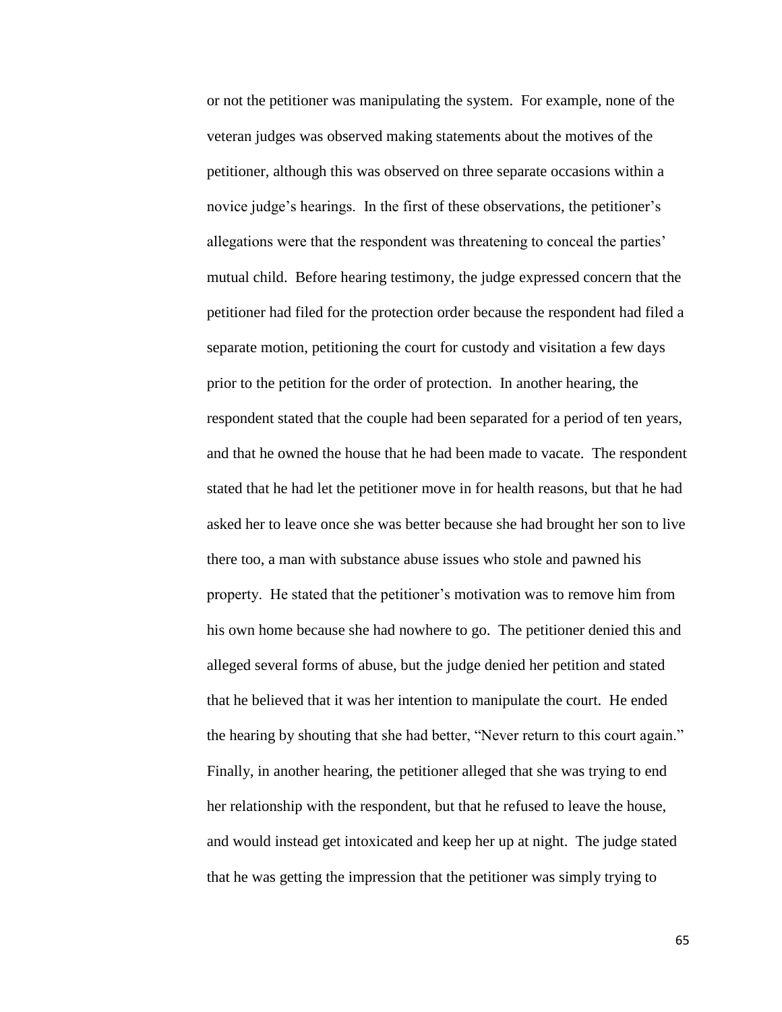or not the petitioner was manipulating the system. For example, none of the veteran judges was observed making statements about the motives of the petitioner, although this was observed on three separate occasions within a novice judge's hearings. In the first of these observations, the petitioner's allegations were that the respondent was threatening to conceal the parties' mutual child. Before hearing testimony, the judge expressed concern that the petitioner had filed for the protection order because the respondent had filed a separate motion, petitioning the court for custody and visitation a few days prior to the petition for the order of protection. In another hearing, the respondent stated that the couple had been separated for a period of ten years, and that he owned the house that he had been made to vacate. The respondent stated that he had let the petitioner move in for health reasons, but that he had asked her to leave once she was better because she had brought her son to live there too, a man with substance abuse issues who stole and pawned his property. He stated that the petitioner's motivation was to remove him from his own home because she had nowhere to go. The petitioner denied this and alleged several forms of abuse, but the judge denied her petition and stated that he believed that it was her intention to manipulate the court. He ended the hearing by shouting that she had better, "Never return to this court again." Finally, in another hearing, the petitioner alleged that she was trying to end her relationship with the respondent, but that he refused to leave the house, and would instead get intoxicated and keep her up at night. The judge stated that he was getting the impression that the petitioner was simply trying to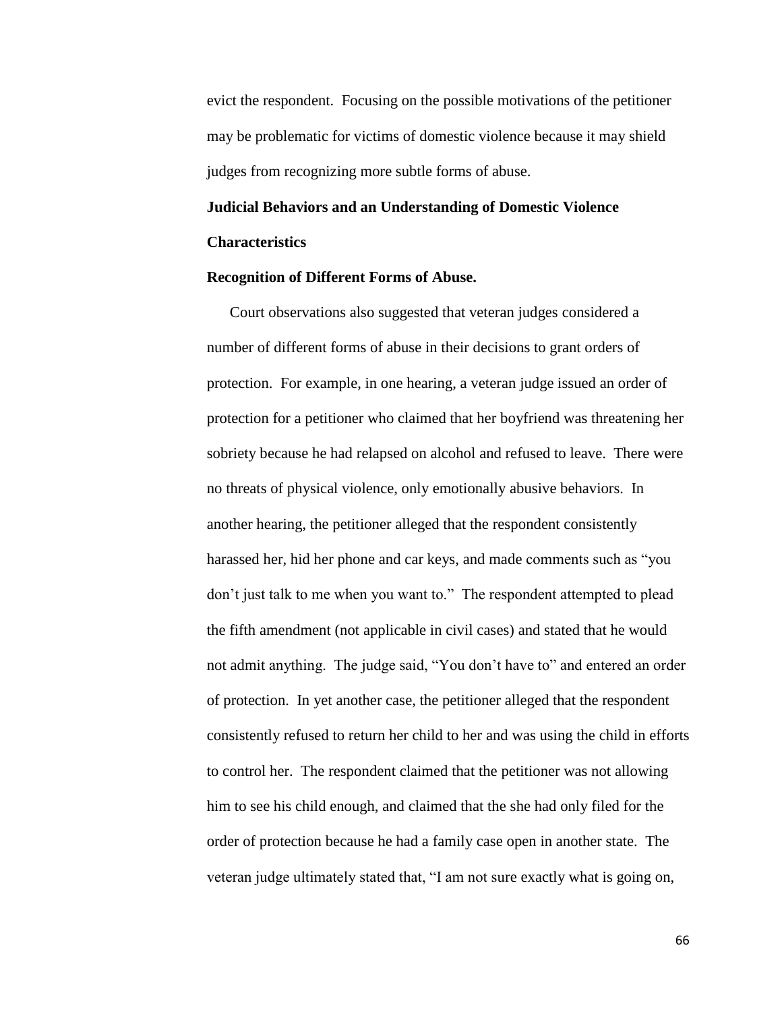evict the respondent. Focusing on the possible motivations of the petitioner may be problematic for victims of domestic violence because it may shield judges from recognizing more subtle forms of abuse.

# **Judicial Behaviors and an Understanding of Domestic Violence Characteristics**

#### **Recognition of Different Forms of Abuse.**

Court observations also suggested that veteran judges considered a number of different forms of abuse in their decisions to grant orders of protection. For example, in one hearing, a veteran judge issued an order of protection for a petitioner who claimed that her boyfriend was threatening her sobriety because he had relapsed on alcohol and refused to leave. There were no threats of physical violence, only emotionally abusive behaviors. In another hearing, the petitioner alleged that the respondent consistently harassed her, hid her phone and car keys, and made comments such as "you don't just talk to me when you want to." The respondent attempted to plead the fifth amendment (not applicable in civil cases) and stated that he would not admit anything. The judge said, "You don't have to" and entered an order of protection. In yet another case, the petitioner alleged that the respondent consistently refused to return her child to her and was using the child in efforts to control her. The respondent claimed that the petitioner was not allowing him to see his child enough, and claimed that the she had only filed for the order of protection because he had a family case open in another state. The veteran judge ultimately stated that, "I am not sure exactly what is going on,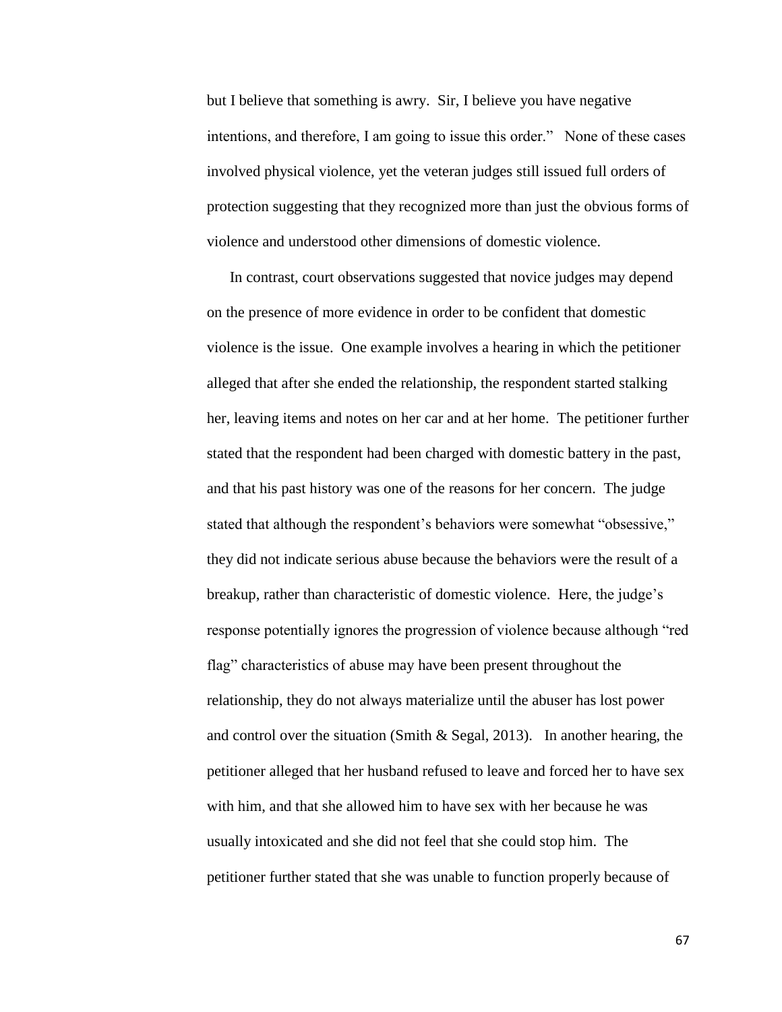but I believe that something is awry. Sir, I believe you have negative intentions, and therefore, I am going to issue this order." None of these cases involved physical violence, yet the veteran judges still issued full orders of protection suggesting that they recognized more than just the obvious forms of violence and understood other dimensions of domestic violence.

In contrast, court observations suggested that novice judges may depend on the presence of more evidence in order to be confident that domestic violence is the issue. One example involves a hearing in which the petitioner alleged that after she ended the relationship, the respondent started stalking her, leaving items and notes on her car and at her home. The petitioner further stated that the respondent had been charged with domestic battery in the past, and that his past history was one of the reasons for her concern. The judge stated that although the respondent's behaviors were somewhat "obsessive," they did not indicate serious abuse because the behaviors were the result of a breakup, rather than characteristic of domestic violence. Here, the judge's response potentially ignores the progression of violence because although "red flag" characteristics of abuse may have been present throughout the relationship, they do not always materialize until the abuser has lost power and control over the situation (Smith & Segal, 2013). In another hearing, the petitioner alleged that her husband refused to leave and forced her to have sex with him, and that she allowed him to have sex with her because he was usually intoxicated and she did not feel that she could stop him. The petitioner further stated that she was unable to function properly because of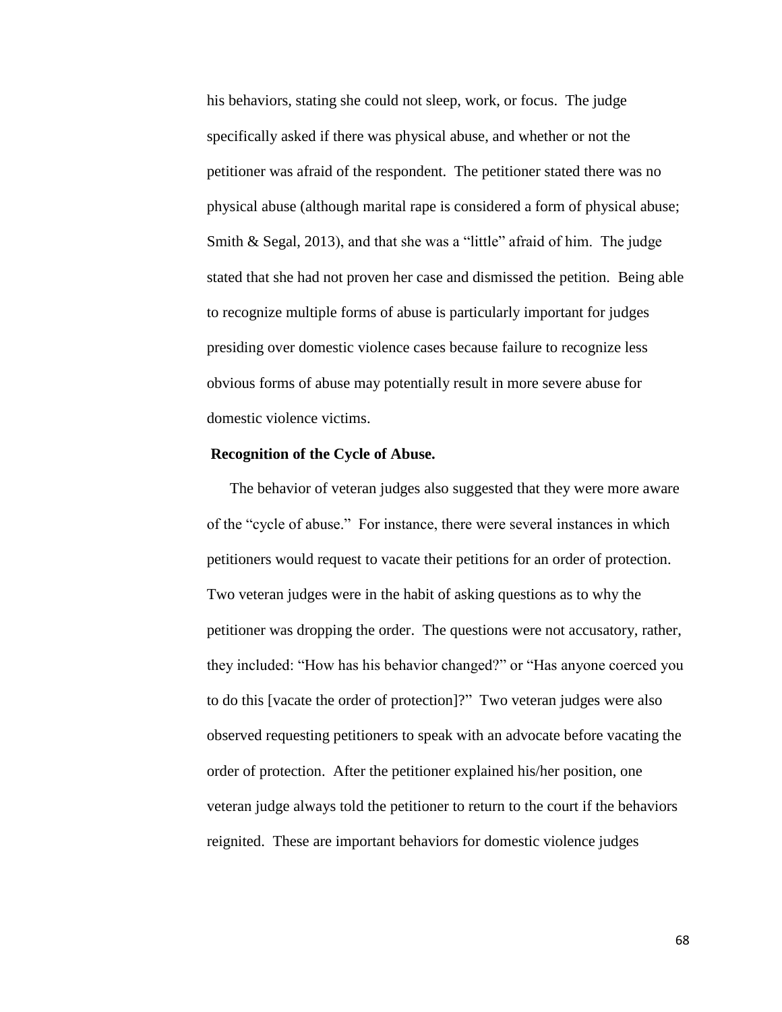his behaviors, stating she could not sleep, work, or focus. The judge specifically asked if there was physical abuse, and whether or not the petitioner was afraid of the respondent. The petitioner stated there was no physical abuse (although marital rape is considered a form of physical abuse; Smith & Segal, 2013), and that she was a "little" afraid of him. The judge stated that she had not proven her case and dismissed the petition. Being able to recognize multiple forms of abuse is particularly important for judges presiding over domestic violence cases because failure to recognize less obvious forms of abuse may potentially result in more severe abuse for domestic violence victims.

#### **Recognition of the Cycle of Abuse.**

The behavior of veteran judges also suggested that they were more aware of the "cycle of abuse." For instance, there were several instances in which petitioners would request to vacate their petitions for an order of protection. Two veteran judges were in the habit of asking questions as to why the petitioner was dropping the order. The questions were not accusatory, rather, they included: "How has his behavior changed?" or "Has anyone coerced you to do this [vacate the order of protection]?" Two veteran judges were also observed requesting petitioners to speak with an advocate before vacating the order of protection. After the petitioner explained his/her position, one veteran judge always told the petitioner to return to the court if the behaviors reignited. These are important behaviors for domestic violence judges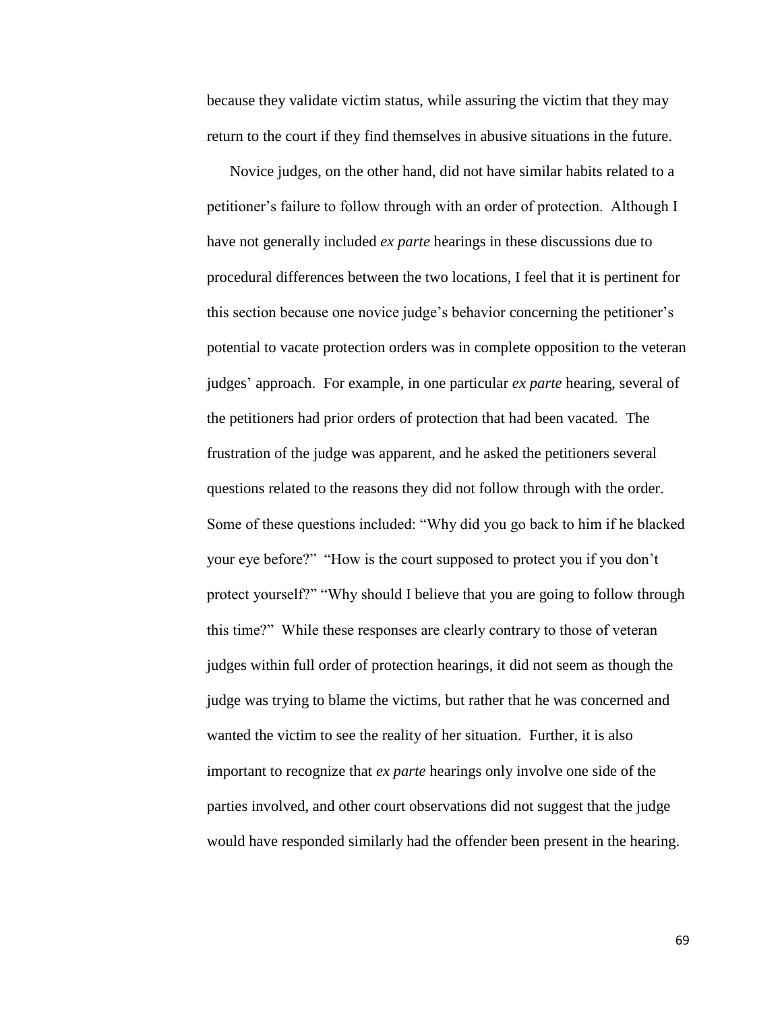because they validate victim status, while assuring the victim that they may return to the court if they find themselves in abusive situations in the future.

Novice judges, on the other hand, did not have similar habits related to a petitioner's failure to follow through with an order of protection. Although I have not generally included *ex parte* hearings in these discussions due to procedural differences between the two locations, I feel that it is pertinent for this section because one novice judge's behavior concerning the petitioner's potential to vacate protection orders was in complete opposition to the veteran judges' approach. For example, in one particular *ex parte* hearing, several of the petitioners had prior orders of protection that had been vacated. The frustration of the judge was apparent, and he asked the petitioners several questions related to the reasons they did not follow through with the order. Some of these questions included: "Why did you go back to him if he blacked your eye before?" "How is the court supposed to protect you if you don't protect yourself?" "Why should I believe that you are going to follow through this time?" While these responses are clearly contrary to those of veteran judges within full order of protection hearings, it did not seem as though the judge was trying to blame the victims, but rather that he was concerned and wanted the victim to see the reality of her situation. Further, it is also important to recognize that *ex parte* hearings only involve one side of the parties involved, and other court observations did not suggest that the judge would have responded similarly had the offender been present in the hearing.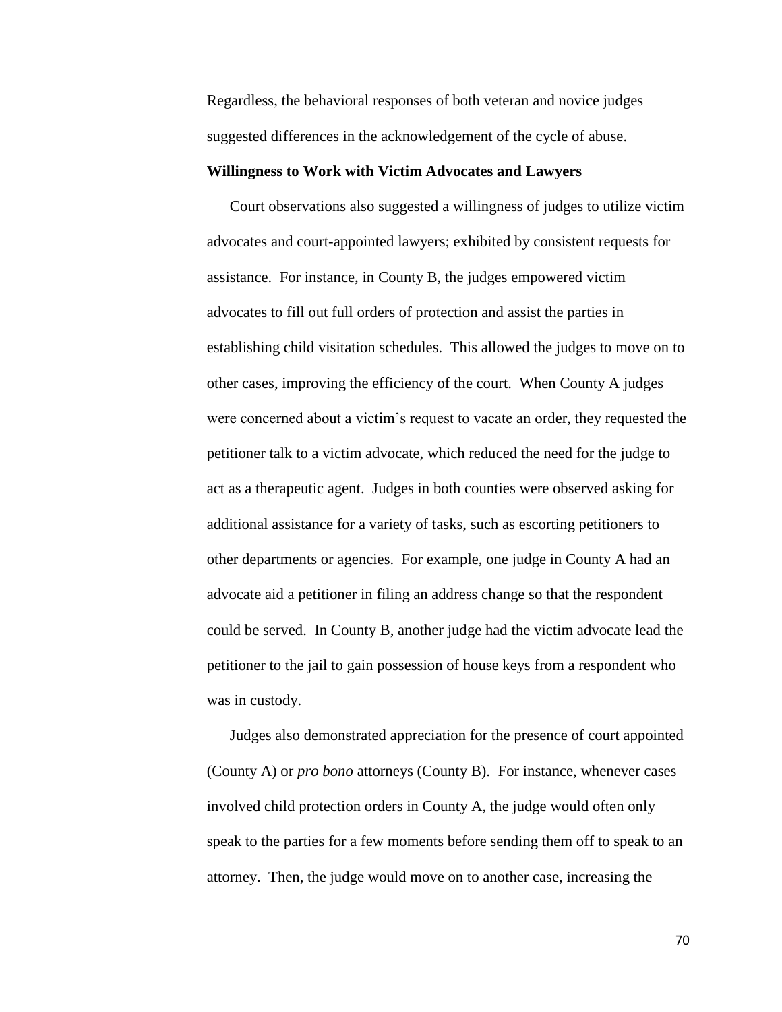Regardless, the behavioral responses of both veteran and novice judges suggested differences in the acknowledgement of the cycle of abuse.

#### **Willingness to Work with Victim Advocates and Lawyers**

Court observations also suggested a willingness of judges to utilize victim advocates and court-appointed lawyers; exhibited by consistent requests for assistance. For instance, in County B, the judges empowered victim advocates to fill out full orders of protection and assist the parties in establishing child visitation schedules. This allowed the judges to move on to other cases, improving the efficiency of the court. When County A judges were concerned about a victim's request to vacate an order, they requested the petitioner talk to a victim advocate, which reduced the need for the judge to act as a therapeutic agent. Judges in both counties were observed asking for additional assistance for a variety of tasks, such as escorting petitioners to other departments or agencies. For example, one judge in County A had an advocate aid a petitioner in filing an address change so that the respondent could be served. In County B, another judge had the victim advocate lead the petitioner to the jail to gain possession of house keys from a respondent who was in custody.

Judges also demonstrated appreciation for the presence of court appointed (County A) or *pro bono* attorneys (County B). For instance, whenever cases involved child protection orders in County A, the judge would often only speak to the parties for a few moments before sending them off to speak to an attorney. Then, the judge would move on to another case, increasing the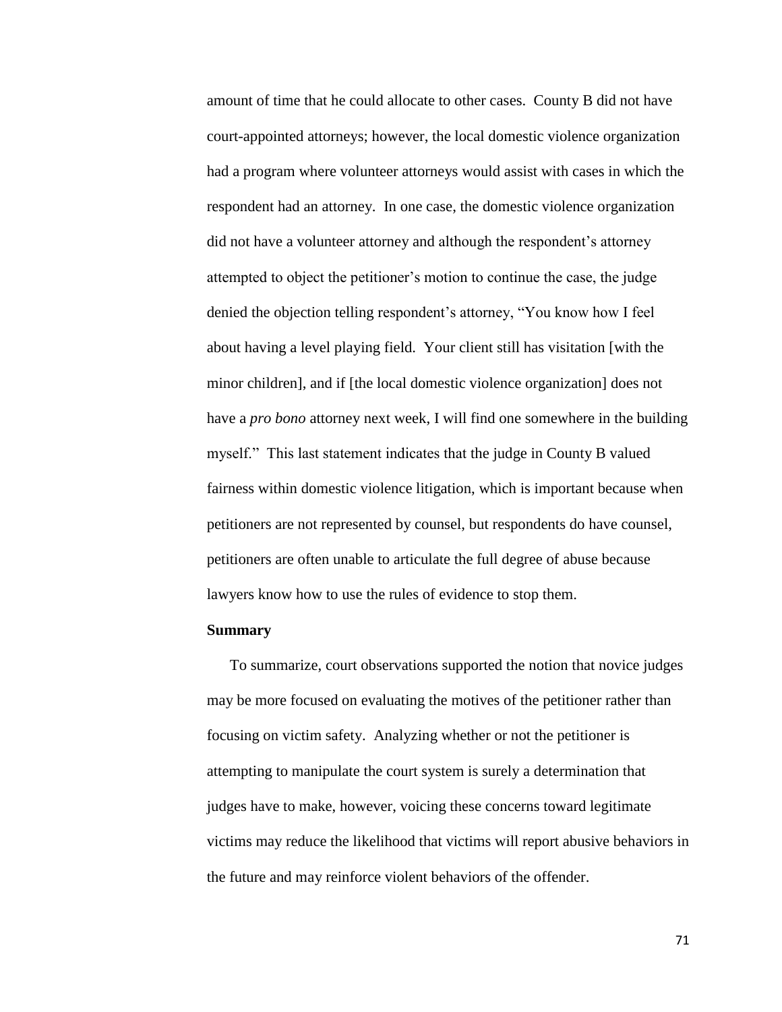amount of time that he could allocate to other cases. County B did not have court-appointed attorneys; however, the local domestic violence organization had a program where volunteer attorneys would assist with cases in which the respondent had an attorney. In one case, the domestic violence organization did not have a volunteer attorney and although the respondent's attorney attempted to object the petitioner's motion to continue the case, the judge denied the objection telling respondent's attorney, "You know how I feel about having a level playing field. Your client still has visitation [with the minor children], and if [the local domestic violence organization] does not have a *pro bono* attorney next week, I will find one somewhere in the building myself." This last statement indicates that the judge in County B valued fairness within domestic violence litigation, which is important because when petitioners are not represented by counsel, but respondents do have counsel, petitioners are often unable to articulate the full degree of abuse because lawyers know how to use the rules of evidence to stop them.

# **Summary**

To summarize, court observations supported the notion that novice judges may be more focused on evaluating the motives of the petitioner rather than focusing on victim safety. Analyzing whether or not the petitioner is attempting to manipulate the court system is surely a determination that judges have to make, however, voicing these concerns toward legitimate victims may reduce the likelihood that victims will report abusive behaviors in the future and may reinforce violent behaviors of the offender.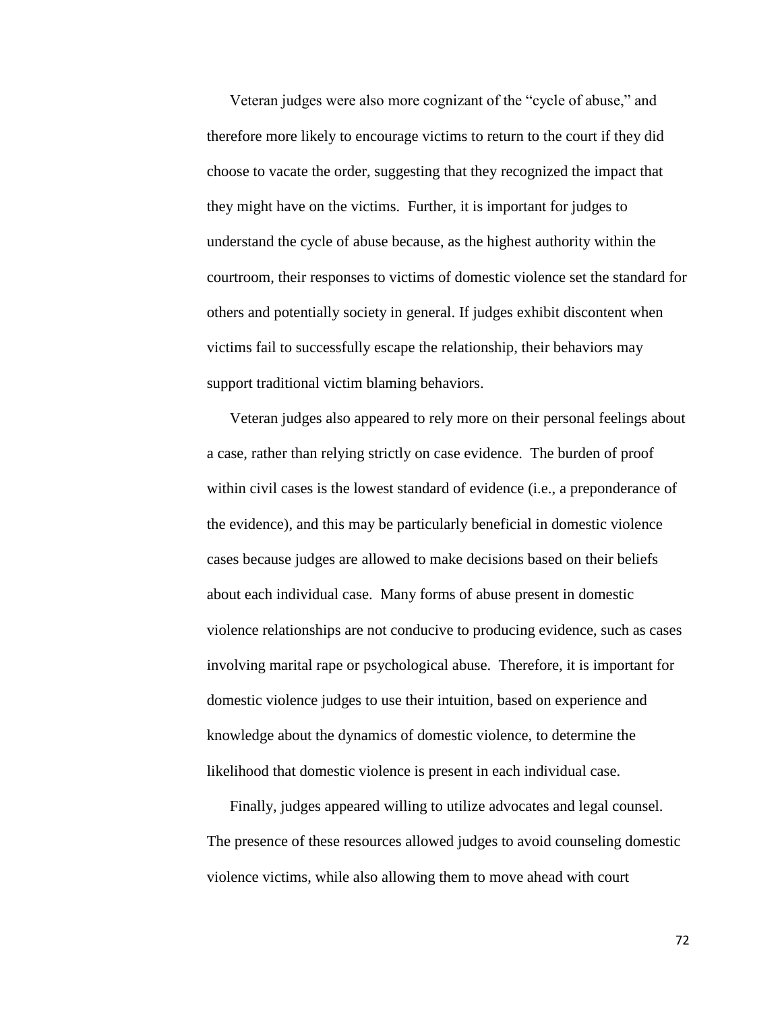Veteran judges were also more cognizant of the "cycle of abuse," and therefore more likely to encourage victims to return to the court if they did choose to vacate the order, suggesting that they recognized the impact that they might have on the victims. Further, it is important for judges to understand the cycle of abuse because, as the highest authority within the courtroom, their responses to victims of domestic violence set the standard for others and potentially society in general. If judges exhibit discontent when victims fail to successfully escape the relationship, their behaviors may support traditional victim blaming behaviors.

Veteran judges also appeared to rely more on their personal feelings about a case, rather than relying strictly on case evidence. The burden of proof within civil cases is the lowest standard of evidence (i.e., a preponderance of the evidence), and this may be particularly beneficial in domestic violence cases because judges are allowed to make decisions based on their beliefs about each individual case. Many forms of abuse present in domestic violence relationships are not conducive to producing evidence, such as cases involving marital rape or psychological abuse. Therefore, it is important for domestic violence judges to use their intuition, based on experience and knowledge about the dynamics of domestic violence, to determine the likelihood that domestic violence is present in each individual case.

Finally, judges appeared willing to utilize advocates and legal counsel. The presence of these resources allowed judges to avoid counseling domestic violence victims, while also allowing them to move ahead with court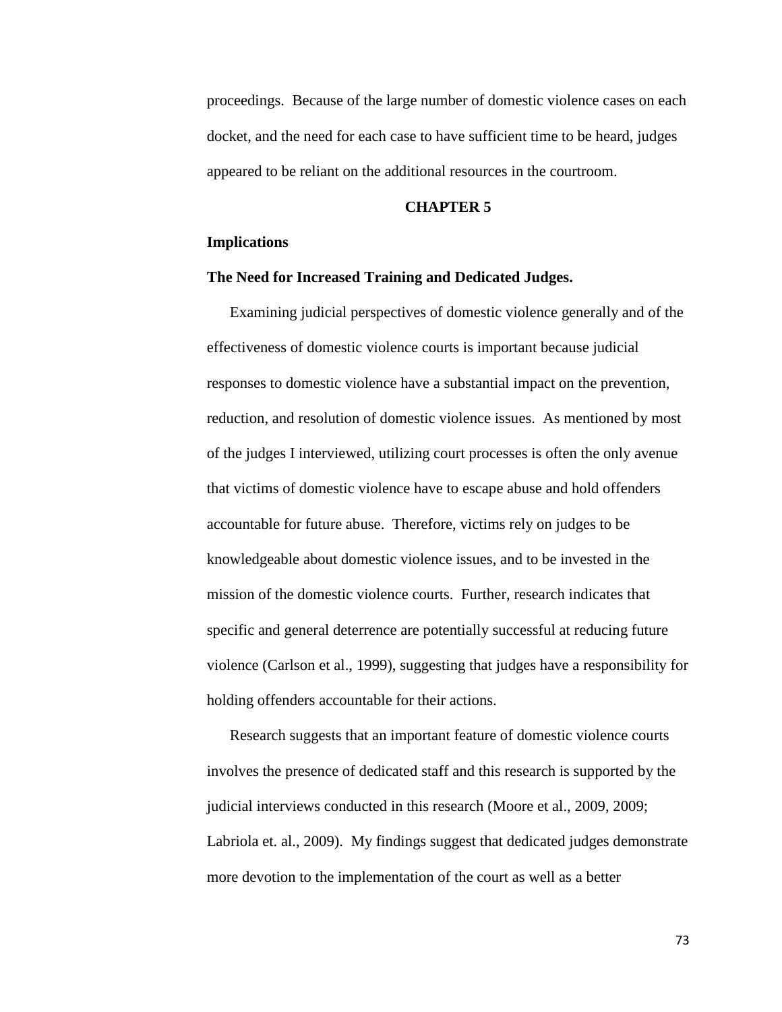proceedings. Because of the large number of domestic violence cases on each docket, and the need for each case to have sufficient time to be heard, judges appeared to be reliant on the additional resources in the courtroom.

## **CHAPTER 5**

# **Implications**

## **The Need for Increased Training and Dedicated Judges.**

Examining judicial perspectives of domestic violence generally and of the effectiveness of domestic violence courts is important because judicial responses to domestic violence have a substantial impact on the prevention, reduction, and resolution of domestic violence issues. As mentioned by most of the judges I interviewed, utilizing court processes is often the only avenue that victims of domestic violence have to escape abuse and hold offenders accountable for future abuse. Therefore, victims rely on judges to be knowledgeable about domestic violence issues, and to be invested in the mission of the domestic violence courts. Further, research indicates that specific and general deterrence are potentially successful at reducing future violence (Carlson et al., 1999), suggesting that judges have a responsibility for holding offenders accountable for their actions.

Research suggests that an important feature of domestic violence courts involves the presence of dedicated staff and this research is supported by the judicial interviews conducted in this research (Moore et al., 2009, 2009; Labriola et. al., 2009). My findings suggest that dedicated judges demonstrate more devotion to the implementation of the court as well as a better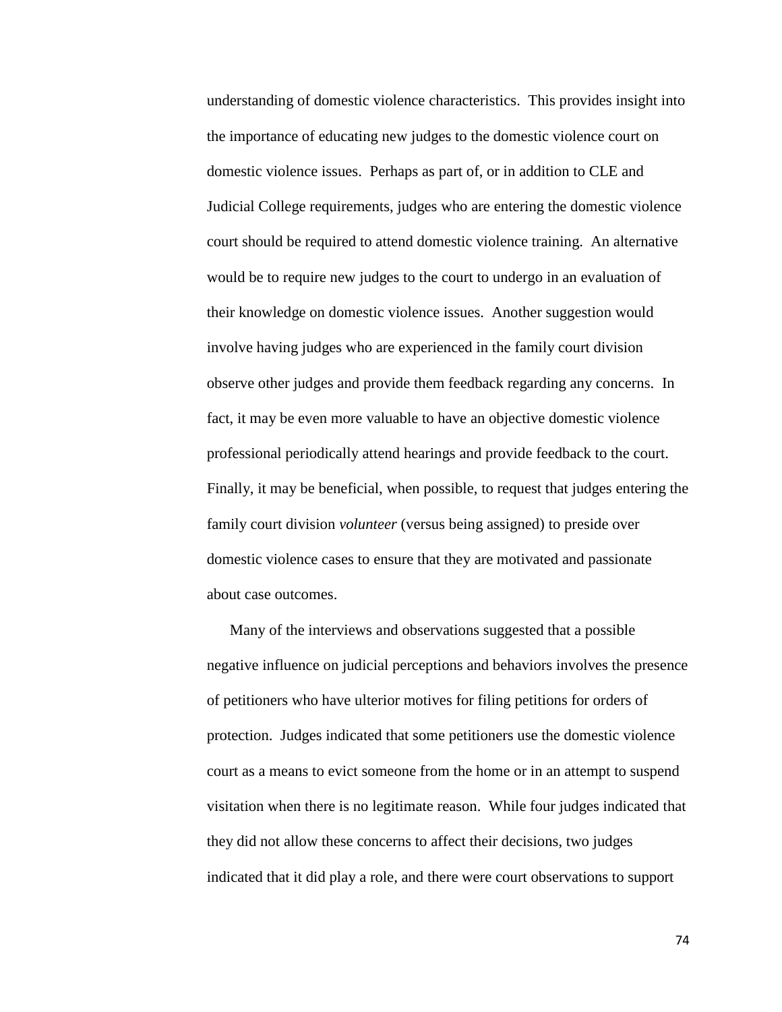understanding of domestic violence characteristics. This provides insight into the importance of educating new judges to the domestic violence court on domestic violence issues. Perhaps as part of, or in addition to CLE and Judicial College requirements, judges who are entering the domestic violence court should be required to attend domestic violence training. An alternative would be to require new judges to the court to undergo in an evaluation of their knowledge on domestic violence issues. Another suggestion would involve having judges who are experienced in the family court division observe other judges and provide them feedback regarding any concerns. In fact, it may be even more valuable to have an objective domestic violence professional periodically attend hearings and provide feedback to the court. Finally, it may be beneficial, when possible, to request that judges entering the family court division *volunteer* (versus being assigned) to preside over domestic violence cases to ensure that they are motivated and passionate about case outcomes.

Many of the interviews and observations suggested that a possible negative influence on judicial perceptions and behaviors involves the presence of petitioners who have ulterior motives for filing petitions for orders of protection. Judges indicated that some petitioners use the domestic violence court as a means to evict someone from the home or in an attempt to suspend visitation when there is no legitimate reason. While four judges indicated that they did not allow these concerns to affect their decisions, two judges indicated that it did play a role, and there were court observations to support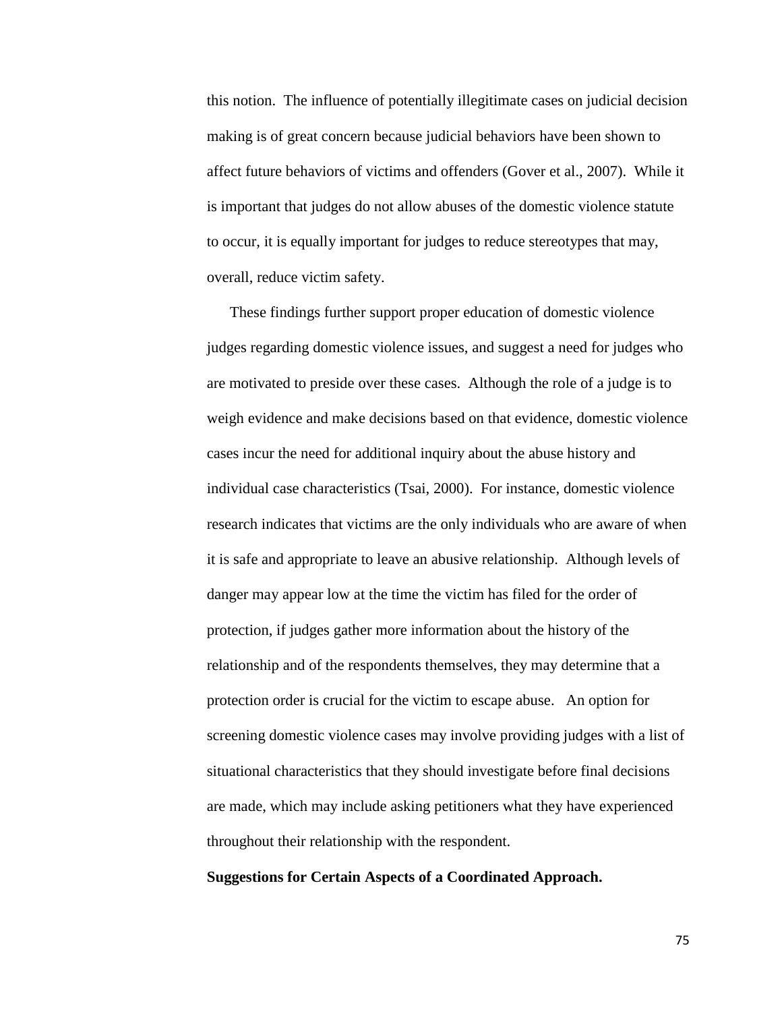this notion. The influence of potentially illegitimate cases on judicial decision making is of great concern because judicial behaviors have been shown to affect future behaviors of victims and offenders (Gover et al., 2007). While it is important that judges do not allow abuses of the domestic violence statute to occur, it is equally important for judges to reduce stereotypes that may, overall, reduce victim safety.

These findings further support proper education of domestic violence judges regarding domestic violence issues, and suggest a need for judges who are motivated to preside over these cases. Although the role of a judge is to weigh evidence and make decisions based on that evidence, domestic violence cases incur the need for additional inquiry about the abuse history and individual case characteristics (Tsai, 2000). For instance, domestic violence research indicates that victims are the only individuals who are aware of when it is safe and appropriate to leave an abusive relationship. Although levels of danger may appear low at the time the victim has filed for the order of protection, if judges gather more information about the history of the relationship and of the respondents themselves, they may determine that a protection order is crucial for the victim to escape abuse. An option for screening domestic violence cases may involve providing judges with a list of situational characteristics that they should investigate before final decisions are made, which may include asking petitioners what they have experienced throughout their relationship with the respondent.

### **Suggestions for Certain Aspects of a Coordinated Approach.**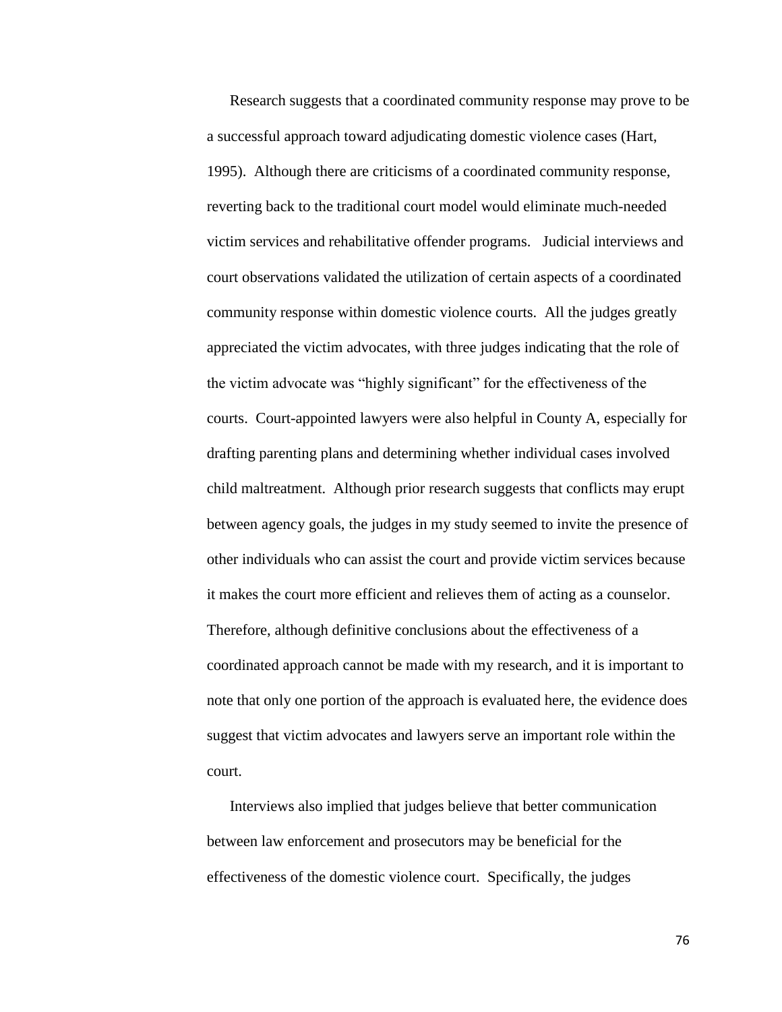Research suggests that a coordinated community response may prove to be a successful approach toward adjudicating domestic violence cases (Hart, 1995). Although there are criticisms of a coordinated community response, reverting back to the traditional court model would eliminate much-needed victim services and rehabilitative offender programs. Judicial interviews and court observations validated the utilization of certain aspects of a coordinated community response within domestic violence courts. All the judges greatly appreciated the victim advocates, with three judges indicating that the role of the victim advocate was "highly significant" for the effectiveness of the courts. Court-appointed lawyers were also helpful in County A, especially for drafting parenting plans and determining whether individual cases involved child maltreatment. Although prior research suggests that conflicts may erupt between agency goals, the judges in my study seemed to invite the presence of other individuals who can assist the court and provide victim services because it makes the court more efficient and relieves them of acting as a counselor. Therefore, although definitive conclusions about the effectiveness of a coordinated approach cannot be made with my research, and it is important to note that only one portion of the approach is evaluated here, the evidence does suggest that victim advocates and lawyers serve an important role within the court.

Interviews also implied that judges believe that better communication between law enforcement and prosecutors may be beneficial for the effectiveness of the domestic violence court. Specifically, the judges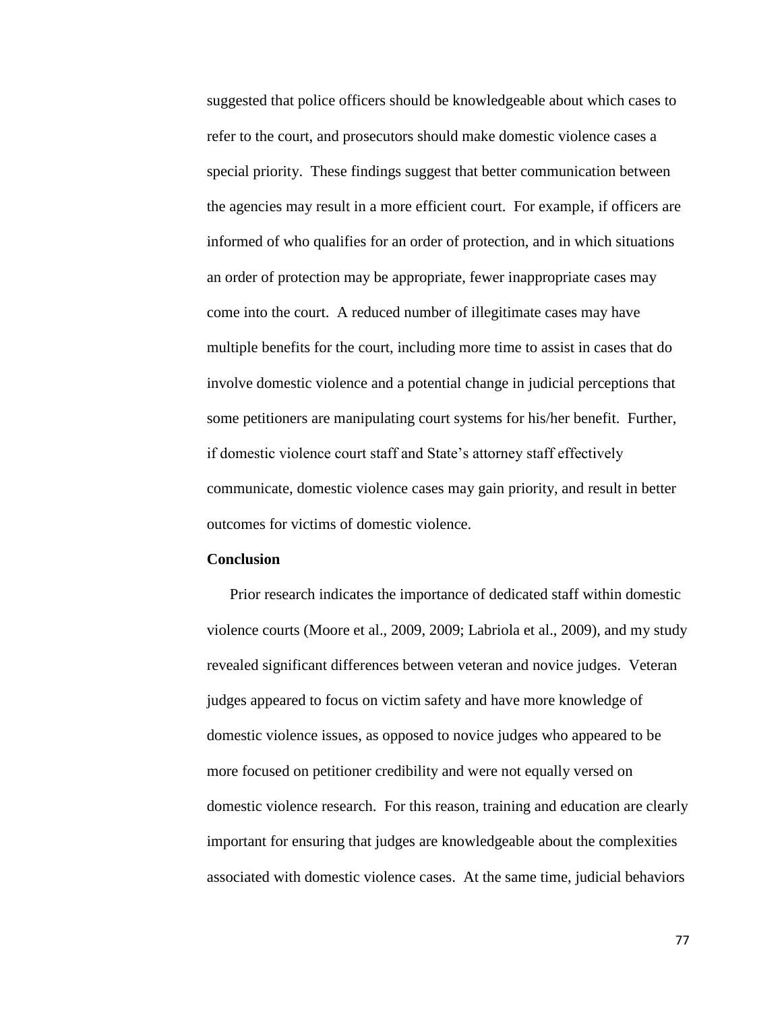suggested that police officers should be knowledgeable about which cases to refer to the court, and prosecutors should make domestic violence cases a special priority. These findings suggest that better communication between the agencies may result in a more efficient court. For example, if officers are informed of who qualifies for an order of protection, and in which situations an order of protection may be appropriate, fewer inappropriate cases may come into the court. A reduced number of illegitimate cases may have multiple benefits for the court, including more time to assist in cases that do involve domestic violence and a potential change in judicial perceptions that some petitioners are manipulating court systems for his/her benefit. Further, if domestic violence court staff and State's attorney staff effectively communicate, domestic violence cases may gain priority, and result in better outcomes for victims of domestic violence.

#### **Conclusion**

Prior research indicates the importance of dedicated staff within domestic violence courts (Moore et al., 2009, 2009; Labriola et al., 2009), and my study revealed significant differences between veteran and novice judges. Veteran judges appeared to focus on victim safety and have more knowledge of domestic violence issues, as opposed to novice judges who appeared to be more focused on petitioner credibility and were not equally versed on domestic violence research. For this reason, training and education are clearly important for ensuring that judges are knowledgeable about the complexities associated with domestic violence cases. At the same time, judicial behaviors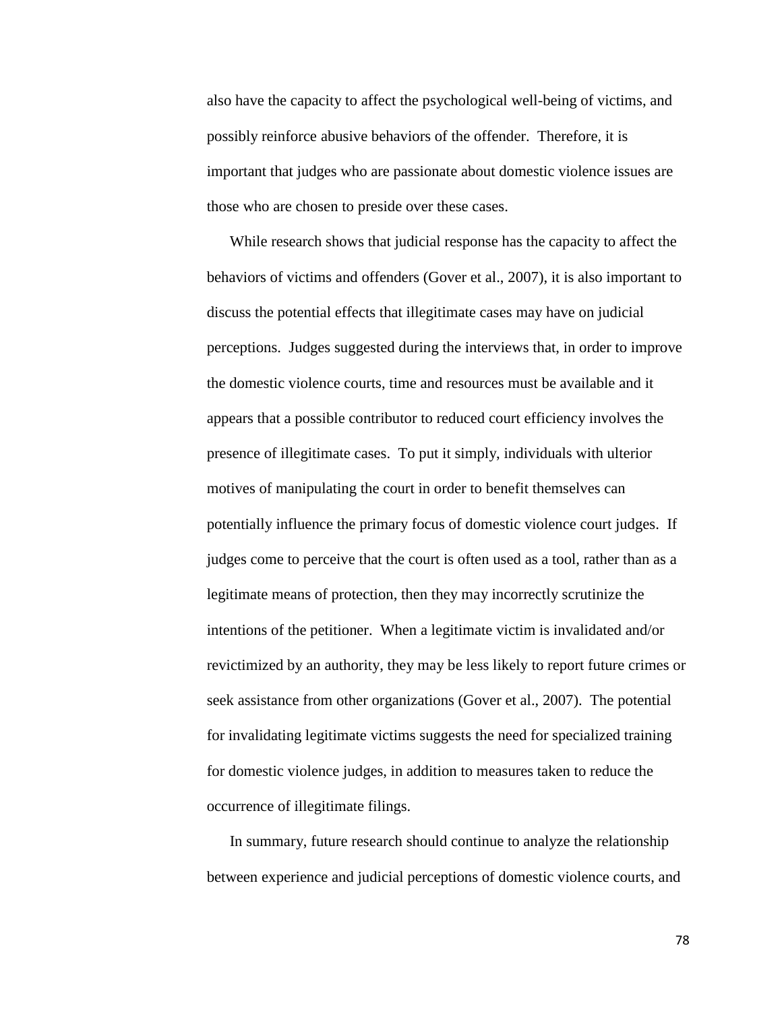also have the capacity to affect the psychological well-being of victims, and possibly reinforce abusive behaviors of the offender. Therefore, it is important that judges who are passionate about domestic violence issues are those who are chosen to preside over these cases.

While research shows that judicial response has the capacity to affect the behaviors of victims and offenders (Gover et al., 2007), it is also important to discuss the potential effects that illegitimate cases may have on judicial perceptions. Judges suggested during the interviews that, in order to improve the domestic violence courts, time and resources must be available and it appears that a possible contributor to reduced court efficiency involves the presence of illegitimate cases. To put it simply, individuals with ulterior motives of manipulating the court in order to benefit themselves can potentially influence the primary focus of domestic violence court judges. If judges come to perceive that the court is often used as a tool, rather than as a legitimate means of protection, then they may incorrectly scrutinize the intentions of the petitioner. When a legitimate victim is invalidated and/or revictimized by an authority, they may be less likely to report future crimes or seek assistance from other organizations (Gover et al., 2007). The potential for invalidating legitimate victims suggests the need for specialized training for domestic violence judges, in addition to measures taken to reduce the occurrence of illegitimate filings.

In summary, future research should continue to analyze the relationship between experience and judicial perceptions of domestic violence courts, and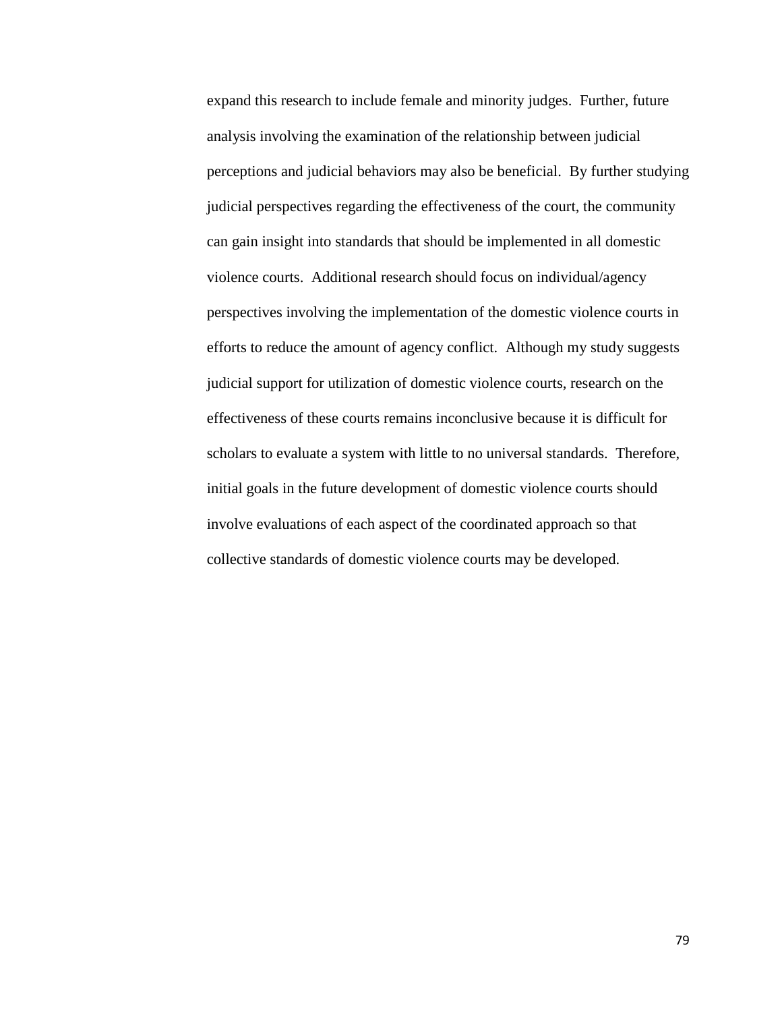expand this research to include female and minority judges. Further, future analysis involving the examination of the relationship between judicial perceptions and judicial behaviors may also be beneficial. By further studying judicial perspectives regarding the effectiveness of the court, the community can gain insight into standards that should be implemented in all domestic violence courts. Additional research should focus on individual/agency perspectives involving the implementation of the domestic violence courts in efforts to reduce the amount of agency conflict. Although my study suggests judicial support for utilization of domestic violence courts, research on the effectiveness of these courts remains inconclusive because it is difficult for scholars to evaluate a system with little to no universal standards. Therefore, initial goals in the future development of domestic violence courts should involve evaluations of each aspect of the coordinated approach so that collective standards of domestic violence courts may be developed.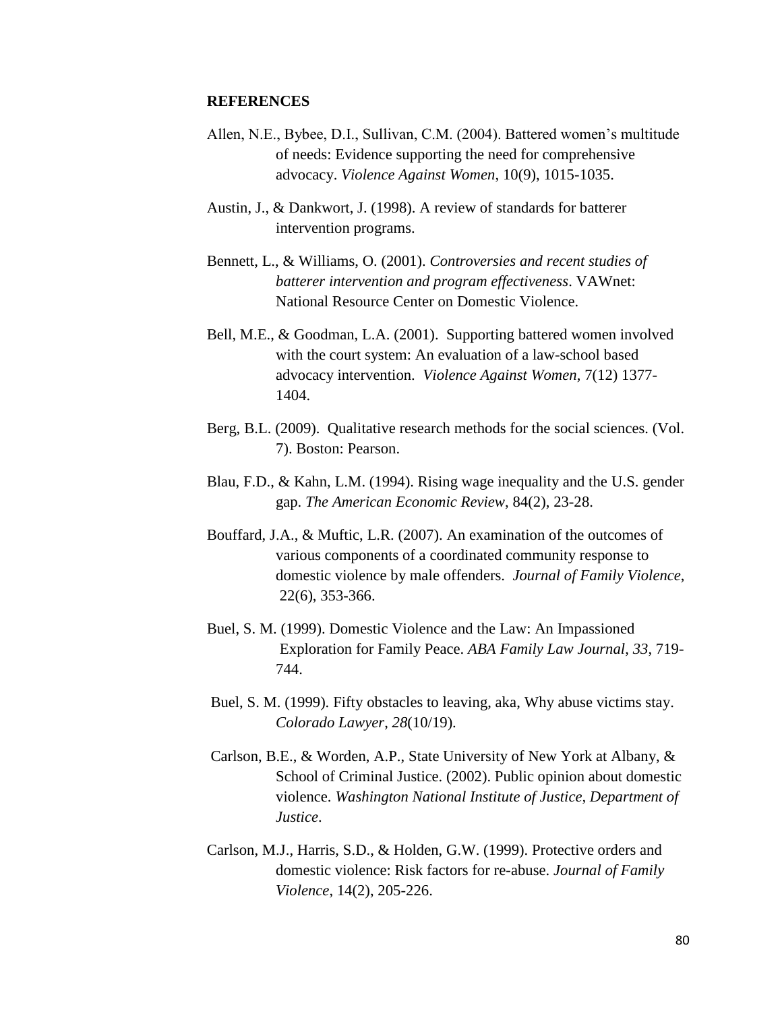# **REFERENCES**

- Allen, N.E., Bybee, D.I., Sullivan, C.M. (2004). Battered women's multitude of needs: Evidence supporting the need for comprehensive advocacy. *Violence Against Women*, 10(9), 1015-1035.
- Austin, J., & Dankwort, J. (1998). A review of standards for batterer intervention programs.
- Bennett, L., & Williams, O. (2001). *Controversies and recent studies of batterer intervention and program effectiveness*. VAWnet: National Resource Center on Domestic Violence.
- Bell, M.E., & Goodman, L.A. (2001). Supporting battered women involved with the court system: An evaluation of a law-school based advocacy intervention. *Violence Against Women*, 7(12) 1377- 1404.
- Berg, B.L. (2009). Qualitative research methods for the social sciences. (Vol. 7). Boston: Pearson.
- Blau, F.D., & Kahn, L.M. (1994). Rising wage inequality and the U.S. gender gap. *The American Economic Review*, 84(2), 23-28.
- Bouffard, J.A., & Muftic, L.R. (2007). An examination of the outcomes of various components of a coordinated community response to domestic violence by male offenders. *Journal of Family Violence*, 22(6), 353-366.
- Buel, S. M. (1999). Domestic Violence and the Law: An Impassioned Exploration for Family Peace. *ABA Family Law Journal*, *33*, 719- 744.
- Buel, S. M. (1999). Fifty obstacles to leaving, aka, Why abuse victims stay. *Colorado Lawyer*, *28*(10/19).
- Carlson, B.E., & Worden, A.P., State University of New York at Albany, & School of Criminal Justice. (2002). Public opinion about domestic violence. *Washington National Institute of Justice, Department of Justice*.
- Carlson, M.J., Harris, S.D., & Holden, G.W. (1999). Protective orders and domestic violence: Risk factors for re-abuse. *Journal of Family Violence*, 14(2), 205-226.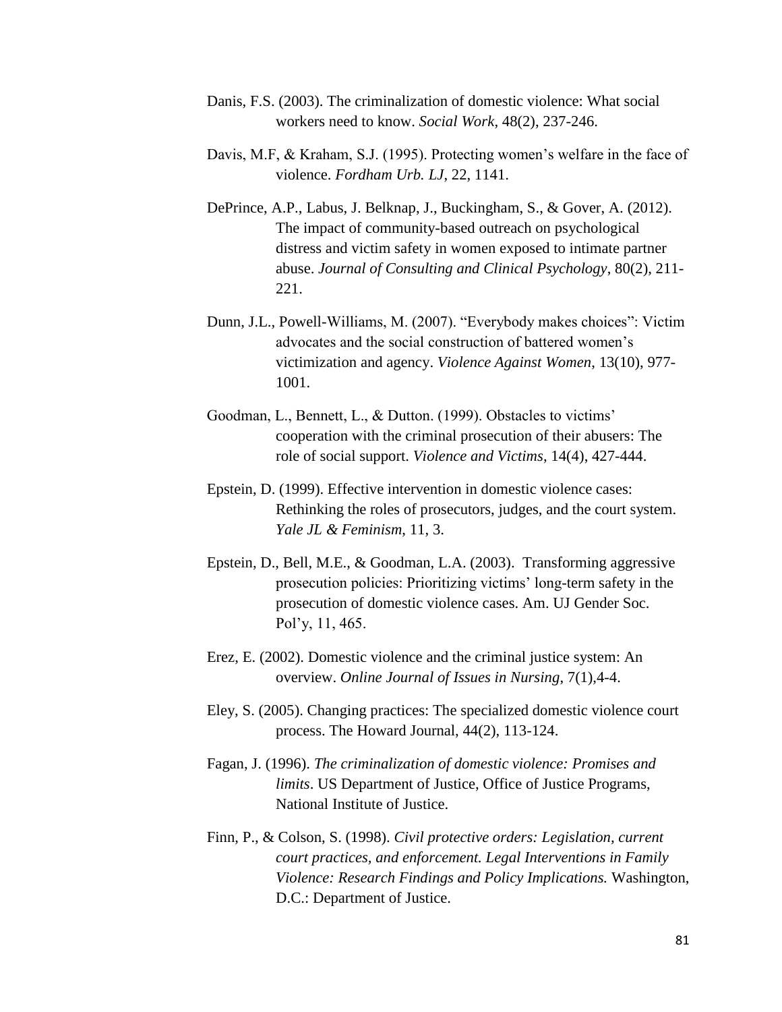- Danis, F.S. (2003). The criminalization of domestic violence: What social workers need to know. *Social Work*, 48(2), 237-246.
- Davis, M.F, & Kraham, S.J. (1995). Protecting women's welfare in the face of violence. *Fordham Urb. LJ*, 22, 1141.
- DePrince, A.P., Labus, J. Belknap, J., Buckingham, S., & Gover, A. (2012). The impact of community-based outreach on psychological distress and victim safety in women exposed to intimate partner abuse. *Journal of Consulting and Clinical Psychology*, 80(2), 211- 221.
- Dunn, J.L., Powell-Williams, M. (2007). "Everybody makes choices": Victim advocates and the social construction of battered women's victimization and agency. *Violence Against Women*, 13(10), 977- 1001.
- Goodman, L., Bennett, L., & Dutton. (1999). Obstacles to victims' cooperation with the criminal prosecution of their abusers: The role of social support. *Violence and Victims*, 14(4), 427-444.
- Epstein, D. (1999). Effective intervention in domestic violence cases: Rethinking the roles of prosecutors, judges, and the court system. *Yale JL & Feminism*, 11, 3.
- Epstein, D., Bell, M.E., & Goodman, L.A. (2003). Transforming aggressive prosecution policies: Prioritizing victims' long-term safety in the prosecution of domestic violence cases. Am. UJ Gender Soc. Pol'y, 11, 465.
- Erez, E. (2002). Domestic violence and the criminal justice system: An overview. *Online Journal of Issues in Nursing*, 7(1),4-4.
- Eley, S. (2005). Changing practices: The specialized domestic violence court process. The Howard Journal, 44(2), 113-124.
- Fagan, J. (1996). *The criminalization of domestic violence: Promises and limits*. US Department of Justice, Office of Justice Programs, National Institute of Justice.
- Finn, P., & Colson, S. (1998). *Civil protective orders: Legislation, current court practices, and enforcement. Legal Interventions in Family Violence: Research Findings and Policy Implications.* Washington, D.C.: Department of Justice.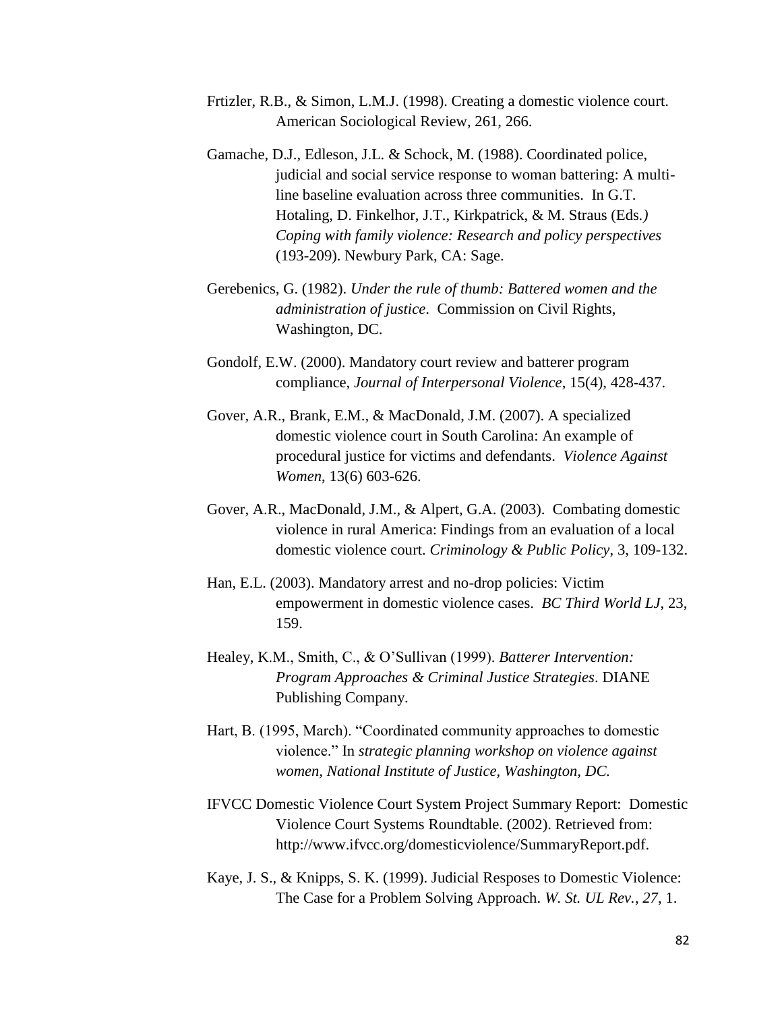- Frtizler, R.B., & Simon, L.M.J. (1998). Creating a domestic violence court. American Sociological Review, 261, 266.
- Gamache, D.J., Edleson, J.L. & Schock, M. (1988). Coordinated police, judicial and social service response to woman battering: A multiline baseline evaluation across three communities. In G.T. Hotaling, D. Finkelhor, J.T., Kirkpatrick, & M. Straus (Eds*.) Coping with family violence: Research and policy perspectives*  (193-209). Newbury Park, CA: Sage.
- Gerebenics, G. (1982). *Under the rule of thumb: Battered women and the administration of justice*. Commission on Civil Rights, Washington, DC.
- Gondolf, E.W. (2000). Mandatory court review and batterer program compliance, *Journal of Interpersonal Violence*, 15(4), 428-437.
- Gover, A.R., Brank, E.M., & MacDonald, J.M. (2007). A specialized domestic violence court in South Carolina: An example of procedural justice for victims and defendants. *Violence Against Women*, 13(6) 603-626.
- Gover, A.R., MacDonald, J.M., & Alpert, G.A. (2003). Combating domestic violence in rural America: Findings from an evaluation of a local domestic violence court. *Criminology & Public Policy*, 3, 109-132.
- Han, E.L. (2003). Mandatory arrest and no-drop policies: Victim empowerment in domestic violence cases. *BC Third World LJ*, 23, 159.
- Healey, K.M., Smith, C., & O'Sullivan (1999). *Batterer Intervention: Program Approaches & Criminal Justice Strategies*. DIANE Publishing Company.
- Hart, B. (1995, March). "Coordinated community approaches to domestic violence." In *strategic planning workshop on violence against women, National Institute of Justice, Washington, DC.*
- IFVCC Domestic Violence Court System Project Summary Report: Domestic Violence Court Systems Roundtable. (2002). Retrieved from: http://www.ifvcc.org/domesticviolence/SummaryReport.pdf.
- Kaye, J. S., & Knipps, S. K. (1999). Judicial Resposes to Domestic Violence: The Case for a Problem Solving Approach. *W. St. UL Rev.*, *27*, 1.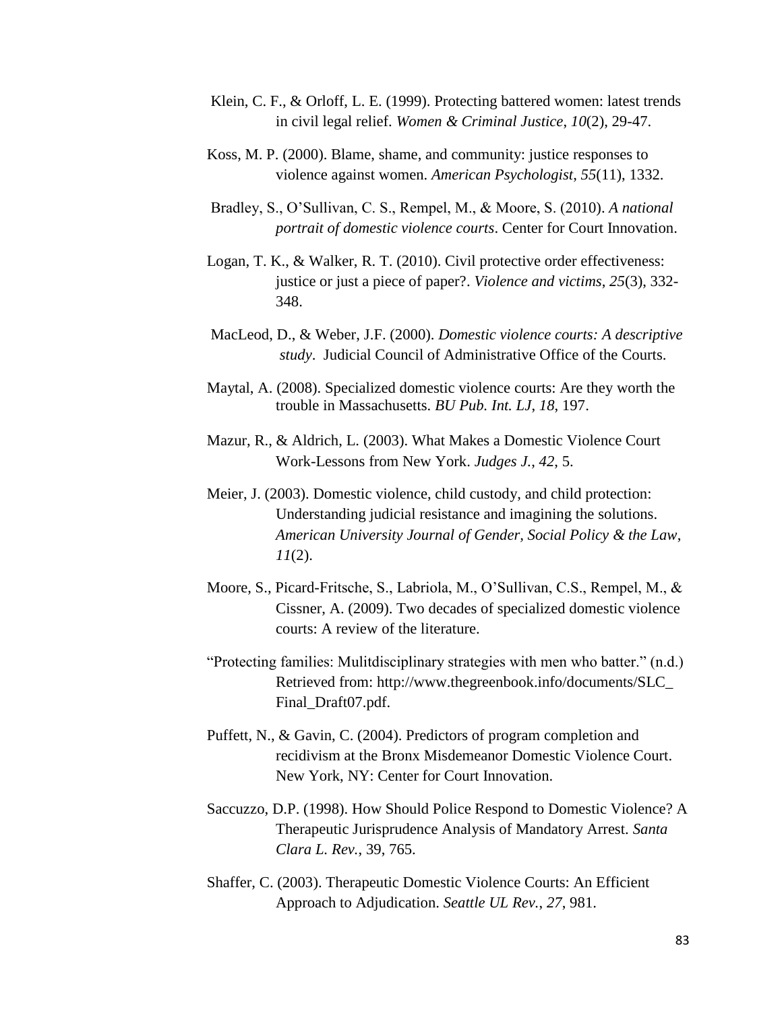- Klein, C. F., & Orloff, L. E. (1999). Protecting battered women: latest trends in civil legal relief. *Women & Criminal Justice*, *10*(2), 29-47.
- Koss, M. P. (2000). Blame, shame, and community: justice responses to violence against women. *American Psychologist*, *55*(11), 1332.
- Bradley, S., O'Sullivan, C. S., Rempel, M., & Moore, S. (2010). *A national portrait of domestic violence courts*. Center for Court Innovation.
- Logan, T. K., & Walker, R. T. (2010). Civil protective order effectiveness: justice or just a piece of paper?. *Violence and victims*, *25*(3), 332- 348.
- MacLeod, D., & Weber, J.F. (2000). *Domestic violence courts: A descriptive study*. Judicial Council of Administrative Office of the Courts.
- Maytal, A. (2008). Specialized domestic violence courts: Are they worth the trouble in Massachusetts. *BU Pub. Int. LJ*, *18*, 197.
- Mazur, R., & Aldrich, L. (2003). What Makes a Domestic Violence Court Work-Lessons from New York. *Judges J.*, *42*, 5.
- Meier, J. (2003). Domestic violence, child custody, and child protection: Understanding judicial resistance and imagining the solutions. *American University Journal of Gender, Social Policy & the Law*, *11*(2).
- Moore, S., Picard-Fritsche, S., Labriola, M., O'Sullivan, C.S., Rempel, M., & Cissner, A. (2009). Two decades of specialized domestic violence courts: A review of the literature.
- "Protecting families: Mulitdisciplinary strategies with men who batter." (n.d.) Retrieved from: http://www.thegreenbook.info/documents/SLC\_ Final\_Draft07.pdf.
- Puffett, N., & Gavin, C. (2004). Predictors of program completion and recidivism at the Bronx Misdemeanor Domestic Violence Court. New York, NY: Center for Court Innovation.
- Saccuzzo, D.P. (1998). How Should Police Respond to Domestic Violence? A Therapeutic Jurisprudence Analysis of Mandatory Arrest. *Santa Clara L. Rev.*, 39, 765.
- Shaffer, C. (2003). Therapeutic Domestic Violence Courts: An Efficient Approach to Adjudication. *Seattle UL Rev.*, *27*, 981.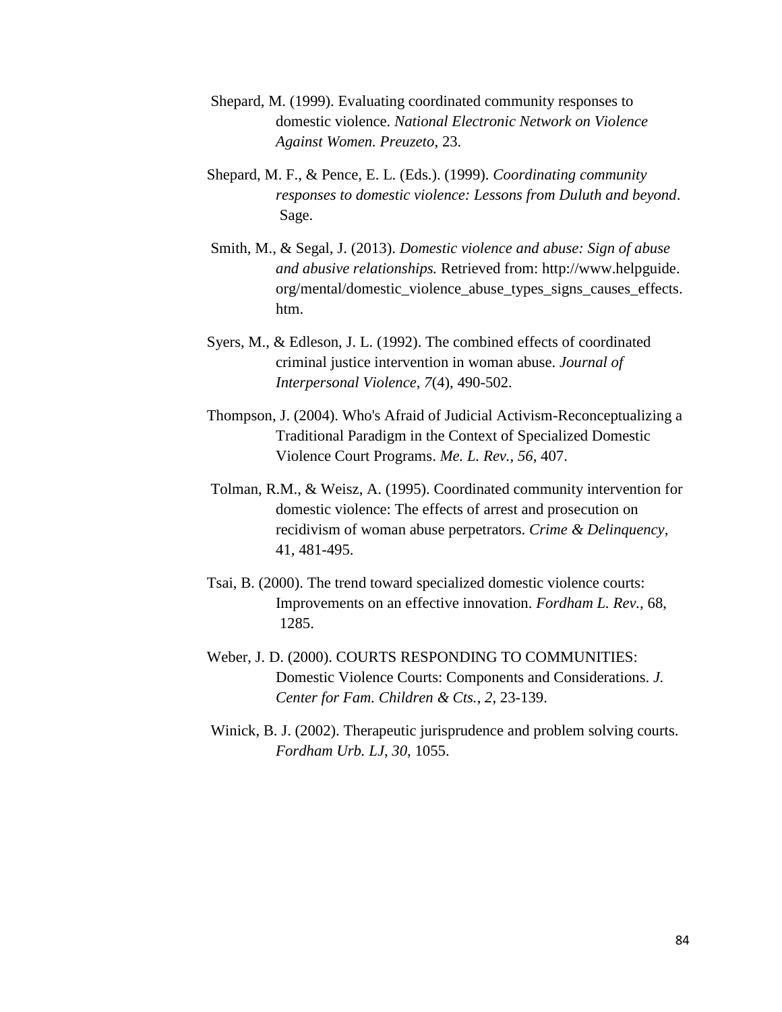- Shepard, M. (1999). Evaluating coordinated community responses to domestic violence. *National Electronic Network on Violence Against Women. Preuzeto*, 23.
- Shepard, M. F., & Pence, E. L. (Eds.). (1999). *Coordinating community responses to domestic violence: Lessons from Duluth and beyond*. Sage.
- Smith, M., & Segal, J. (2013). *Domestic violence and abuse: Sign of abuse and abusive relationships.* Retrieved from: http://www.helpguide. org/mental/domestic\_violence\_abuse\_types\_signs\_causes\_effects. htm.
- Syers, M., & Edleson, J. L. (1992). The combined effects of coordinated criminal justice intervention in woman abuse. *Journal of Interpersonal Violence*, *7*(4), 490-502.
- Thompson, J. (2004). Who's Afraid of Judicial Activism-Reconceptualizing a Traditional Paradigm in the Context of Specialized Domestic Violence Court Programs. *Me. L. Rev.*, *56*, 407.
- Tolman, R.M., & Weisz, A. (1995). Coordinated community intervention for domestic violence: The effects of arrest and prosecution on recidivism of woman abuse perpetrators. *Crime & Delinquency*, 41, 481-495.
- Tsai, B. (2000). The trend toward specialized domestic violence courts: Improvements on an effective innovation. *Fordham L. Rev.,* 68, 1285.
- Weber, J. D. (2000). COURTS RESPONDING TO COMMUNITIES: Domestic Violence Courts: Components and Considerations. *J. Center for Fam. Children & Cts.*, *2*, 23-139.
- Winick, B. J. (2002). Therapeutic jurisprudence and problem solving courts. *Fordham Urb. LJ*, *30*, 1055.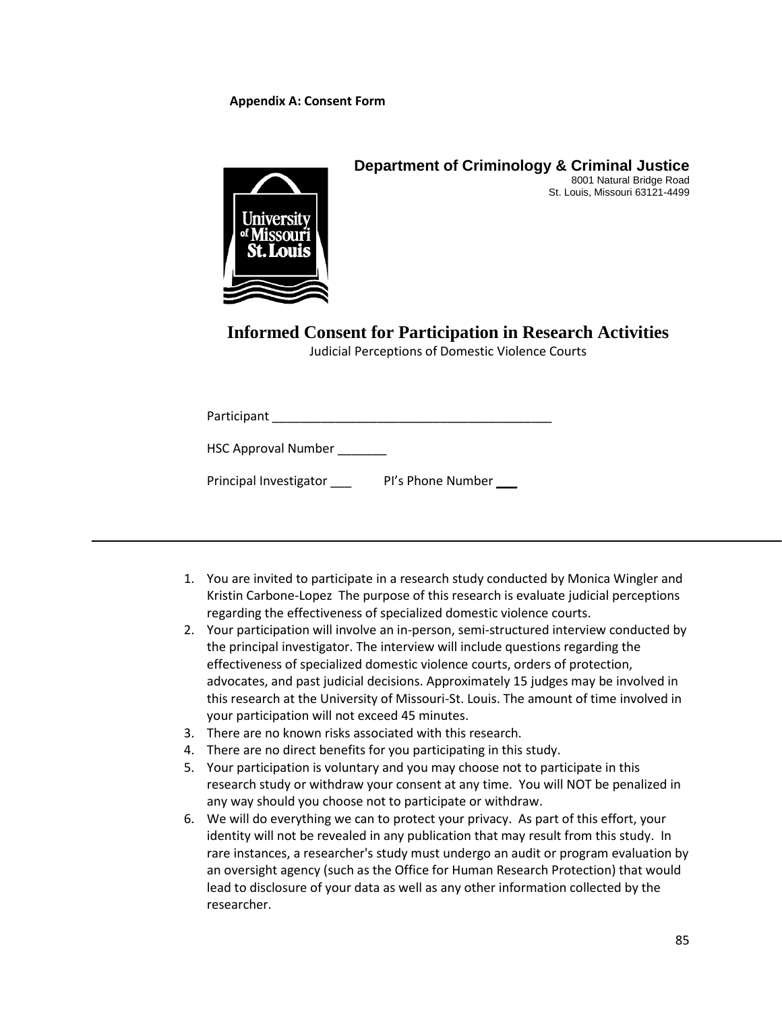## **Appendix A: Consent Form**



**Department of Criminology & Criminal Justice**

8001 Natural Bridge Road St. Louis, Missouri 63121-4499

**Informed Consent for Participation in Research Activities**

Judicial Perceptions of Domestic Violence Courts

Participant

HSC Approval Number

Principal Investigator PI's Phone Number \_\_\_

- 1. You are invited to participate in a research study conducted by Monica Wingler and Kristin Carbone-Lopez The purpose of this research is evaluate judicial perceptions regarding the effectiveness of specialized domestic violence courts.
- 2. Your participation will involve an in-person, semi-structured interview conducted by the principal investigator. The interview will include questions regarding the effectiveness of specialized domestic violence courts, orders of protection, advocates, and past judicial decisions. Approximately 15 judges may be involved in this research at the University of Missouri-St. Louis. The amount of time involved in your participation will not exceed 45 minutes.
- 3. There are no known risks associated with this research.
- 4. There are no direct benefits for you participating in this study.
- 5. Your participation is voluntary and you may choose not to participate in this research study or withdraw your consent at any time. You will NOT be penalized in any way should you choose not to participate or withdraw.
- 6. We will do everything we can to protect your privacy. As part of this effort, your identity will not be revealed in any publication that may result from this study. In rare instances, a researcher's study must undergo an audit or program evaluation by an oversight agency (such as the Office for Human Research Protection) that would lead to disclosure of your data as well as any other information collected by the researcher.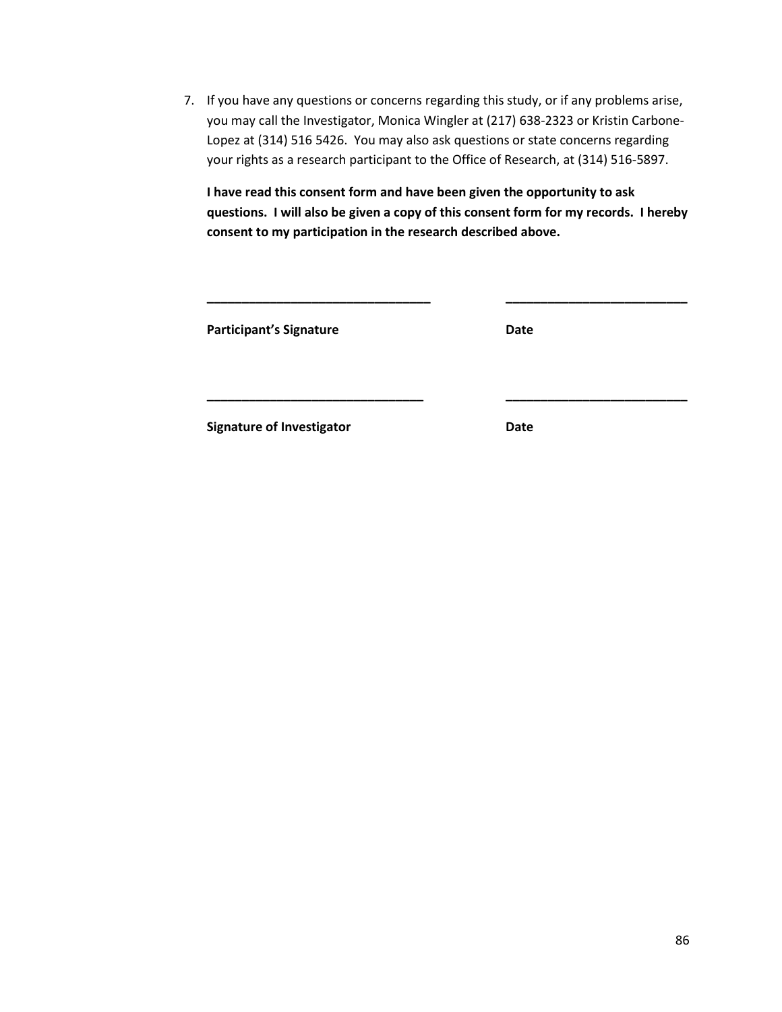7. If you have any questions or concerns regarding this study, or if any problems arise, you may call the Investigator, Monica Wingler at (217) 638-2323 or Kristin Carbone-Lopez at (314) 516 5426. You may also ask questions or state concerns regarding your rights as a research participant to the Office of Research, at (314) 516‐5897.

**I have read this consent form and have been given the opportunity to ask questions. I will also be given a copy of this consent form for my records. I hereby consent to my participation in the research described above.**

| <b>Participant's Signature</b>   | <b>Date</b> |  |
|----------------------------------|-------------|--|
| <b>Signature of Investigator</b> | <b>Date</b> |  |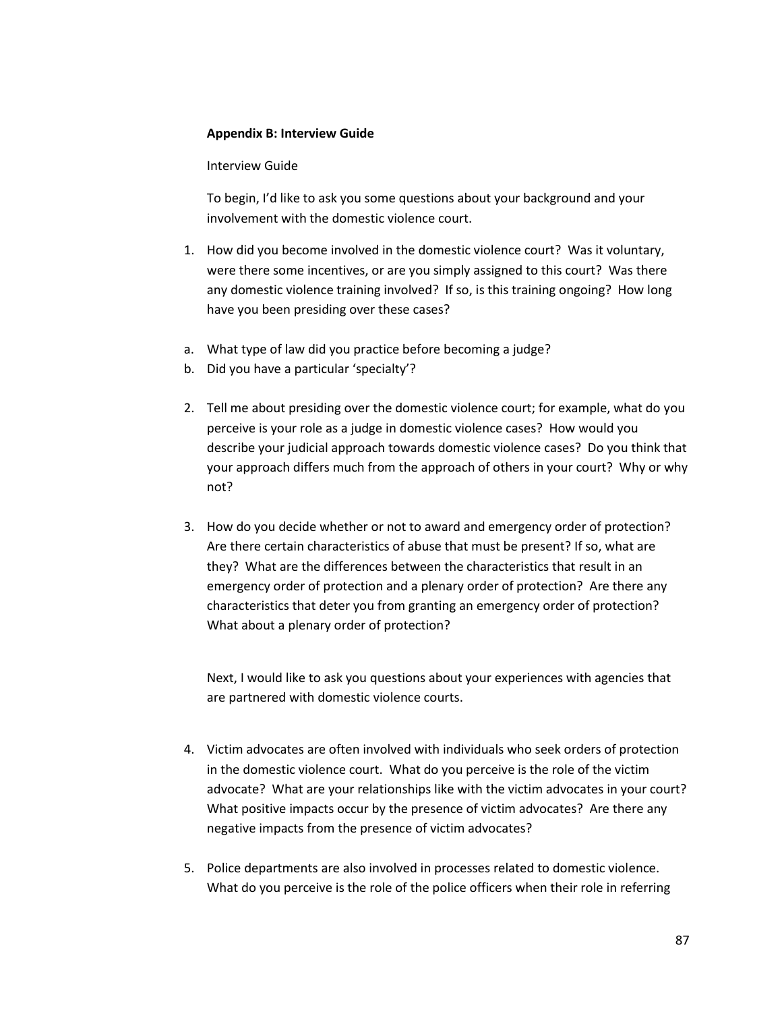# **Appendix B: Interview Guide**

Interview Guide

To begin, I'd like to ask you some questions about your background and your involvement with the domestic violence court.

- 1. How did you become involved in the domestic violence court? Was it voluntary, were there some incentives, or are you simply assigned to this court? Was there any domestic violence training involved? If so, is this training ongoing? How long have you been presiding over these cases?
- a. What type of law did you practice before becoming a judge?
- b. Did you have a particular 'specialty'?
- 2. Tell me about presiding over the domestic violence court; for example, what do you perceive is your role as a judge in domestic violence cases? How would you describe your judicial approach towards domestic violence cases? Do you think that your approach differs much from the approach of others in your court? Why or why not?
- 3. How do you decide whether or not to award and emergency order of protection? Are there certain characteristics of abuse that must be present? If so, what are they? What are the differences between the characteristics that result in an emergency order of protection and a plenary order of protection? Are there any characteristics that deter you from granting an emergency order of protection? What about a plenary order of protection?

Next, I would like to ask you questions about your experiences with agencies that are partnered with domestic violence courts.

- 4. Victim advocates are often involved with individuals who seek orders of protection in the domestic violence court. What do you perceive is the role of the victim advocate? What are your relationships like with the victim advocates in your court? What positive impacts occur by the presence of victim advocates? Are there any negative impacts from the presence of victim advocates?
- 5. Police departments are also involved in processes related to domestic violence. What do you perceive is the role of the police officers when their role in referring